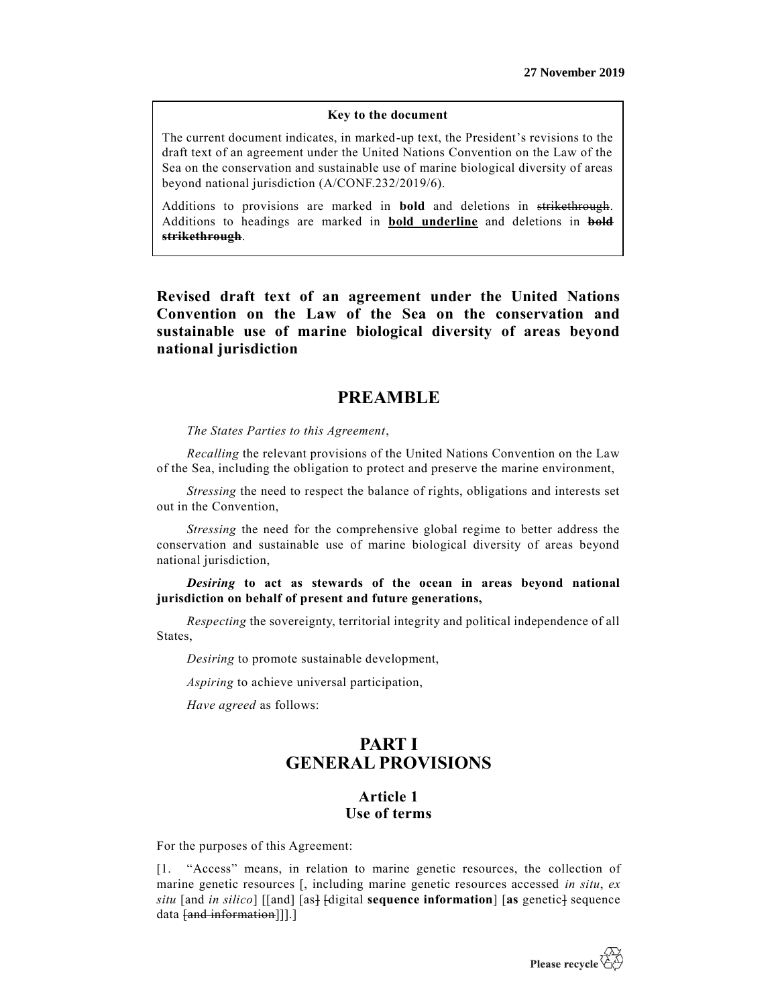#### **Key to the document**

The current document indicates, in marked-up text, the President's revisions to the draft text of an agreement under the United Nations Convention on the Law of the Sea on the conservation and sustainable use of marine biological diversity of areas beyond national jurisdiction (A/CONF.232/2019/6).

Additions to provisions are marked in **bold** and deletions in strikethrough. Additions to headings are marked in **bold underline** and deletions in **bold strikethrough**.

**Revised draft text of an agreement under the United Nations Convention on the Law of the Sea on the conservation and sustainable use of marine biological diversity of areas beyond national jurisdiction**

# **PREAMBLE**

*The States Parties to this Agreement*,

*Recalling* the relevant provisions of the United Nations Convention on the Law of the Sea, including the obligation to protect and preserve the marine environment,

*Stressing* the need to respect the balance of rights, obligations and interests set out in the Convention,

*Stressing* the need for the comprehensive global regime to better address the conservation and sustainable use of marine biological diversity of areas beyond national jurisdiction,

*Desiring* **to act as stewards of the ocean in areas beyond national jurisdiction on behalf of present and future generations,**

*Respecting* the sovereignty, territorial integrity and political independence of all States,

*Desiring* to promote sustainable development,

*Aspiring* to achieve universal participation,

*Have agreed* as follows:

# **PART I GENERAL PROVISIONS**

## **Article 1 Use of terms**

For the purposes of this Agreement:

[1. "Access" means, in relation to marine genetic resources, the collection of marine genetic resources [, including marine genetic resources accessed *in situ*, *ex*   $situ$  [and *in silico*] [[and] [as]  $f$ digital **sequence information**] [as genetic] sequence data [and information]]].]

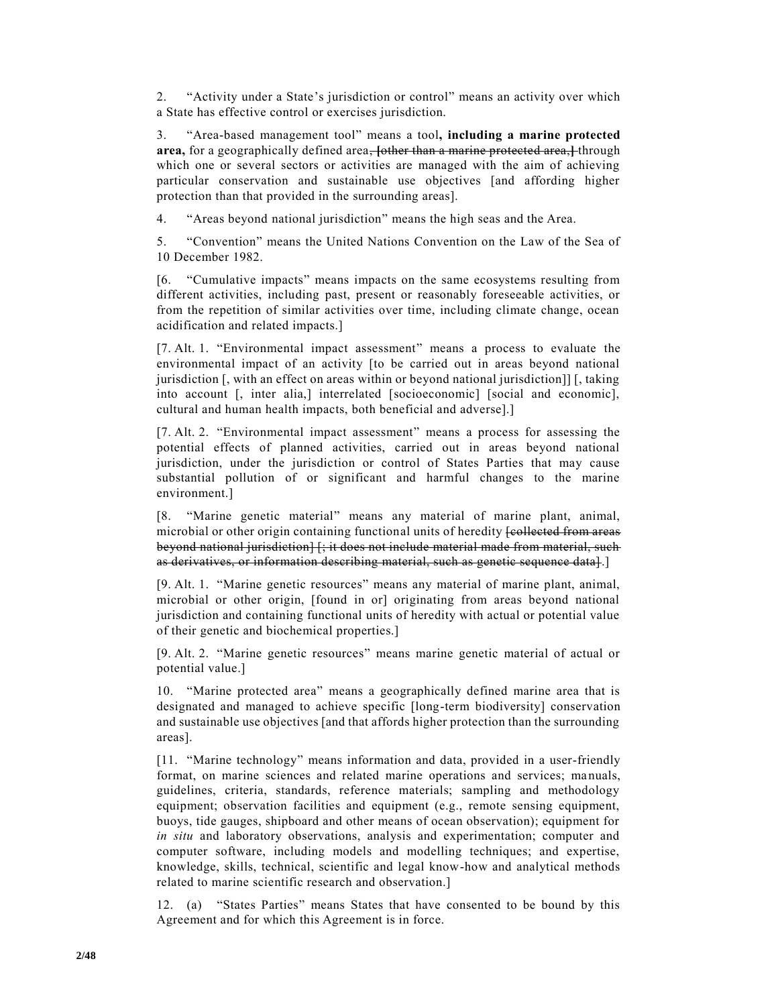2. "Activity under a State's jurisdiction or control" means an activity over which a State has effective control or exercises jurisdiction.

3. "Area-based management tool" means a tool**, including a marine protected area,** for a geographically defined area, **[**other than a marine protected area,**]** through which one or several sectors or activities are managed with the aim of achieving particular conservation and sustainable use objectives [and affording higher protection than that provided in the surrounding areas].

4. "Areas beyond national jurisdiction" means the high seas and the Area.

5. "Convention" means the United Nations Convention on the Law of the Sea of 10 December 1982.

[6. "Cumulative impacts" means impacts on the same ecosystems resulting from different activities, including past, present or reasonably foreseeable activities, or from the repetition of similar activities over time, including climate change, ocean acidification and related impacts.]

[7. Alt. 1. "Environmental impact assessment" means a process to evaluate the environmental impact of an activity [to be carried out in areas beyond national jurisdiction [, with an effect on areas within or beyond national jurisdiction]] [, taking into account [, inter alia,] interrelated [socioeconomic] [social and economic], cultural and human health impacts, both beneficial and adverse].]

[7. Alt. 2. "Environmental impact assessment" means a process for assessing the potential effects of planned activities, carried out in areas beyond national jurisdiction, under the jurisdiction or control of States Parties that may cause substantial pollution of or significant and harmful changes to the marine environment.]

[8. "Marine genetic material" means any material of marine plant, animal, microbial or other origin containing functional units of heredity **[collected from areas** beyond national jurisdiction] [; it does not include material made from material, such as derivatives, or information describing material, such as genetic sequence data].]

[9. Alt. 1. "Marine genetic resources" means any material of marine plant, animal, microbial or other origin, [found in or] originating from areas beyond national jurisdiction and containing functional units of heredity with actual or potential value of their genetic and biochemical properties.]

[9. Alt. 2. "Marine genetic resources" means marine genetic material of actual or potential value.]

10. "Marine protected area" means a geographically defined marine area that is designated and managed to achieve specific [long-term biodiversity] conservation and sustainable use objectives [and that affords higher protection than the surrounding areas].

[11. "Marine technology" means information and data, provided in a user-friendly format, on marine sciences and related marine operations and services; ma nuals, guidelines, criteria, standards, reference materials; sampling and methodology equipment; observation facilities and equipment (e.g., remote sensing equipment, buoys, tide gauges, shipboard and other means of ocean observation); equipment for *in situ* and laboratory observations, analysis and experimentation; computer and computer software, including models and modelling techniques; and expertise, knowledge, skills, technical, scientific and legal know-how and analytical methods related to marine scientific research and observation.]

12. (a) "States Parties" means States that have consented to be bound by this Agreement and for which this Agreement is in force.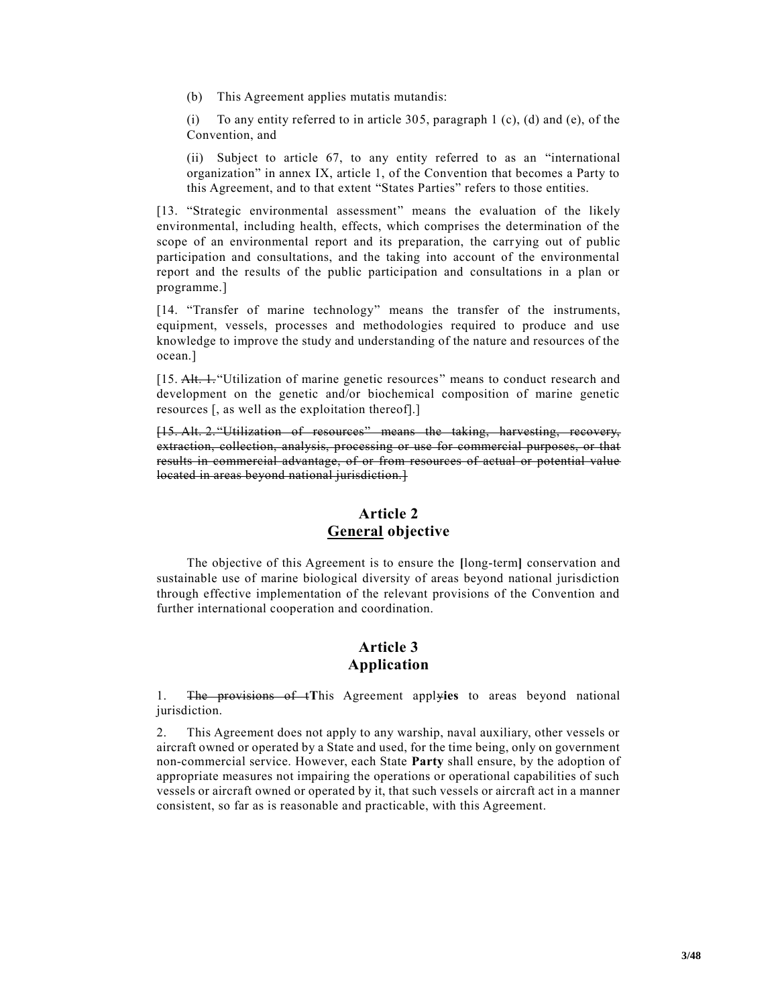(b) This Agreement applies mutatis mutandis:

(i) To any entity referred to in article 305, paragraph 1 (c), (d) and (e), of the Convention, and

(ii) Subject to article 67, to any entity referred to as an "international organization" in annex IX, article 1, of the Convention that becomes a Party to this Agreement, and to that extent "States Parties" refers to those entities.

[13. "Strategic environmental assessment" means the evaluation of the likely environmental, including health, effects, which comprises the determination of the scope of an environmental report and its preparation, the carrying out of public participation and consultations, and the taking into account of the environmental report and the results of the public participation and consultations in a plan or programme.]

[14. "Transfer of marine technology" means the transfer of the instruments, equipment, vessels, processes and methodologies required to produce and use knowledge to improve the study and understanding of the nature and resources of the ocean.]

[15. Alt. 1. "Utilization of marine genetic resources" means to conduct research and development on the genetic and/or biochemical composition of marine genetic resources [, as well as the exploitation thereof].]

[15. Alt. 2. "Utilization of resources" means the taking, harvesting, recovery, extraction, collection, analysis, processing or use for commercial purposes, or that results in commercial advantage, of or from resources of actual or potential value located in areas beyond national jurisdiction.]

# **Article 2 General objective**

The objective of this Agreement is to ensure the **[**long-term**]** conservation and sustainable use of marine biological diversity of areas beyond national jurisdiction through effective implementation of the relevant provisions of the Convention and further international cooperation and coordination.

#### **Article 3 Application**

1. The provisions of t**T**his Agreement apply**ies** to areas beyond national jurisdiction.

2. This Agreement does not apply to any warship, naval auxiliary, other vessels or aircraft owned or operated by a State and used, for the time being, only on government non-commercial service. However, each State **Party** shall ensure, by the adoption of appropriate measures not impairing the operations or operational capabilities of such vessels or aircraft owned or operated by it, that such vessels or aircraft act in a manner consistent, so far as is reasonable and practicable, with this Agreement.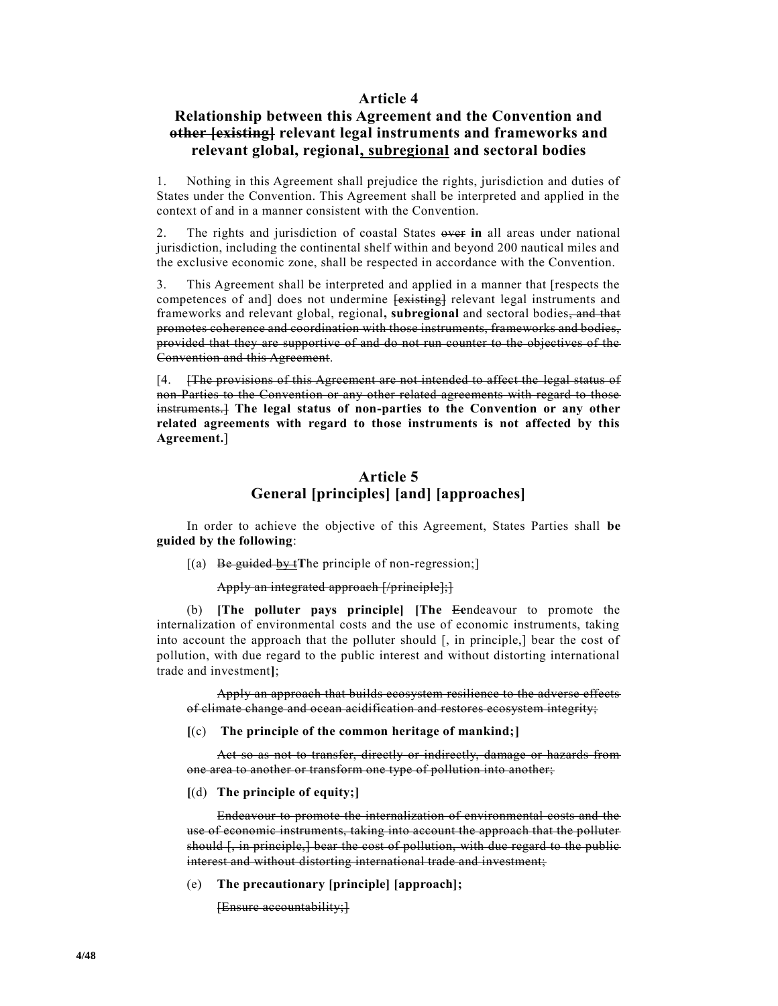#### **Article 4**

# **Relationship between this Agreement and the Convention and other [existing] relevant legal instruments and frameworks and relevant global, regional, subregional and sectoral bodies**

1. Nothing in this Agreement shall prejudice the rights, jurisdiction and duties of States under the Convention. This Agreement shall be interpreted and applied in the context of and in a manner consistent with the Convention.

2. The rights and jurisdiction of coastal States over **in** all areas under national jurisdiction, including the continental shelf within and beyond 200 nautical miles and the exclusive economic zone, shall be respected in accordance with the Convention.

3. This Agreement shall be interpreted and applied in a manner that [respects the competences of and] does not undermine [existing] relevant legal instruments and frameworks and relevant global, regional**, subregional** and sectoral bodies, and that promotes coherence and coordination with those instruments, frameworks and bodies, provided that they are supportive of and do not run counter to the objectives of the Convention and this Agreement.

[4. [The provisions of this Agreement are not intended to affect the legal status of non-Parties to the Convention or any other related agreements with regard to those instruments.] **The legal status of non-parties to the Convention or any other related agreements with regard to those instruments is not affected by this Agreement.**]

## **Article 5 General [principles] [and] [approaches]**

In order to achieve the objective of this Agreement, States Parties shall **be guided by the following**:

[(a) Be guided by t**T**he principle of non-regression;]

Apply an integrated approach [/principle];]

(b) **[The polluter pays principle] [The** E**e**ndeavour to promote the internalization of environmental costs and the use of economic instruments, taking into account the approach that the polluter should [, in principle,] bear the cost of pollution, with due regard to the public interest and without distorting international trade and investment**]**;

Apply an approach that builds ecosystem resilience to the adverse effects of climate change and ocean acidification and restores ecosystem integrity;

**[**(c) **The principle of the common heritage of mankind;]**

Act so as not to transfer, directly or indirectly, damage or hazards from one area to another or transform one type of pollution into another;

**[**(d) **The principle of equity;]**

Endeavour to promote the internalization of environmental costs and the use of economic instruments, taking into account the approach that the polluter should [, in principle,] bear the cost of pollution, with due regard to the public interest and without distorting international trade and investment;

(e) **The precautionary [principle] [approach];**

[Ensure accountability;]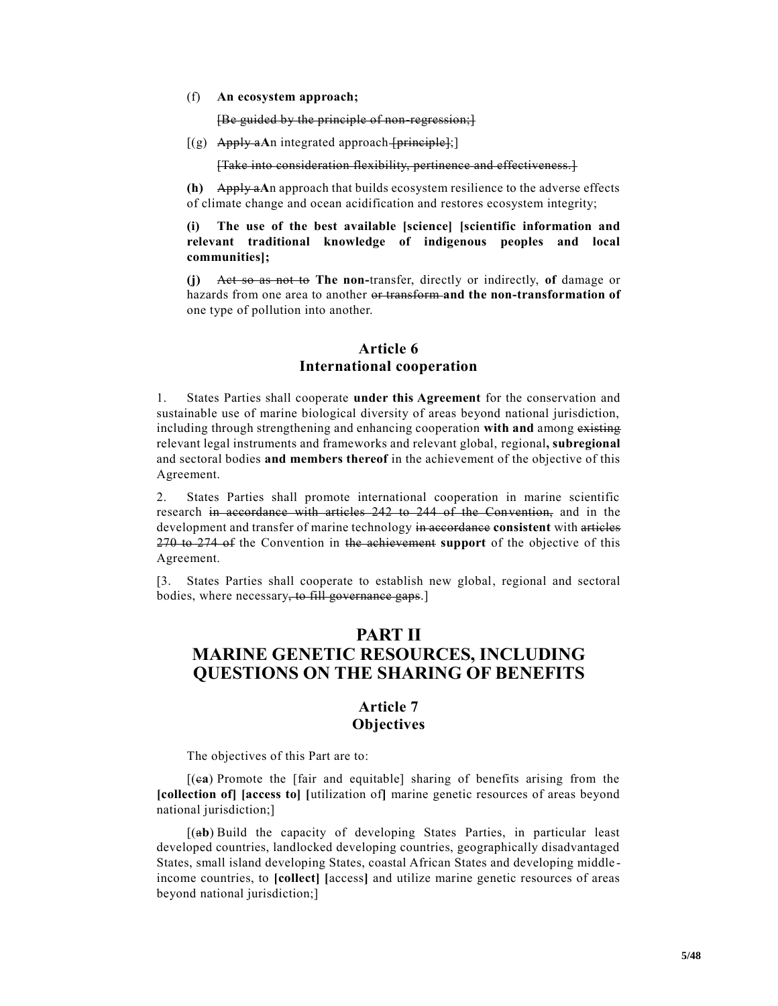#### (f) **An ecosystem approach;**

[Be guided by the principle of non-regression;]

 $[(g)$  Apply aAn integrated approach [principle];

[Take into consideration flexibility, pertinence and effectiveness.]

**(h)** Apply a**A**n approach that builds ecosystem resilience to the adverse effects of climate change and ocean acidification and restores ecosystem integrity;

**(i) The use of the best available [science] [scientific information and relevant traditional knowledge of indigenous peoples and local communities];**

**(j)** Act so as not to **The non-**transfer, directly or indirectly, **of** damage or hazards from one area to another or transform **and the non-transformation of** one type of pollution into another.

#### **Article 6 International cooperation**

1. States Parties shall cooperate **under this Agreement** for the conservation and sustainable use of marine biological diversity of areas beyond national jurisdiction, including through strengthening and enhancing cooperation **with and** among existing relevant legal instruments and frameworks and relevant global, regional**, subregional** and sectoral bodies **and members thereof** in the achievement of the objective of this Agreement.

2. States Parties shall promote international cooperation in marine scientific research in accordance with articles 242 to 244 of the Convention, and in the development and transfer of marine technology in accordance **consistent** with articles 270 to 274 of the Convention in the achievement **support** of the objective of this Agreement.

[3. States Parties shall cooperate to establish new global, regional and sectoral bodies, where necessary, to fill governance gaps.]

# **PART II MARINE GENETIC RESOURCES, INCLUDING QUESTIONS ON THE SHARING OF BENEFITS**

### **Article 7 Objectives**

The objectives of this Part are to:

[(c**a**) Promote the [fair and equitable] sharing of benefits arising from the **[collection of] [access to] [**utilization of**]** marine genetic resources of areas beyond national jurisdiction;]

[(a**b**) Build the capacity of developing States Parties, in particular least developed countries, landlocked developing countries, geographically disadvantaged States, small island developing States, coastal African States and developing middle income countries, to **[collect] [**access**]** and utilize marine genetic resources of areas beyond national jurisdiction;]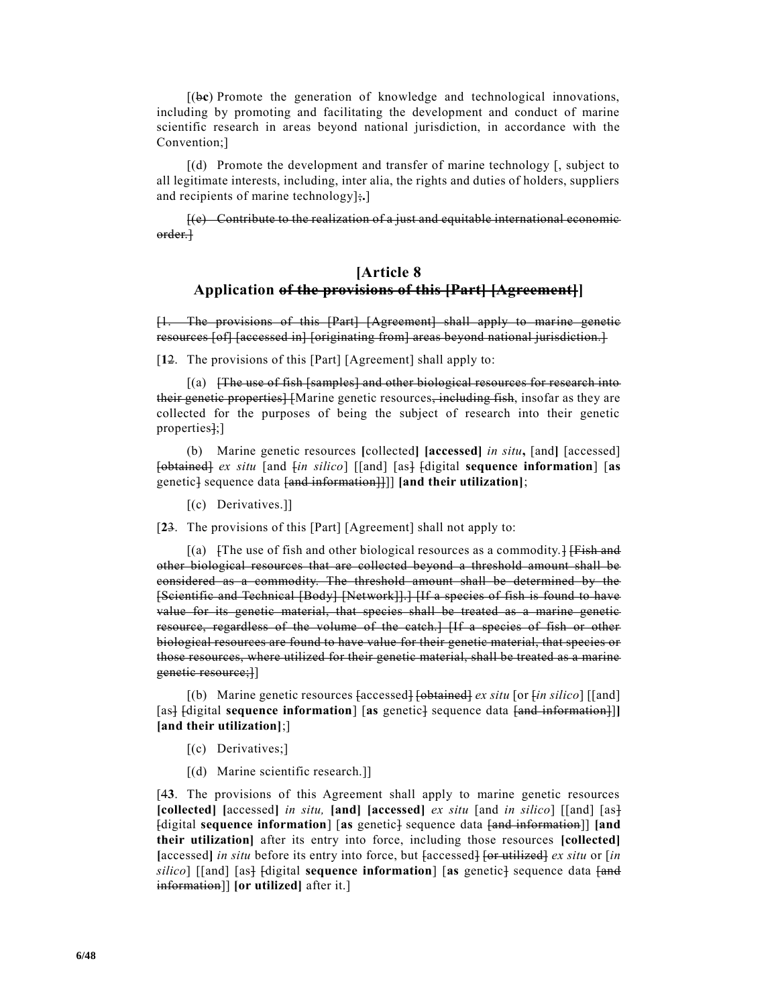[(b**c**) Promote the generation of knowledge and technological innovations, including by promoting and facilitating the development and conduct of marine scientific research in areas beyond national jurisdiction, in accordance with the Convention;]

[(d) Promote the development and transfer of marine technology [, subject to all legitimate interests, including, inter alia, the rights and duties of holders, suppliers and recipients of marine technology];**.**]

[(e) Contribute to the realization of a just and equitable international economic order.]

# **[Article 8 Application of the provisions of this [Part] [Agreement]]**

[1. The provisions of this [Part] [Agreement] shall apply to marine genetic resources [of] [accessed in] [originating from] areas beyond national jurisdiction.]

[**1**2. The provisions of this [Part] [Agreement] shall apply to:

[(a) [The use of fish [samples] and other biological resources for research into their genetic properties] [Marine genetic resources, including fish, insofar as they are collected for the purposes of being the subject of research into their genetic properties];]

(b) Marine genetic resources **[**collected**] [accessed]** *in situ***,** [and**]** [accessed] [obtained] *ex situ* [and [*in silico*] [[and] [as] [digital **sequence information**] [**as** genetic] sequence data [and information]]]] **[and their utilization]**;

[(c) Derivatives.]]

[**2**3. The provisions of this [Part] [Agreement] shall not apply to:

 $[(a)$   $[The use of fish and other biological resources as a commodity.]$ other biological resources that are collected beyond a threshold amount shall be considered as a commodity. The threshold amount shall be determined by the [Scientific and Technical [Body] [Network]].] [If a species of fish is found to have value for its genetic material, that species shall be treated as a marine genetic resource, regardless of the volume of the catch.] [If a species of fish or other biological resources are found to have value for their genetic material, that species or those resources, where utilized for their genetic material, shall be treated as a marine genetic resource;]]

[(b) Marine genetic resources [accessed] [obtained] *ex situ* [or [*in silico*] [[and] [as] [digital **sequence information**] [as genetic] sequence data [and information]] **[and their utilization]**;]

- [(c) Derivatives;]
- [(d) Marine scientific research.]]

[4**3**. The provisions of this Agreement shall apply to marine genetic resources **[collected] [**accessed**]** *in situ,* **[and] [accessed]** *ex situ* [and *in silico*] [[and] [as] [digital **sequence information**] [**as** genetic] sequence data [and information]] **[and their utilization]** after its entry into force, including those resources **[collected] [**accessed**]** *in situ* before its entry into force, but [accessed] [or utilized] *ex situ* or [*in silico*] [[and] [as] [digital **sequence information**] [as genetic] sequence data [*and*] information]] **[or utilized]** after it.]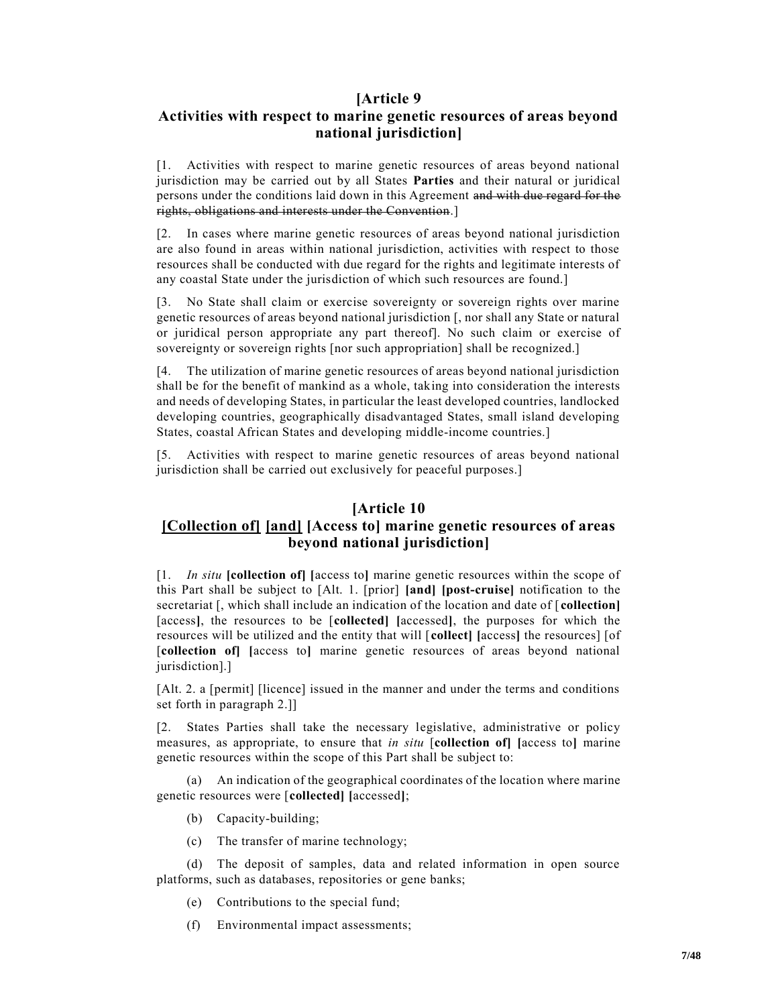### **[Article 9**

# **Activities with respect to marine genetic resources of areas beyond national jurisdiction]**

[1. Activities with respect to marine genetic resources of areas beyond national jurisdiction may be carried out by all States **Parties** and their natural or juridical persons under the conditions laid down in this Agreement and with due regard for the rights, obligations and interests under the Convention.]

[2. In cases where marine genetic resources of areas beyond national jurisdiction are also found in areas within national jurisdiction, activities with respect to those resources shall be conducted with due regard for the rights and legitimate interests of any coastal State under the jurisdiction of which such resources are found.]

[3. No State shall claim or exercise sovereignty or sovereign rights over marine genetic resources of areas beyond national jurisdiction [, nor shall any State or natural or juridical person appropriate any part thereof]. No such claim or exercise of sovereignty or sovereign rights [nor such appropriation] shall be recognized.]

[4. The utilization of marine genetic resources of areas beyond national jurisdiction shall be for the benefit of mankind as a whole, taking into consideration the interests and needs of developing States, in particular the least developed countries, landlocked developing countries, geographically disadvantaged States, small island developing States, coastal African States and developing middle-income countries.]

[5. Activities with respect to marine genetic resources of areas beyond national jurisdiction shall be carried out exclusively for peaceful purposes.]

### **[Article 10**

# **[Collection of] [and] [Access to] marine genetic resources of areas beyond national jurisdiction]**

[1. *In situ* **[collection of] [**access to**]** marine genetic resources within the scope of this Part shall be subject to [Alt. 1. [prior] **[and] [post-cruise]** notification to the secretariat [, which shall include an indication of the location and date of [ **collection]** [access**]**, the resources to be [**collected] [**accessed**]**, the purposes for which the resources will be utilized and the entity that will [**collect] [**access**]** the resources] [of [**collection of] [**access to**]** marine genetic resources of areas beyond national jurisdiction].]

[Alt. 2. a [permit] [licence] issued in the manner and under the terms and conditions set forth in paragraph 2.]]

[2. States Parties shall take the necessary legislative, administrative or policy measures, as appropriate, to ensure that *in situ* [**collection of] [**access to**]** marine genetic resources within the scope of this Part shall be subject to:

(a) An indication of the geographical coordinates of the location where marine genetic resources were [**collected] [**accessed**]**;

- (b) Capacity-building;
- (c) The transfer of marine technology;

(d) The deposit of samples, data and related information in open source platforms, such as databases, repositories or gene banks;

- (e) Contributions to the special fund;
- (f) Environmental impact assessments;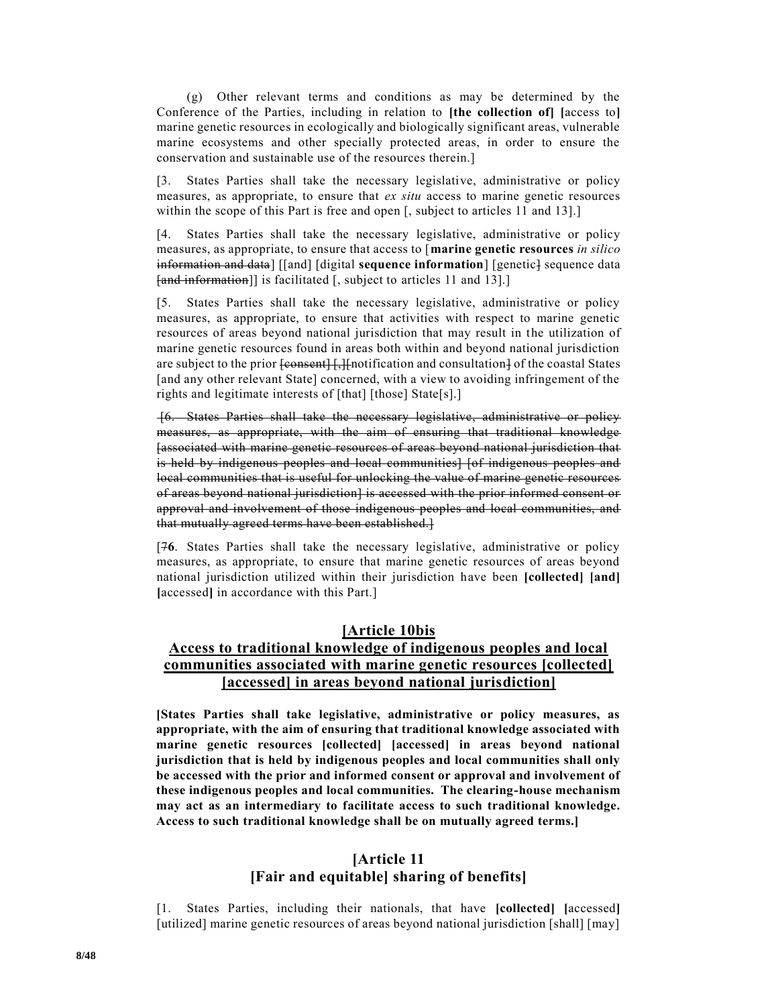(g) Other relevant terms and conditions as may be determined by the Conference of the Parties, including in relation to **[the collection of] [**access to**]** marine genetic resources in ecologically and biologically significant areas, vulnerable marine ecosystems and other specially protected areas, in order to ensure the conservation and sustainable use of the resources therein.]

[3. States Parties shall take the necessary legislative, administrative or policy measures, as appropriate, to ensure that *ex situ* access to marine genetic resources within the scope of this Part is free and open [, subject to articles 11 and 13].]

[4. States Parties shall take the necessary legislative, administrative or policy measures, as appropriate, to ensure that access to [**marine genetic resources** *in silico* information and data] [[and] [digital **sequence information**] [genetic] sequence data [and information]] is facilitated [, subject to articles 11 and 13].]

[5. States Parties shall take the necessary legislative, administrative or policy measures, as appropriate, to ensure that activities with respect to marine genetic resources of areas beyond national jurisdiction that may result in the utilization of marine genetic resources found in areas both within and beyond national jurisdiction are subject to the prior  $\overline{\text{feonsent}}$  [, ][notification and consultation] of the coastal States [and any other relevant State] concerned, with a view to avoiding infringement of the rights and legitimate interests of [that] [those] State[s].]

[6. States Parties shall take the necessary legislative, administrative or policy measures, as appropriate, with the aim of ensuring that traditional knowledge [associated with marine genetic resources of areas beyond national jurisdiction that is held by indigenous peoples and local communities] [of indigenous peoples and local communities that is useful for unlocking the value of marine genetic resources of areas beyond national jurisdiction] is accessed with the prior informed consent or approval and involvement of those indigenous peoples and local communities, and that mutually agreed terms have been established.]

[7**6**. States Parties shall take the necessary legislative, administrative or policy measures, as appropriate, to ensure that marine genetic resources of areas beyond national jurisdiction utilized within their jurisdiction have been **[collected] [and] [**accessed**]** in accordance with this Part.]

#### **[Article 10bis**

# **Access to traditional knowledge of indigenous peoples and local communities associated with marine genetic resources [collected] [accessed] in areas beyond national jurisdiction]**

**[States Parties shall take legislative, administrative or policy measures, as appropriate, with the aim of ensuring that traditional knowledge associated with marine genetic resources [collected] [accessed] in areas beyond national jurisdiction that is held by indigenous peoples and local communities shall only be accessed with the prior and informed consent or approval and involvement of these indigenous peoples and local communities. The clearing-house mechanism may act as an intermediary to facilitate access to such traditional knowledge. Access to such traditional knowledge shall be on mutually agreed terms.]** 

# **[Article 11 [Fair and equitable] sharing of benefits]**

[1. States Parties, including their nationals, that have **[collected] [**accessed**]** [utilized] marine genetic resources of areas beyond national jurisdiction [shall] [may]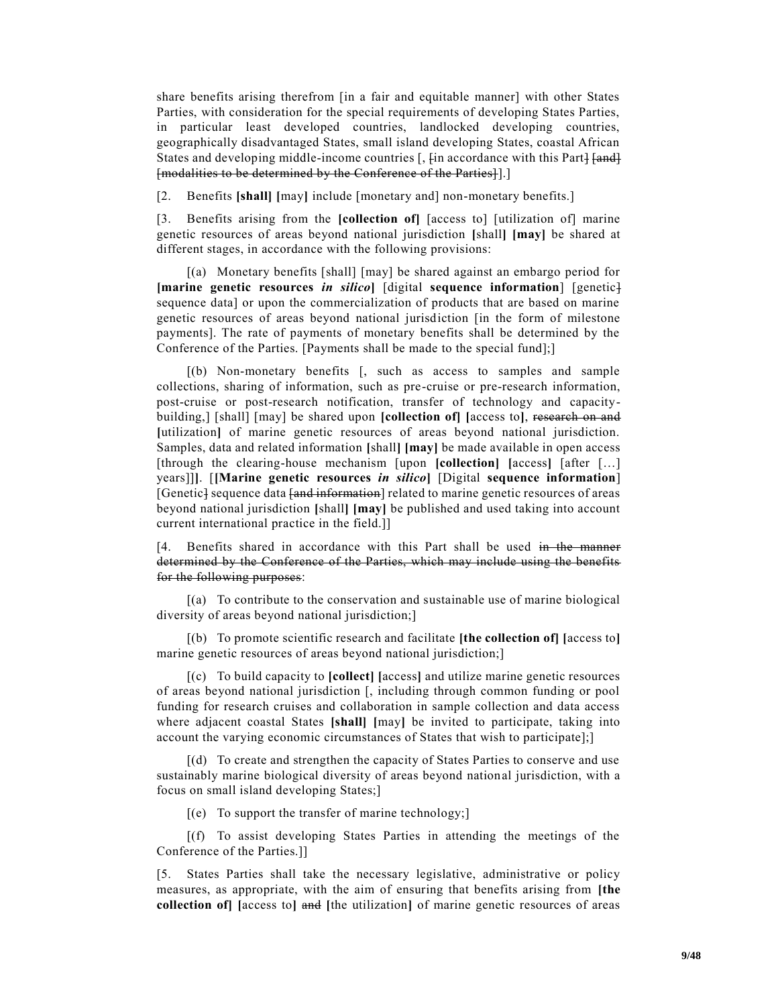share benefits arising therefrom [in a fair and equitable manner] with other States Parties, with consideration for the special requirements of developing States Parties, in particular least developed countries, landlocked developing countries, geographically disadvantaged States, small island developing States, coastal African States and developing middle-income countries [,  $\varphi$  [in accordance with this Part]  $\varphi$  [and] [modalities to be determined by the Conference of the Parties]].]

[2. Benefits **[shall] [**may**]** include [monetary and] non-monetary benefits.]

[3. Benefits arising from the **[collection of]** [access to] [utilization of] marine genetic resources of areas beyond national jurisdiction **[**shall**] [may]** be shared at different stages, in accordance with the following provisions:

[(a) Monetary benefits [shall] [may] be shared against an embargo period for **[marine genetic resources** *in silico***]** [digital **sequence information**] [genetic] sequence data] or upon the commercialization of products that are based on marine genetic resources of areas beyond national jurisdiction [in the form of milestone payments]. The rate of payments of monetary benefits shall be determined by the Conference of the Parties. [Payments shall be made to the special fund];]

[(b) Non-monetary benefits [, such as access to samples and sample collections, sharing of information, such as pre-cruise or pre-research information, post-cruise or post-research notification, transfer of technology and capacitybuilding,] [shall] [may] be shared upon **[collection of] [**access to**]**, research on and **[**utilization**]** of marine genetic resources of areas beyond national jurisdiction. Samples, data and related information **[**shall**] [may]** be made available in open access [through the clearing-house mechanism [upon **[collection] [**access**]** [after […] years]]**]**. [**[Marine genetic resources** *in silico***]** [Digital **sequence information**] [Genetic] sequence data <del>[and information</del>] related to marine genetic resources of areas beyond national jurisdiction **[**shall**] [may]** be published and used taking into account current international practice in the field.]]

[4. Benefits shared in accordance with this Part shall be used in the manner determined by the Conference of the Parties, which may include using the benefits for the following purposes:

[(a) To contribute to the conservation and sustainable use of marine biological diversity of areas beyond national jurisdiction;]

[(b) To promote scientific research and facilitate **[the collection of] [**access to**]** marine genetic resources of areas beyond national jurisdiction;

[(c) To build capacity to **[collect] [**access**]** and utilize marine genetic resources of areas beyond national jurisdiction [, including through common funding or pool funding for research cruises and collaboration in sample collection and data access where adjacent coastal States **[shall] [**may**]** be invited to participate, taking into account the varying economic circumstances of States that wish to participate];]

[(d) To create and strengthen the capacity of States Parties to conserve and use sustainably marine biological diversity of areas beyond national jurisdiction, with a focus on small island developing States;]

 $[(e)$  To support the transfer of marine technology;

[(f) To assist developing States Parties in attending the meetings of the Conference of the Parties.]]

[5. States Parties shall take the necessary legislative, administrative or policy measures, as appropriate, with the aim of ensuring that benefits arising from **[the collection of] [**access to**]** and **[**the utilization**]** of marine genetic resources of areas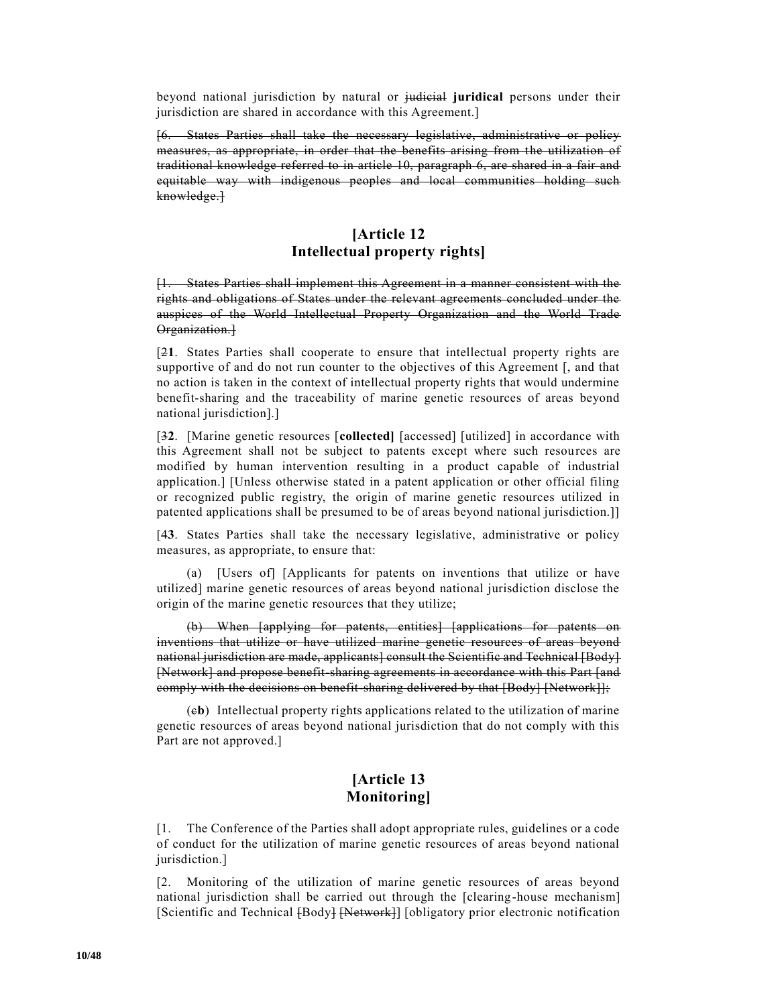beyond national jurisdiction by natural or judicial **juridical** persons under their jurisdiction are shared in accordance with this Agreement.]

[6. States Parties shall take the necessary legislative, administrative or policy measures, as appropriate, in order that the benefits arising from the utilization of traditional knowledge referred to in article 10, paragraph 6, are shared in a fair and equitable way with indigenous peoples and local communities holding such knowledge.]

# **[Article 12 Intellectual property rights]**

[1. States Parties shall implement this Agreement in a manner consistent with the rights and obligations of States under the relevant agreements concluded under the auspices of the World Intellectual Property Organization and the World Trade Organization.]

[2**1**. States Parties shall cooperate to ensure that intellectual property rights are supportive of and do not run counter to the objectives of this Agreement [, and that no action is taken in the context of intellectual property rights that would undermine benefit-sharing and the traceability of marine genetic resources of areas beyond national jurisdiction].]

[3**2**. [Marine genetic resources [**collected]** [accessed] [utilized] in accordance with this Agreement shall not be subject to patents except where such resources are modified by human intervention resulting in a product capable of industrial application.] [Unless otherwise stated in a patent application or other official filing or recognized public registry, the origin of marine genetic resources utilized in patented applications shall be presumed to be of areas beyond national jurisdiction.]]

[4**3**. States Parties shall take the necessary legislative, administrative or policy measures, as appropriate, to ensure that:

(a) [Users of] [Applicants for patents on inventions that utilize or have utilized] marine genetic resources of areas beyond national jurisdiction disclose the origin of the marine genetic resources that they utilize;

(b) When [applying for patents, entities] [applications for patents on inventions that utilize or have utilized marine genetic resources of areas beyond national jurisdiction are made, applicants] consult the Scientific and Technical [Body] [Network] and propose benefit-sharing agreements in accordance with this Part [and comply with the decisions on benefit-sharing delivered by that [Body] [Network]];

(c**b**) Intellectual property rights applications related to the utilization of marine genetic resources of areas beyond national jurisdiction that do not comply with this Part are not approved.]

## **[Article 13 Monitoring]**

[1. The Conference of the Parties shall adopt appropriate rules, guidelines or a code of conduct for the utilization of marine genetic resources of areas beyond national jurisdiction.]

[2. Monitoring of the utilization of marine genetic resources of areas beyond national jurisdiction shall be carried out through the [clearing-house mechanism] [Scientific and Technical [Body] [Network]] [obligatory prior electronic notification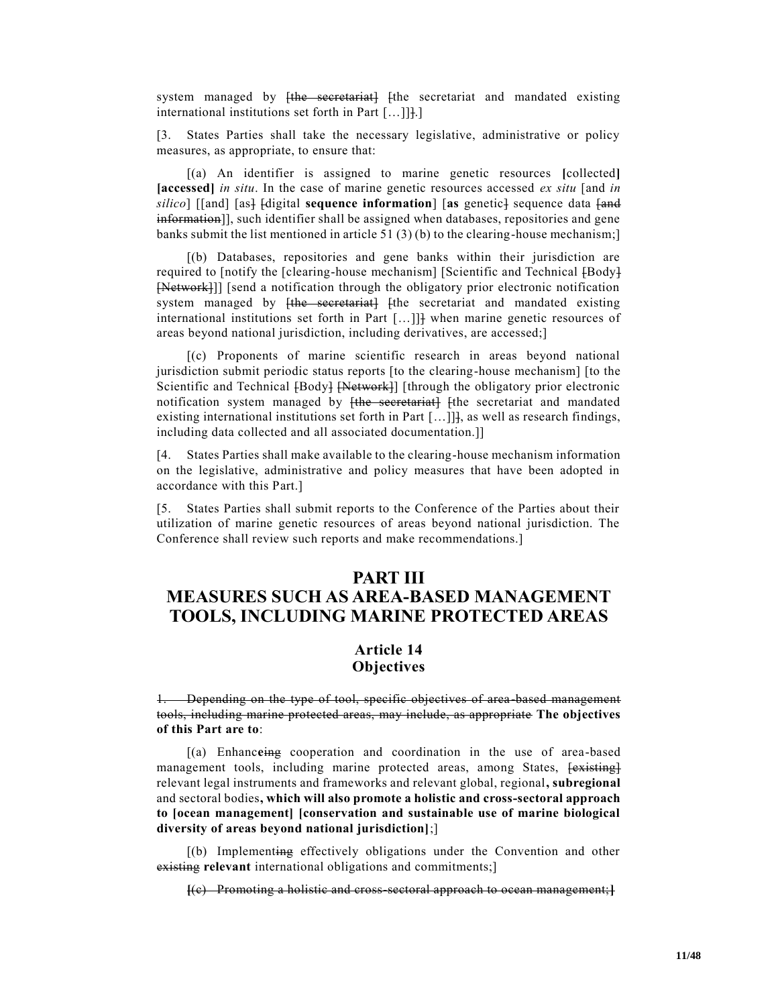system managed by <del>[the secretariat]</del> [the secretariat and mandated existing international institutions set forth in Part [...]]].]

[3. States Parties shall take the necessary legislative, administrative or policy measures, as appropriate, to ensure that:

[(a) An identifier is assigned to marine genetic resources **[**collected**] [accessed]** *in situ*. In the case of marine genetic resources accessed *ex situ* [and *in*  silico] [[and] [as] [digital **sequence information**] [as genetic] sequence data [and information]], such identifier shall be assigned when databases, repositories and gene banks submit the list mentioned in article 51 (3) (b) to the clearing-house mechanism;

[(b) Databases, repositories and gene banks within their jurisdiction are required to [notify the [clearing-house mechanism] [Scientific and Technical [Body] [Network]] [send a notification through the obligatory prior electronic notification system managed by [the secretariat] [the secretariat and mandated existing international institutions set forth in Part […]]] when marine genetic resources of areas beyond national jurisdiction, including derivatives, are accessed;]

[(c) Proponents of marine scientific research in areas beyond national jurisdiction submit periodic status reports [to the clearing-house mechanism] [to the Scientific and Technical [Body] [Network]] [through the obligatory prior electronic notification system managed by [the secretariat] [the secretariat and mandated existing international institutions set forth in Part […]]], as well as research findings, including data collected and all associated documentation.]]

[4. States Parties shall make available to the clearing-house mechanism information on the legislative, administrative and policy measures that have been adopted in accordance with this Part.]

[5. States Parties shall submit reports to the Conference of the Parties about their utilization of marine genetic resources of areas beyond national jurisdiction. The Conference shall review such reports and make recommendations.]

#### **PART III**

# **MEASURES SUCH AS AREA-BASED MANAGEMENT TOOLS, INCLUDING MARINE PROTECTED AREAS**

## **Article 14 Objectives**

1. Depending on the type of tool, specific objectives of area-based management tools, including marine protected areas, may include, as appropriate **The objectives of this Part are to**:

[(a) Enhanc**e**ing cooperation and coordination in the use of area-based management tools, including marine protected areas, among States, [existing] relevant legal instruments and frameworks and relevant global, regional**, subregional** and sectoral bodies**, which will also promote a holistic and cross-sectoral approach to [ocean management] [conservation and sustainable use of marine biological diversity of areas beyond national jurisdiction]**;]

[(b) Implementing effectively obligations under the Convention and other existing **relevant** international obligations and commitments;]

**[**(c) Promoting a holistic and cross-sectoral approach to ocean management;**]**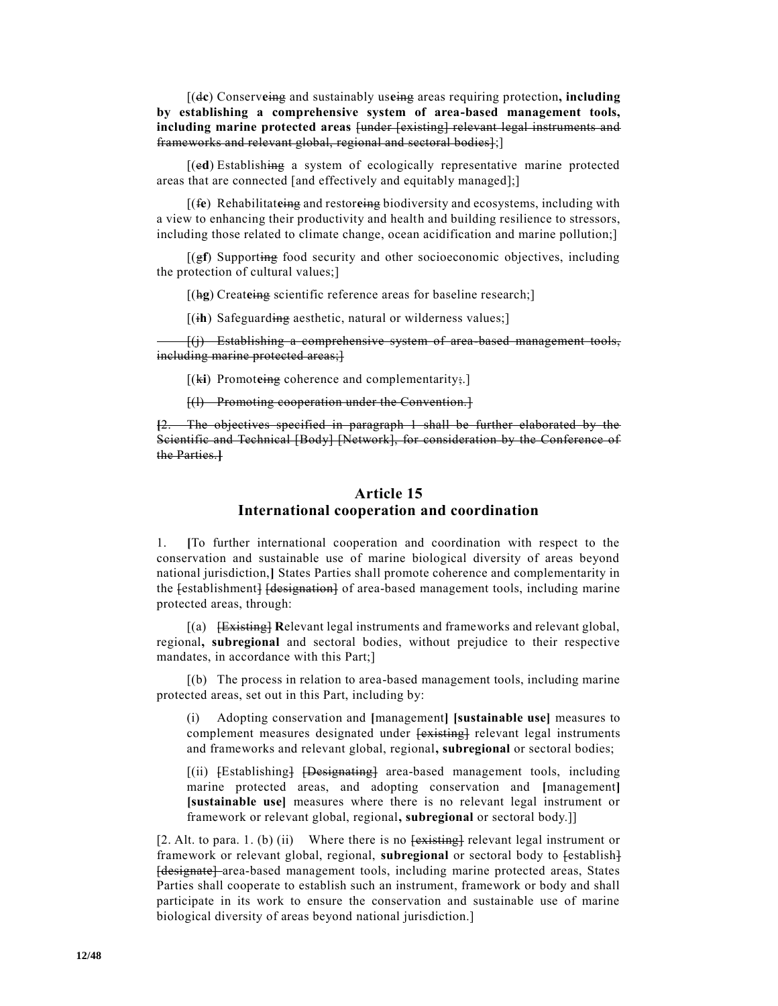[(d**c**) Conserv**e**ing and sustainably us**e**ing areas requiring protection**, including by establishing a comprehensive system of area-based management tools, including marine protected areas** [under [existing] relevant legal instruments and frameworks and relevant global, regional and sectoral bodies];]

[(e**d**) Establishing a system of ecologically representative marine protected areas that are connected [and effectively and equitably managed];]

[(f**e**) Rehabilitat**e**ing and restor**e**ing biodiversity and ecosystems, including with a view to enhancing their productivity and health and building resilience to stressors, including those related to climate change, ocean acidification and marine pollution;]

[(g**f**) Supporting food security and other socioeconomic objectives, including the protection of cultural values;]

[(hg) Createing scientific reference areas for baseline research;]

[(i**h**) Safeguarding aesthetic, natural or wilderness values;]

[(j) Establishing a comprehensive system of area-based management tools, including marine protected areas;}

[(ki) Promoteing coherence and complementarity;.]

[(l) Promoting cooperation under the Convention.]

**[**2. The objectives specified in paragraph 1 shall be further elaborated by the Scientific and Technical [Body] [Network], for consideration by the Conference of the Parties.**]**

#### **Article 15 International cooperation and coordination**

1. **[**To further international cooperation and coordination with respect to the conservation and sustainable use of marine biological diversity of areas beyond national jurisdiction,**]** States Parties shall promote coherence and complementarity in the festablishment. [designation] of area-based management tools, including marine protected areas, through:

[(a) [Existing] **R**elevant legal instruments and frameworks and relevant global, regional**, subregional** and sectoral bodies, without prejudice to their respective mandates, in accordance with this Part;]

[(b) The process in relation to area-based management tools, including marine protected areas, set out in this Part, including by:

(i) Adopting conservation and **[**management**] [sustainable use]** measures to complement measures designated under  $\frac{1}{x}$  relevant legal instruments and frameworks and relevant global, regional**, subregional** or sectoral bodies;

[(ii) [Establishing] [Designating] area-based management tools, including marine protected areas, and adopting conservation and **[**management**] [sustainable use]** measures where there is no relevant legal instrument or framework or relevant global, regional**, subregional** or sectoral body.]]

[2. Alt. to para. 1. (b) (ii) Where there is no  $\frac{existing}{existing}$  relevant legal instrument or framework or relevant global, regional, **subregional** or sectoral body to  $\{\text{establish}\}$ [designate] area-based management tools, including marine protected areas, States Parties shall cooperate to establish such an instrument, framework or body and shall participate in its work to ensure the conservation and sustainable use of marine biological diversity of areas beyond national jurisdiction.]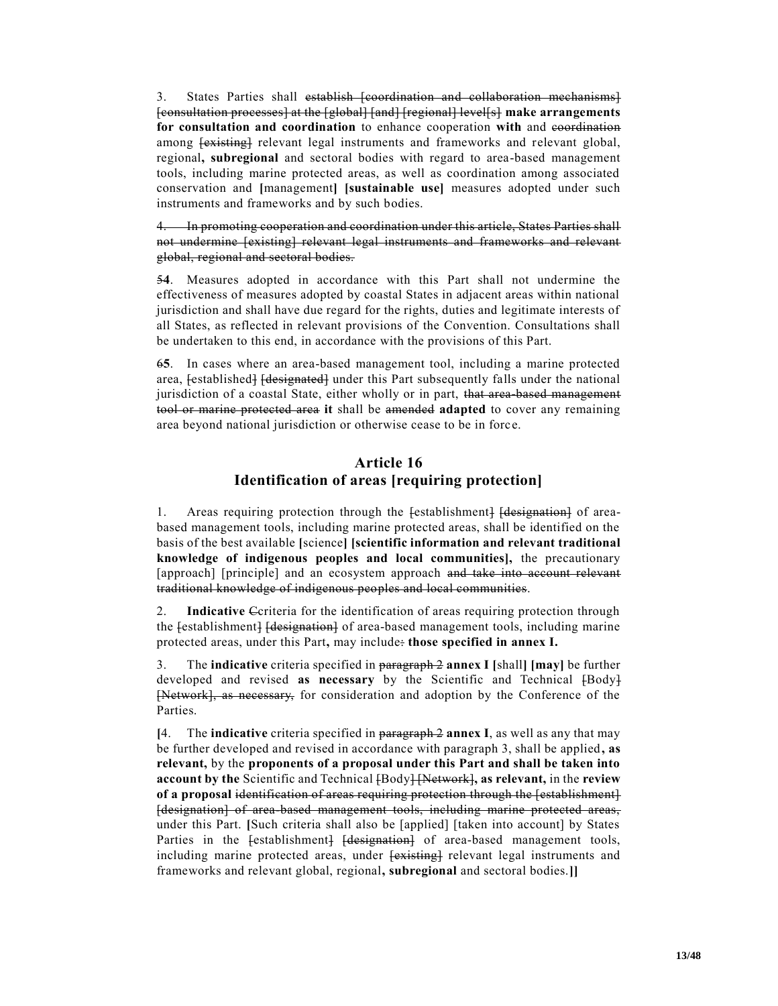3. States Parties shall establish [coordination and collaboration mechanisms] [consultation processes] at the [global] [and] [regional] level[s] **make arrangements for consultation and coordination** to enhance cooperation **with** and coordination among  $\{$ existing} relevant legal instruments and frameworks and relevant global, regional**, subregional** and sectoral bodies with regard to area-based management tools, including marine protected areas, as well as coordination among associated conservation and **[**management**] [sustainable use]** measures adopted under such instruments and frameworks and by such bodies.

4. In promoting cooperation and coordination under this article, States Parties shall not undermine [existing] relevant legal instruments and frameworks and relevant global, regional and sectoral bodies.

5**4**. Measures adopted in accordance with this Part shall not undermine the effectiveness of measures adopted by coastal States in adjacent areas within national jurisdiction and shall have due regard for the rights, duties and legitimate interests of all States, as reflected in relevant provisions of the Convention. Consultations shall be undertaken to this end, in accordance with the provisions of this Part.

6**5**. In cases where an area-based management tool, including a marine protected area, [established] [designated] under this Part subsequently falls under the national jurisdiction of a coastal State, either wholly or in part, that area based management tool or marine protected area **it** shall be amended **adapted** to cover any remaining area beyond national jurisdiction or otherwise cease to be in forc e.

#### **Article 16 Identification of areas [requiring protection]**

1. Areas requiring protection through the festablishment. Here is a fareabased management tools, including marine protected areas, shall be identified on the basis of the best available **[**science**] [scientific information and relevant traditional knowledge of indigenous peoples and local communities],** the precautionary [approach] [principle] and an ecosystem approach and take into account relevant traditional knowledge of indigenous peoples and local communities.

2. **Indicative** Ccriteria for the identification of areas requiring protection through the festablishment. [designation] of area-based management tools, including marine protected areas, under this Part**,** may include: **those specified in annex I.**

3. The **indicative** criteria specified in paragraph 2 **annex I [**shall**] [may]** be further developed and revised **as necessary** by the Scientific and Technical  $\{Body\}$ [Network], as necessary, for consideration and adoption by the Conference of the Parties.

**[**4. The **indicative** criteria specified in paragraph 2 **annex I**, as well as any that may be further developed and revised in accordance with paragraph 3, shall be applied, as **relevant,** by the **proponents of a proposal under this Part and shall be taken into account by the** Scientific and Technical [Body] [Network]**, as relevant,** in the **review of a proposal** identification of areas requiring protection through the [establishment] [designation] of area-based management tools, including marine protected areas, under this Part. **[**Such criteria shall also be [applied] [taken into account] by States Parties in the festablishment] [designation] of area-based management tools, including marine protected areas, under  $\overline{\text{lexical}}$  relevant legal instruments and frameworks and relevant global, regional**, subregional** and sectoral bodies.**]]**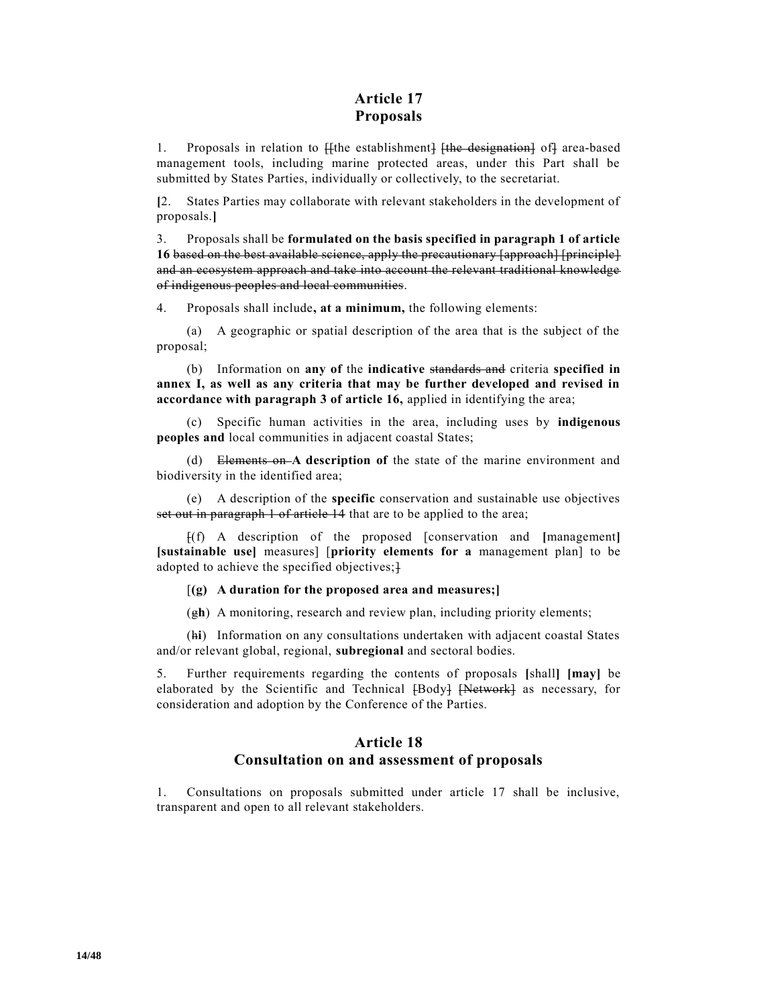# **Article 17 Proposals**

1. Proposals in relation to  $\frac{1}{1}$  [the establishment]  $\frac{1}{1}$  [the designation] of] area-based management tools, including marine protected areas, under this Part shall be submitted by States Parties, individually or collectively, to the secretariat.

**[**2. States Parties may collaborate with relevant stakeholders in the development of proposals.**]**

3. Proposals shall be **formulated on the basis specified in paragraph 1 of article 16** based on the best available science, apply the precautionary [approach] [principle] and an ecosystem approach and take into account the relevant traditional knowledge of indigenous peoples and local communities.

4. Proposals shall include**, at a minimum,** the following elements:

(a) A geographic or spatial description of the area that is the subject of the proposal;

(b) Information on **any of** the **indicative** standards and criteria **specified in annex I, as well as any criteria that may be further developed and revised in accordance with paragraph 3 of article 16,** applied in identifying the area;

(c) Specific human activities in the area, including uses by **indigenous peoples and** local communities in adjacent coastal States;

(d) Elements on **A description of** the state of the marine environment and biodiversity in the identified area;

(e) A description of the **specific** conservation and sustainable use objectives set out in paragraph 1 of article 14 that are to be applied to the area;

[(f) A description of the proposed [conservation and **[**management**] [sustainable use]** measures] [**priority elements for a** management plan] to be adopted to achieve the specified objectives;<sup>}</sup>

[**(g) A duration for the proposed area and measures;]**

(g**h**) A monitoring, research and review plan, including priority elements;

(h**i**) Information on any consultations undertaken with adjacent coastal States and/or relevant global, regional, **subregional** and sectoral bodies.

5. Further requirements regarding the contents of proposals **[**shall**] [may]** be elaborated by the Scientific and Technical [Body] [Network] as necessary, for consideration and adoption by the Conference of the Parties.

#### **Article 18 Consultation on and assessment of proposals**

1. Consultations on proposals submitted under article 17 shall be inclusive, transparent and open to all relevant stakeholders.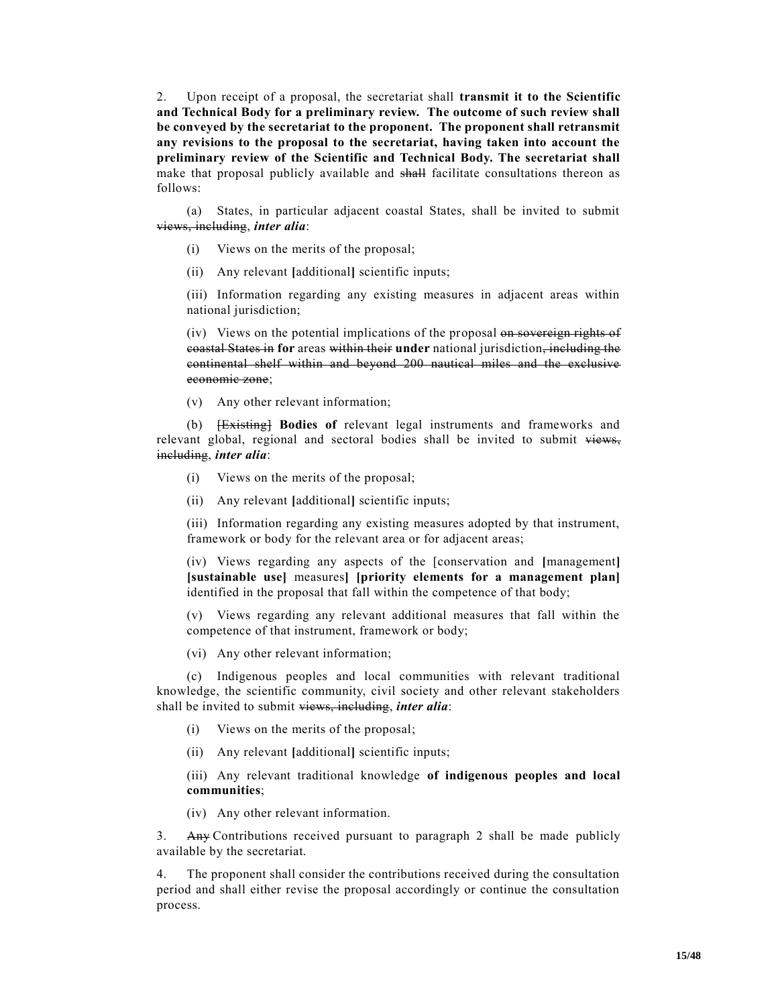2. Upon receipt of a proposal, the secretariat shall **transmit it to the Scientific and Technical Body for a preliminary review. The outcome of such review shall be conveyed by the secretariat to the proponent. The proponent shall retransmit any revisions to the proposal to the secretariat, having taken into account the preliminary review of the Scientific and Technical Body. The secretariat shall**  make that proposal publicly available and shall facilitate consultations thereon as follows:

(a) States, in particular adjacent coastal States, shall be invited to submit views, including, *inter alia*:

- (i) Views on the merits of the proposal;
- (ii) Any relevant **[**additional**]** scientific inputs;

(iii) Information regarding any existing measures in adjacent areas within national jurisdiction;

(iv) Views on the potential implications of the proposal on sovereign rights of coastal States in **for** areas within their **under** national jurisdiction, including the continental shelf within and beyond 200 nautical miles and the exclusive economic zone;

(v) Any other relevant information;

(b) [Existing] **Bodies of** relevant legal instruments and frameworks and relevant global, regional and sectoral bodies shall be invited to submit views, including, *inter alia*:

- (i) Views on the merits of the proposal;
- (ii) Any relevant **[**additional**]** scientific inputs;

(iii) Information regarding any existing measures adopted by that instrument, framework or body for the relevant area or for adjacent areas;

(iv) Views regarding any aspects of the [conservation and **[**management**] [sustainable use]** measures**] [priority elements for a management plan]** identified in the proposal that fall within the competence of that body;

(v) Views regarding any relevant additional measures that fall within the competence of that instrument, framework or body;

(vi) Any other relevant information;

(c) Indigenous peoples and local communities with relevant traditional knowledge, the scientific community, civil society and other relevant stakeholders shall be invited to submit views, including, *inter alia*:

- (i) Views on the merits of the proposal;
- (ii) Any relevant **[**additional**]** scientific inputs;

(iii) Any relevant traditional knowledge **of indigenous peoples and local communities**;

(iv) Any other relevant information.

3. Any Contributions received pursuant to paragraph 2 shall be made publicly available by the secretariat.

4. The proponent shall consider the contributions received during the consultation period and shall either revise the proposal accordingly or continue the consultation process.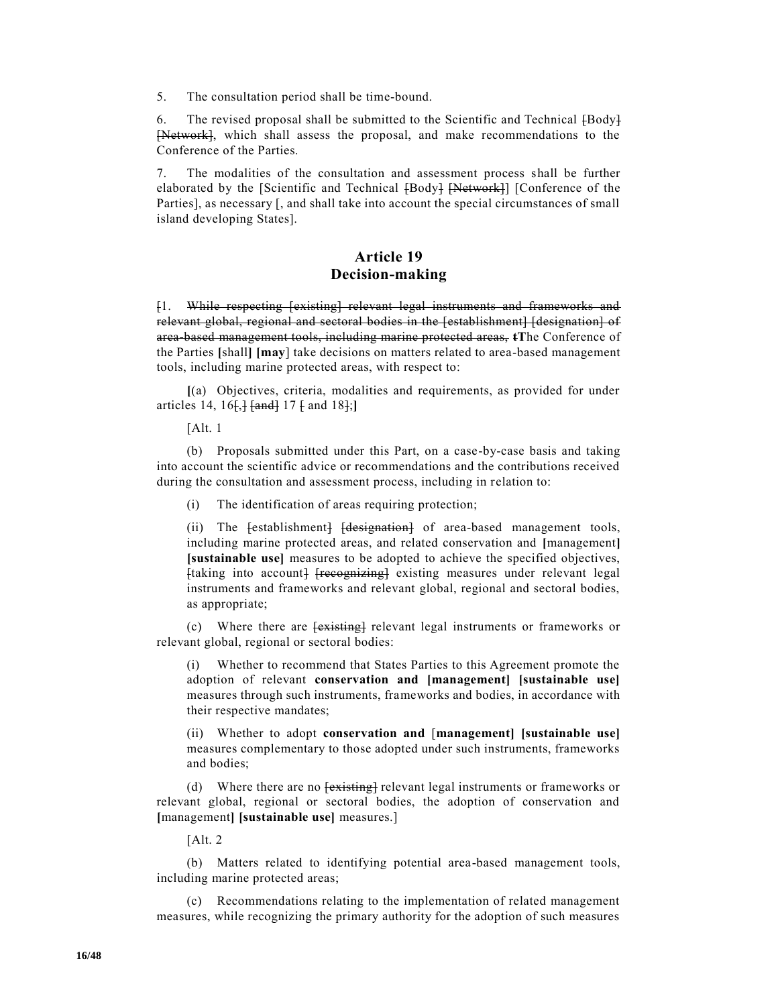5. The consultation period shall be time-bound.

6. The revised proposal shall be submitted to the Scientific and Technical [Body] [Network], which shall assess the proposal, and make recommendations to the Conference of the Parties.

7. The modalities of the consultation and assessment process shall be further elaborated by the [Scientific and Technical [Body] [Network]] [Conference of the Parties], as necessary [, and shall take into account the special circumstances of small island developing States].

### **Article 19 Decision-making**

[1. While respecting [existing] relevant legal instruments and frameworks and relevant global, regional and sectoral bodies in the [establishment] [designation] of area-based management tools, including marine protected areas, **tT**he Conference of the Parties **[**shall**] [may**] take decisions on matters related to area-based management tools, including marine protected areas, with respect to:

**[**(a) Objectives, criteria, modalities and requirements, as provided for under articles 14, 16[,] [and] 17 [ and 18];**]**

 $[Alt. 1]$ 

(b) Proposals submitted under this Part, on a case-by-case basis and taking into account the scientific advice or recommendations and the contributions received during the consultation and assessment process, including in relation to:

(i) The identification of areas requiring protection;

(ii) The festablishment} [designation] of area-based management tools, including marine protected areas, and related conservation and **[**management**] [sustainable use]** measures to be adopted to achieve the specified objectives, [taking into account] [recognizing] existing measures under relevant legal instruments and frameworks and relevant global, regional and sectoral bodies, as appropriate;

(c) Where there are  $\overline{\text{|\text{existing}|}}$  relevant legal instruments or frameworks or relevant global, regional or sectoral bodies:

(i) Whether to recommend that States Parties to this Agreement promote the adoption of relevant **conservation and [management] [sustainable use]**  measures through such instruments, frameworks and bodies, in accordance with their respective mandates;

(ii) Whether to adopt **conservation and** [**management] [sustainable use]**  measures complementary to those adopted under such instruments, frameworks and bodies;

(d) Where there are no  $\frac{1}{x}$  relevant legal instruments or frameworks or relevant global, regional or sectoral bodies, the adoption of conservation and **[**management**] [sustainable use]** measures.]

[Alt. 2

(b) Matters related to identifying potential area-based management tools, including marine protected areas;

(c) Recommendations relating to the implementation of related management measures, while recognizing the primary authority for the adoption of such measures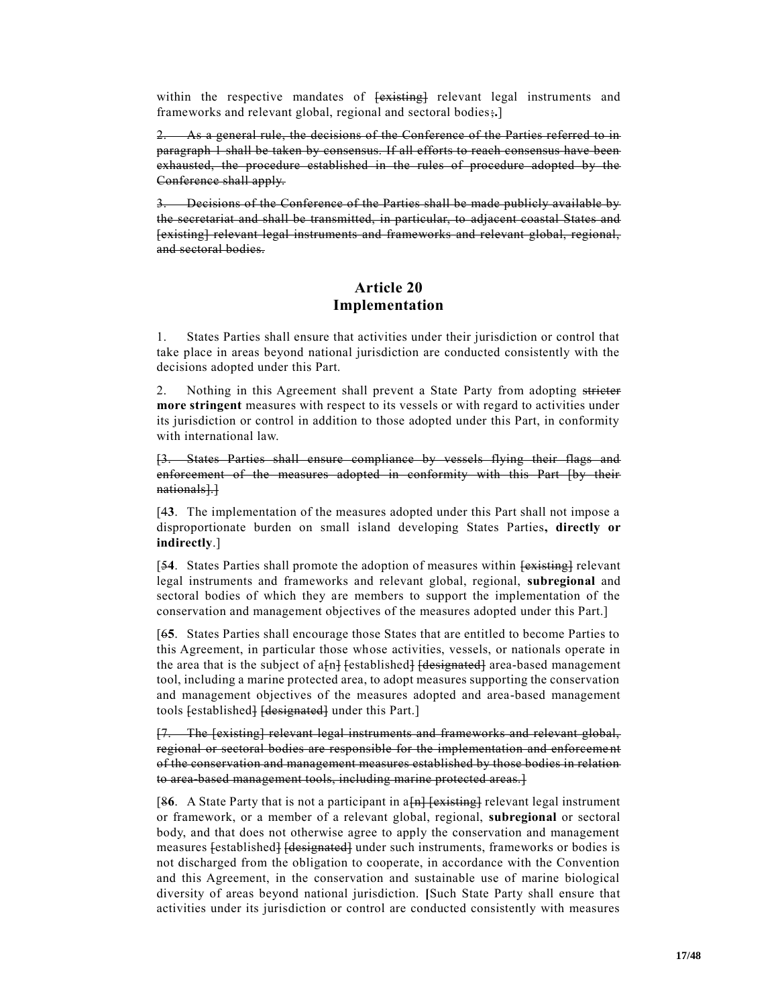within the respective mandates of  $\overline{\text{|\text{existing}|}}$  relevant legal instruments and frameworks and relevant global, regional and sectoral bodies;**.**]

2. As a general rule, the decisions of the Conference of the Parties referred to in paragraph 1 shall be taken by consensus. If all efforts to reach consensus have been exhausted, the procedure established in the rules of procedure adopted by the Conference shall apply.

3. Decisions of the Conference of the Parties shall be made publicly available by the secretariat and shall be transmitted, in particular, to adjacent coastal States and [existing] relevant legal instruments and frameworks and relevant global, regional, and sectoral bodies.

#### **Article 20 Implementation**

1. States Parties shall ensure that activities under their jurisdiction or control that take place in areas beyond national jurisdiction are conducted consistently with the decisions adopted under this Part.

2. Nothing in this Agreement shall prevent a State Party from adopting stricter **more stringent** measures with respect to its vessels or with regard to activities under its jurisdiction or control in addition to those adopted under this Part, in conformity with international law.

[3. States Parties shall ensure compliance by vessels flying their flags and enforcement of the measures adopted in conformity with this Part [by their nationals].]

[4**3**. The implementation of the measures adopted under this Part shall not impose a disproportionate burden on small island developing States Parties**, directly or indirectly**.]

[54. States Parties shall promote the adoption of measures within  $\frac{1}{1}$  relevant legal instruments and frameworks and relevant global, regional, **subregional** and sectoral bodies of which they are members to support the implementation of the conservation and management objectives of the measures adopted under this Part.]

[6**5**. States Parties shall encourage those States that are entitled to become Parties to this Agreement, in particular those whose activities, vessels, or nationals operate in the area that is the subject of  $a_{n}$  [established] [designated] area-based management tool, including a marine protected area, to adopt measures supporting the conservation and management objectives of the measures adopted and area-based management tools [established] [designated] under this Part.]

[7. The [existing] relevant legal instruments and frameworks and relevant global, regional or sectoral bodies are responsible for the implementation and enforcement of the conservation and management measures established by those bodies in relation to area-based management tools, including marine protected areas.]

[86. A State Party that is not a participant in a<sup>[n]</sup> [existing] relevant legal instrument or framework, or a member of a relevant global, regional, **subregional** or sectoral body, and that does not otherwise agree to apply the conservation and management measures [established] [designated] under such instruments, frameworks or bodies is not discharged from the obligation to cooperate, in accordance with the Convention and this Agreement, in the conservation and sustainable use of marine biological diversity of areas beyond national jurisdiction. **[**Such State Party shall ensure that activities under its jurisdiction or control are conducted consistently with measures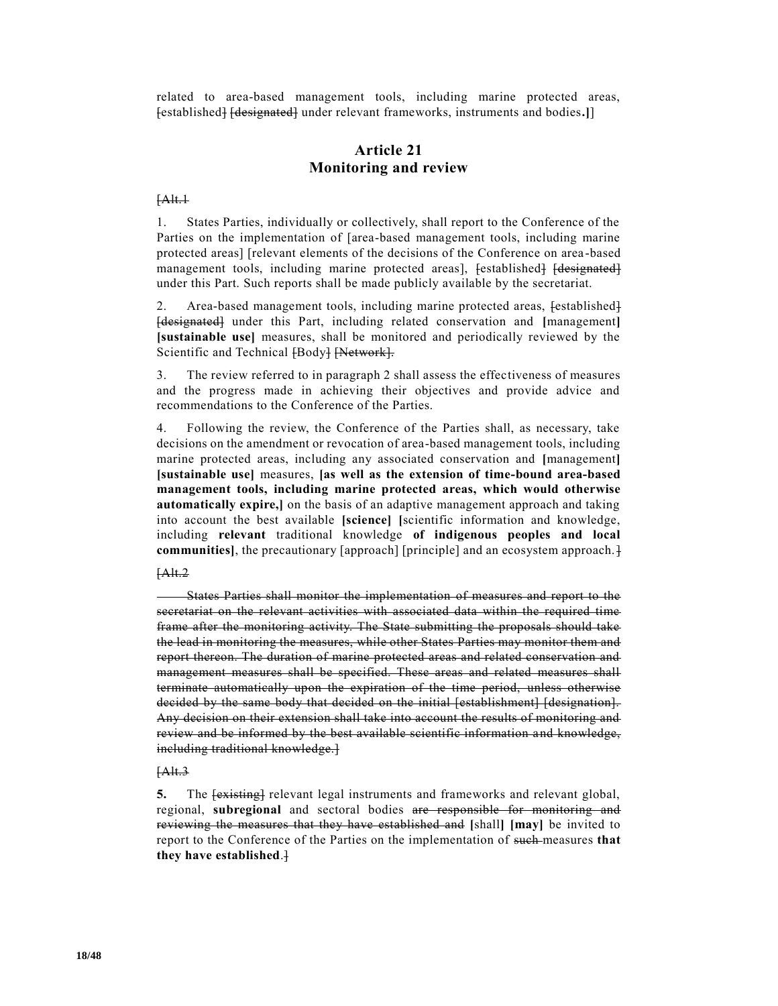related to area-based management tools, including marine protected areas, [established] [designated] under relevant frameworks, instruments and bodies**.]**]

# **Article 21 Monitoring and review**

#### [Alt.1

1. States Parties, individually or collectively, shall report to the Conference of the Parties on the implementation of [area-based management tools, including marine protected areas] [relevant elements of the decisions of the Conference on area -based management tools, including marine protected areas], [established] [designated] under this Part. Such reports shall be made publicly available by the secretariat.

2. Area-based management tools, including marine protected areas, [established] [designated] under this Part, including related conservation and **[**management**] [sustainable use]** measures, shall be monitored and periodically reviewed by the Scientific and Technical [Body] [Network].

3. The review referred to in paragraph 2 shall assess the effectiveness of measures and the progress made in achieving their objectives and provide advice and recommendations to the Conference of the Parties.

4. Following the review, the Conference of the Parties shall, as necessary, take decisions on the amendment or revocation of area-based management tools, including marine protected areas, including any associated conservation and **[**management**] [sustainable use]** measures, **[as well as the extension of time-bound area-based management tools, including marine protected areas, which would otherwise automatically expire,]** on the basis of an adaptive management approach and taking into account the best available **[science] [**scientific information and knowledge, including **relevant** traditional knowledge **of indigenous peoples and local communities**], the precautionary [approach] [principle] and an ecosystem approach.]

#### [Alt.2

States Parties shall monitor the implementation of measures and report to the secretariat on the relevant activities with associated data within the required time frame after the monitoring activity. The State submitting the proposals should take the lead in monitoring the measures, while other States Parties may monitor them and report thereon. The duration of marine protected areas and related conservation and management measures shall be specified. These areas and related measures shall terminate automatically upon the expiration of the time period, unless otherwise decided by the same body that decided on the initial [establishment] [designation]. Any decision on their extension shall take into account the results of monitoring and review and be informed by the best available scientific information and knowledge, including traditional knowledge.]

#### [Alt.3

**5.** The  $\frac{1}{1}$  **FextEX FixtEX** relevant legal instruments and frameworks and relevant global, regional, **subregional** and sectoral bodies are responsible for monitoring and reviewing the measures that they have established and **[**shall**] [may]** be invited to report to the Conference of the Parties on the implementation of such measures **that they have established**.]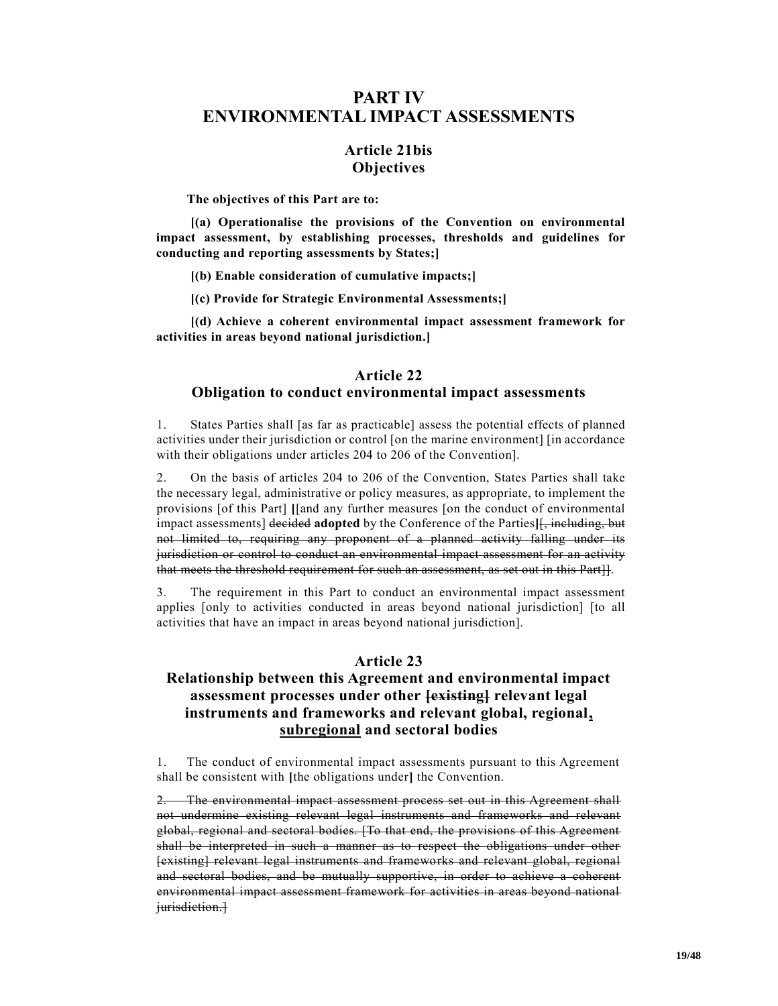# **PART IV ENVIRONMENTAL IMPACT ASSESSMENTS**

# **Article 21bis Objectives**

**The objectives of this Part are to:**

**[(a) Operationalise the provisions of the Convention on environmental impact assessment, by establishing processes, thresholds and guidelines for conducting and reporting assessments by States;]**

**[(b) Enable consideration of cumulative impacts;]**

**[(c) Provide for Strategic Environmental Assessments;]**

**[(d) Achieve a coherent environmental impact assessment framework for activities in areas beyond national jurisdiction.]**

#### **Article 22 Obligation to conduct environmental impact assessments**

1. States Parties shall [as far as practicable] assess the potential effects of planned activities under their jurisdiction or control [on the marine environment] [in accordance with their obligations under articles 204 to 206 of the Convention].

2. On the basis of articles 204 to 206 of the Convention, States Parties shall take the necessary legal, administrative or policy measures, as appropriate, to implement the provisions [of this Part] **[**[and any further measures [on the conduct of environmental impact assessments] decided **adopted** by the Conference of the Parties**]**[, including, but not limited to, requiring any proponent of a planned activity falling under its jurisdiction or control to conduct an environmental impact assessment for an activity that meets the threshold requirement for such an assessment, as set out in this Part]].

3. The requirement in this Part to conduct an environmental impact assessment applies [only to activities conducted in areas beyond national jurisdiction] [to all activities that have an impact in areas beyond national jurisdiction].

# **Article 23**

# **Relationship between this Agreement and environmental impact assessment processes under other [existing] relevant legal instruments and frameworks and relevant global, regional, subregional and sectoral bodies**

1. The conduct of environmental impact assessments pursuant to this Agreement shall be consistent with **[**the obligations under**]** the Convention.

2. The environmental impact assessment process set out in this Agreement shall not undermine existing relevant legal instruments and frameworks and relevant global, regional and sectoral bodies. [To that end, the provisions of this Agreement shall be interpreted in such a manner as to respect the obligations under other [existing] relevant legal instruments and frameworks and relevant global, regional and sectoral bodies, and be mutually supportive, in order to achieve a coherent environmental impact assessment framework for activities in areas beyond national jurisdiction.]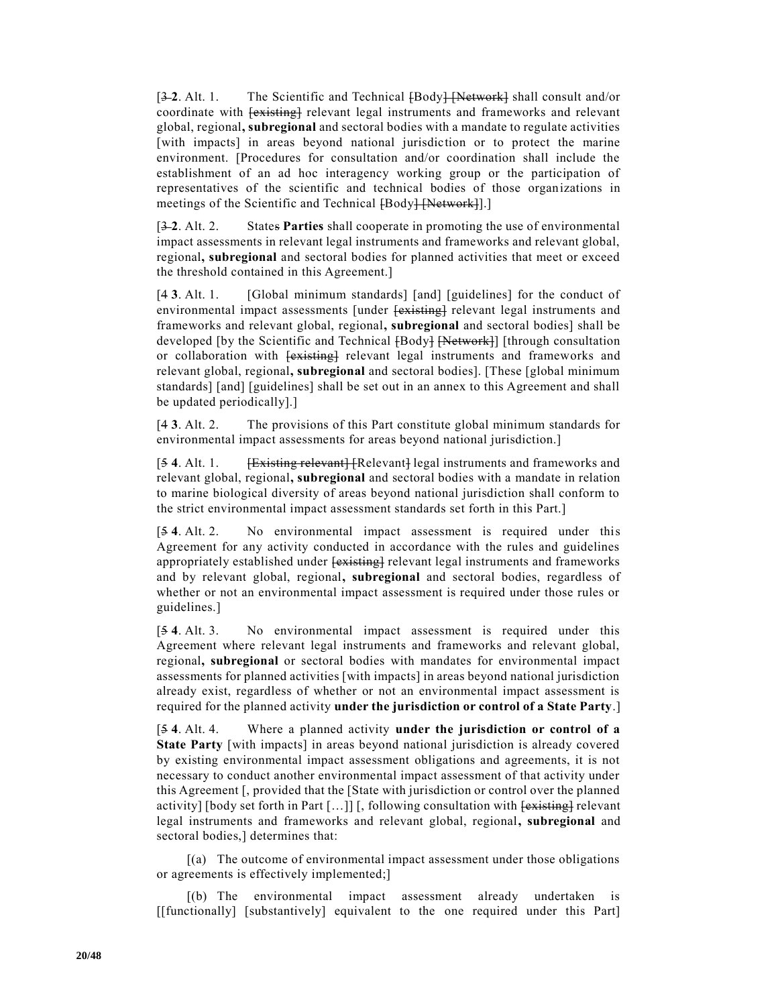[3-2. Alt. 1. The Scientific and Technical  $\text{FBody}$  [Network] shall consult and/or coordinate with  $\overline{\text{|\text{existing}|}}$  relevant legal instruments and frameworks and relevant global, regional**, subregional** and sectoral bodies with a mandate to regulate activities [with impacts] in areas beyond national jurisdiction or to protect the marine environment. [Procedures for consultation and/or coordination shall include the establishment of an ad hoc interagency working group or the participation of representatives of the scientific and technical bodies of those organizations in meetings of the Scientific and Technical [Body] [Network]].]

[3 **2**. Alt. 2. States **Parties** shall cooperate in promoting the use of environmental impact assessments in relevant legal instruments and frameworks and relevant global, regional**, subregional** and sectoral bodies for planned activities that meet or exceed the threshold contained in this Agreement.]

[4 **3**. Alt. 1. [Global minimum standards] [and] [guidelines] for the conduct of environmental impact assessments [under [existing] relevant legal instruments and frameworks and relevant global, regional**, subregional** and sectoral bodies] shall be developed [by the Scientific and Technical [Body] [Network]] [through consultation or collaboration with  $\overline{f$  existing relevant legal instruments and frameworks and relevant global, regional**, subregional** and sectoral bodies]. [These [global minimum standards] [and] [guidelines] shall be set out in an annex to this Agreement and shall be updated periodically].]

[4 **3**. Alt. 2. The provisions of this Part constitute global minimum standards for environmental impact assessments for areas beyond national jurisdiction.]

[54. Alt. 1. **Existing relevant**] [Relevant] legal instruments and frameworks and relevant global, regional**, subregional** and sectoral bodies with a mandate in relation to marine biological diversity of areas beyond national jurisdiction shall conform to the strict environmental impact assessment standards set forth in this Part.]

[5 **4**. Alt. 2. No environmental impact assessment is required under this Agreement for any activity conducted in accordance with the rules and guidelines appropriately established under  $\overline{\text{fexisting}}$  relevant legal instruments and frameworks and by relevant global, regional**, subregional** and sectoral bodies, regardless of whether or not an environmental impact assessment is required under those rules or guidelines.]

[5 **4**. Alt. 3. No environmental impact assessment is required under this Agreement where relevant legal instruments and frameworks and relevant global, regional**, subregional** or sectoral bodies with mandates for environmental impact assessments for planned activities [with impacts] in areas beyond national jurisdiction already exist, regardless of whether or not an environmental impact assessment is required for the planned activity **under the jurisdiction or control of a State Party**.]

[5 **4**. Alt. 4. Where a planned activity **under the jurisdiction or control of a State Party** [with impacts] in areas beyond national jurisdiction is already covered by existing environmental impact assessment obligations and agreements, it is not necessary to conduct another environmental impact assessment of that activity under this Agreement [, provided that the [State with jurisdiction or control over the planned activity] [body set forth in Part  $[...]$ ] [, following consultation with  $[$ existing] relevant legal instruments and frameworks and relevant global, regional**, subregional** and sectoral bodies,] determines that:

[(a) The outcome of environmental impact assessment under those obligations or agreements is effectively implemented;]

[(b) The environmental impact assessment already undertaken is [[functionally] [substantively] equivalent to the one required under this Part]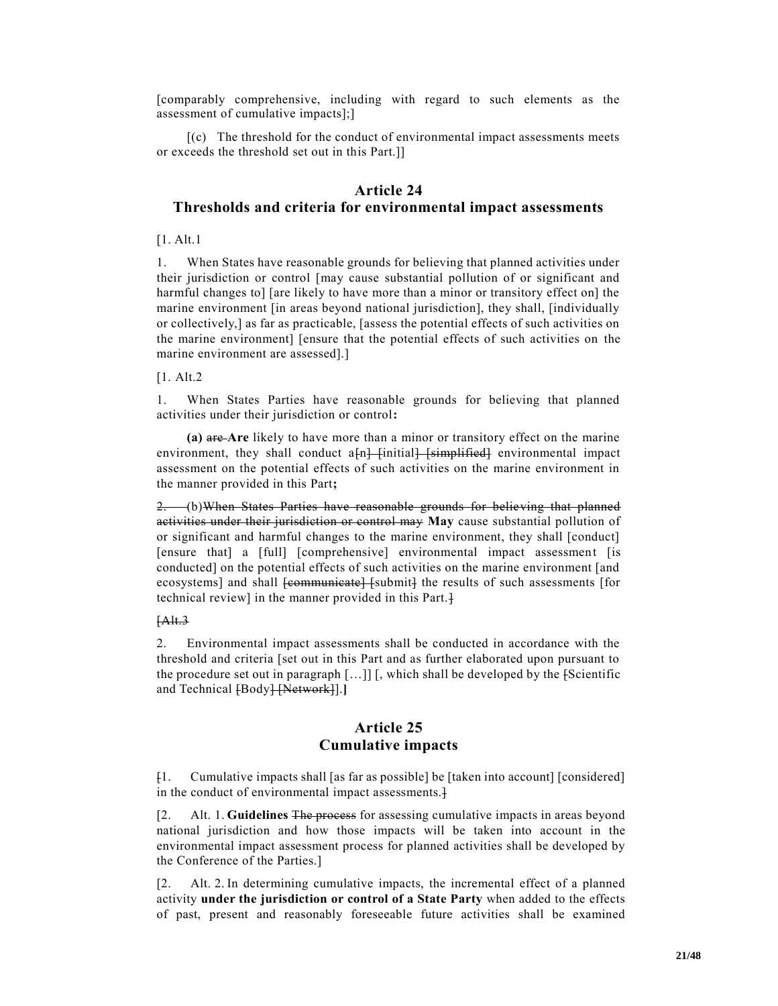[comparably comprehensive, including with regard to such elements as the assessment of cumulative impacts];]

 $[(c)$  The threshold for the conduct of environmental impact assessments meets or exceeds the threshold set out in this Part.]]

### **Article 24 Thresholds and criteria for environmental impact assessments**

[1. Alt.1]

1. When States have reasonable grounds for believing that planned activities under their jurisdiction or control [may cause substantial pollution of or significant and harmful changes to] [are likely to have more than a minor or transitory effect on] the marine environment [in areas beyond national jurisdiction], they shall, [individually or collectively,] as far as practicable, [assess the potential effects of such activities on the marine environment] [ensure that the potential effects of such activities on the marine environment are assessed].]

[1. Alt.2

1. When States Parties have reasonable grounds for believing that planned activities under their jurisdiction or control**:**

**(a)** are **Are** likely to have more than a minor or transitory effect on the marine environment, they shall conduct  $a_{n}$  [initial] [simplified] environmental impact assessment on the potential effects of such activities on the marine environment in the manner provided in this Part**;**

2. (b)When States Parties have reasonable grounds for believing that planned activities under their jurisdiction or control may **May** cause substantial pollution of or significant and harmful changes to the marine environment, they shall [conduct] [ensure that] a [full] [comprehensive] environmental impact assessment [is conducted] on the potential effects of such activities on the marine environment [and ecosystems] and shall <del>[communicate] [submit]</del> the results of such assessments [for technical review] in the manner provided in this Part.]

#### $[Alt.3]$

2. Environmental impact assessments shall be conducted in accordance with the threshold and criteria [set out in this Part and as further elaborated upon pursuant to the procedure set out in paragraph  $[\dots]$  [, which shall be developed by the [Scientific and Technical [Body] [Network]].

## **Article 25 Cumulative impacts**

[1. Cumulative impacts shall [as far as possible] be [taken into account] [considered] in the conduct of environmental impact assessments.

[2. Alt. 1. **Guidelines** The process for assessing cumulative impacts in areas beyond national jurisdiction and how those impacts will be taken into account in the environmental impact assessment process for planned activities shall be developed by the Conference of the Parties.]

[2. Alt. 2. In determining cumulative impacts, the incremental effect of a planned activity **under the jurisdiction or control of a State Party** when added to the effects of past, present and reasonably foreseeable future activities shall be examined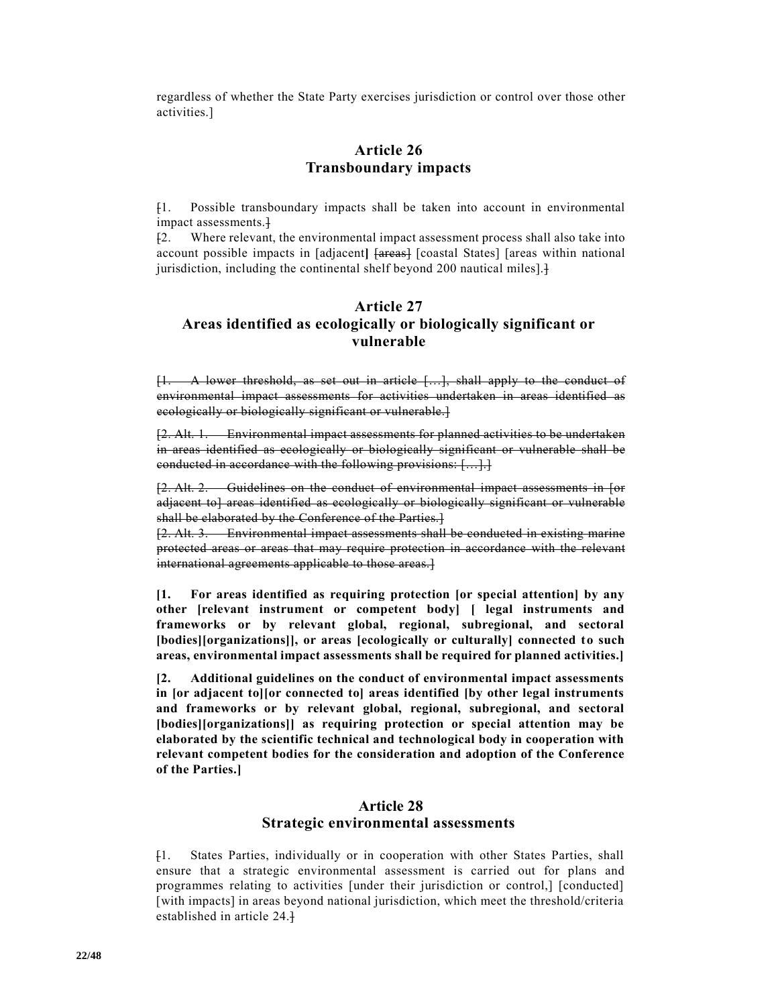regardless of whether the State Party exercises jurisdiction or control over those other activities.]

# **Article 26 Transboundary impacts**

[1. Possible transboundary impacts shall be taken into account in environmental impact assessments.]

[2. Where relevant, the environmental impact assessment process shall also take into account possible impacts in [adjacent**]** [areas] [coastal States] [areas within national jurisdiction, including the continental shelf beyond 200 nautical miles].

# **Article 27 Areas identified as ecologically or biologically significant or vulnerable**

[1. A lower threshold, as set out in article […], shall apply to the conduct of environmental impact assessments for activities undertaken in areas identified as ecologically or biologically significant or vulnerable.]

[2. Alt. 1. Environmental impact assessments for planned activities to be undertaken in areas identified as ecologically or biologically significant or vulnerable shall be conducted in accordance with the following provisions: […].]

[2. Alt. 2. Guidelines on the conduct of environmental impact assessments in [or adjacent to] areas identified as ecologically or biologically significant or vulnerable shall be elaborated by the Conference of the Parties.]

[2. Alt. 3. Environmental impact assessments shall be conducted in existing marine protected areas or areas that may require protection in accordance with the relevant international agreements applicable to those areas.

**[1. For areas identified as requiring protection [or special attention] by any other [relevant instrument or competent body] [ legal instruments and frameworks or by relevant global, regional, subregional, and sectoral [bodies][organizations]], or areas [ecologically or culturally] connected to such areas, environmental impact assessments shall be required for planned activities.]**

**[2. Additional guidelines on the conduct of environmental impact assessments in [or adjacent to][or connected to] areas identified [by other legal instruments and frameworks or by relevant global, regional, subregional, and sectoral [bodies][organizations]] as requiring protection or special attention may be elaborated by the scientific technical and technological body in cooperation with relevant competent bodies for the consideration and adoption of the Conference of the Parties.]**

#### **Article 28 Strategic environmental assessments**

[1. States Parties, individually or in cooperation with other States Parties, shall ensure that a strategic environmental assessment is carried out for plans and programmes relating to activities [under their jurisdiction or control,] [conducted] [with impacts] in areas beyond national jurisdiction, which meet the threshold/criteria established in article 24.]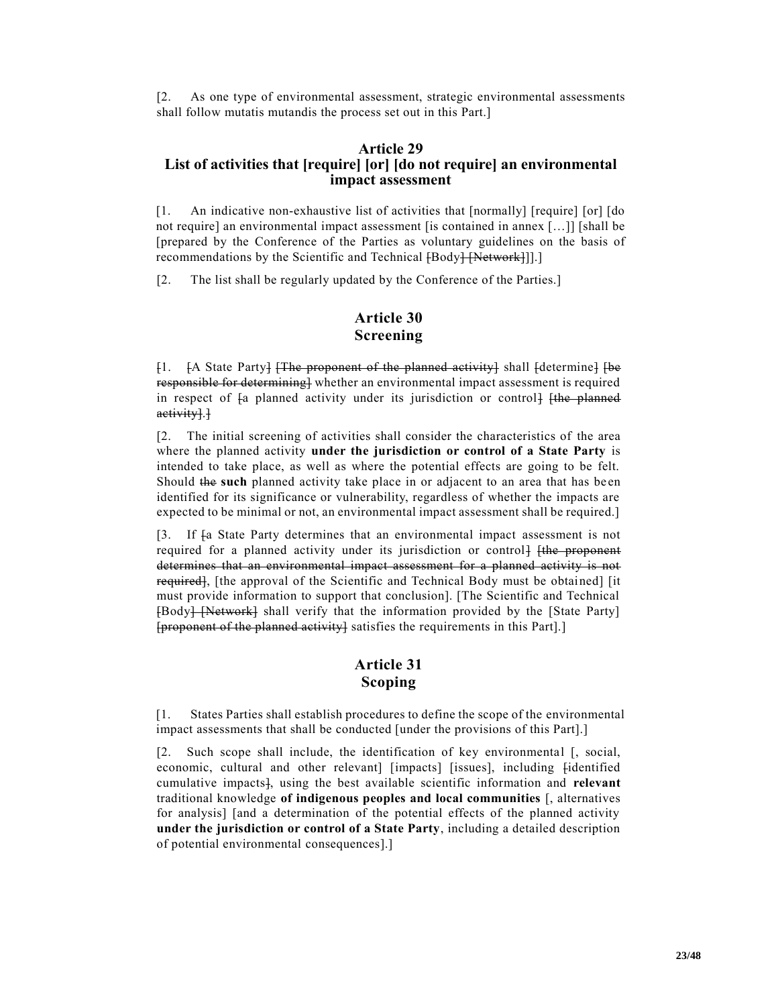[2. As one type of environmental assessment, strategic environmental assessments shall follow mutatis mutandis the process set out in this Part.]

#### **Article 29 List of activities that [require] [or] [do not require] an environmental impact assessment**

[1. An indicative non-exhaustive list of activities that [normally] [require] [or] [do not require] an environmental impact assessment [is contained in annex […]] [shall be [prepared by the Conference of the Parties as voluntary guidelines on the basis of recommendations by the Scientific and Technical [Body] [Network]]].]

[2. The list shall be regularly updated by the Conference of the Parties.]

# **Article 30 Screening**

[1. [A State Party] [The proponent of the planned activity] shall [determine] [be responsible for determining] whether an environmental impact assessment is required in respect of  $\mathfrak f$  planned activity under its jurisdiction or control  $\mathfrak f$  (the planned activity].]

[2. The initial screening of activities shall consider the characteristics of the area where the planned activity **under the jurisdiction or control of a State Party** is intended to take place, as well as where the potential effects are going to be felt. Should the **such** planned activity take place in or adjacent to an area that has be en identified for its significance or vulnerability, regardless of whether the impacts are expected to be minimal or not, an environmental impact assessment shall be required.]

[3. If [a State Party determines that an environmental impact assessment is not required for a planned activity under its jurisdiction or control [the proponent determines that an environmental impact assessment for a planned activity is not required], [the approval of the Scientific and Technical Body must be obtained] [it must provide information to support that conclusion]. [The Scientific and Technical [Body] [Network] shall verify that the information provided by the [State Party] [proponent of the planned activity] satisfies the requirements in this Part].]

# **Article 31 Scoping**

[1. States Parties shall establish procedures to define the scope of the environmental impact assessments that shall be conducted [under the provisions of this Part].]

[2. Such scope shall include, the identification of key environmental [, social, economic, cultural and other relevant] [impacts] [issues], including [identified cumulative impacts], using the best available scientific information and **relevant** traditional knowledge **of indigenous peoples and local communities** [, alternatives for analysis] [and a determination of the potential effects of the planned activity **under the jurisdiction or control of a State Party**, including a detailed description of potential environmental consequences].]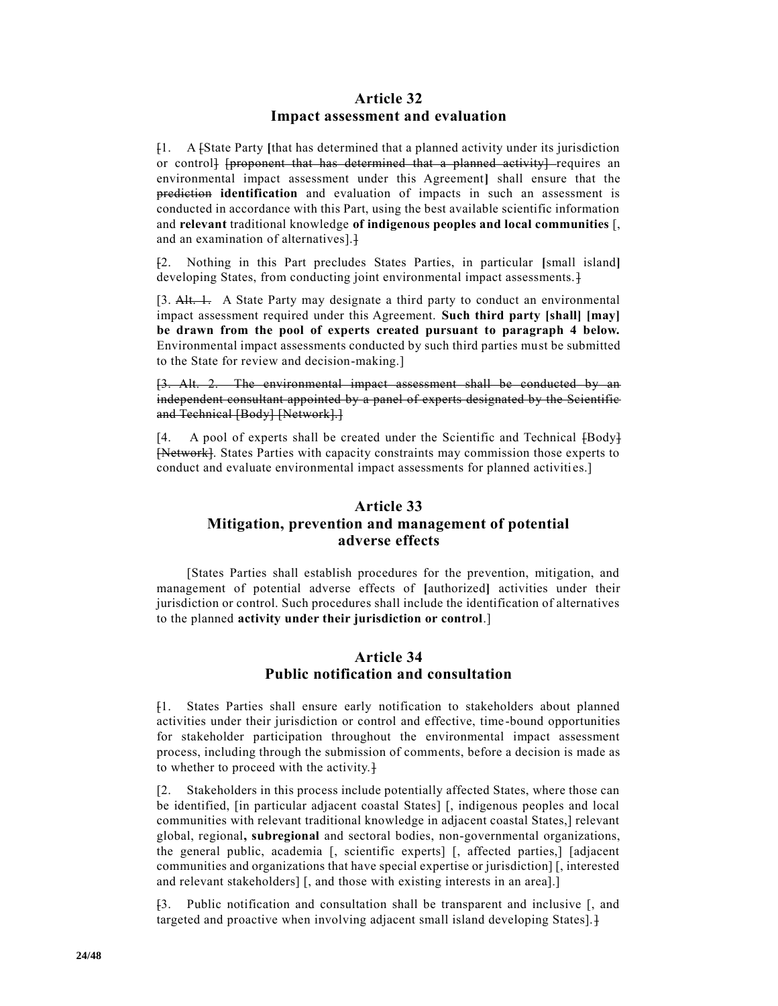#### **Article 32 Impact assessment and evaluation**

[1. A [State Party **[**that has determined that a planned activity under its jurisdiction or control] [proponent that has determined that a planned activity] requires an environmental impact assessment under this Agreement**]** shall ensure that the prediction **identification** and evaluation of impacts in such an assessment is conducted in accordance with this Part, using the best available scientific information and **relevant** traditional knowledge **of indigenous peoples and local communities** [, and an examination of alternatives].]

[2. Nothing in this Part precludes States Parties, in particular **[**small island**]** developing States, from conducting joint environmental impact assessments.

[3. Alt. 1. A State Party may designate a third party to conduct an environmental impact assessment required under this Agreement. **Such third party [shall] [may] be drawn from the pool of experts created pursuant to paragraph 4 below.** Environmental impact assessments conducted by such third parties must be submitted to the State for review and decision-making.]

[3. Alt. 2. The environmental impact assessment shall be conducted by an independent consultant appointed by a panel of experts designated by the Scientific and Technical [Body] [Network].]

[4. A pool of experts shall be created under the Scientific and Technical [Body] [Network]. States Parties with capacity constraints may commission those experts to conduct and evaluate environmental impact assessments for planned activities.]

# **Article 33 Mitigation, prevention and management of potential adverse effects**

[States Parties shall establish procedures for the prevention, mitigation, and management of potential adverse effects of **[**authorized**]** activities under their jurisdiction or control. Such procedures shall include the identification of alternatives to the planned **activity under their jurisdiction or control**.]

## **Article 34 Public notification and consultation**

[1. States Parties shall ensure early notification to stakeholders about planned activities under their jurisdiction or control and effective, time -bound opportunities for stakeholder participation throughout the environmental impact assessment process, including through the submission of comments, before a decision is made as to whether to proceed with the activity.]

[2. Stakeholders in this process include potentially affected States, where those can be identified, [in particular adjacent coastal States] [, indigenous peoples and local communities with relevant traditional knowledge in adjacent coastal States,] relevant global, regional**, subregional** and sectoral bodies, non-governmental organizations, the general public, academia [, scientific experts] [, affected parties,] [adjacent communities and organizations that have special expertise or jurisdiction] [, interested and relevant stakeholders] [, and those with existing interests in an area].]

[3. Public notification and consultation shall be transparent and inclusive [, and targeted and proactive when involving adjacent small island developing States].]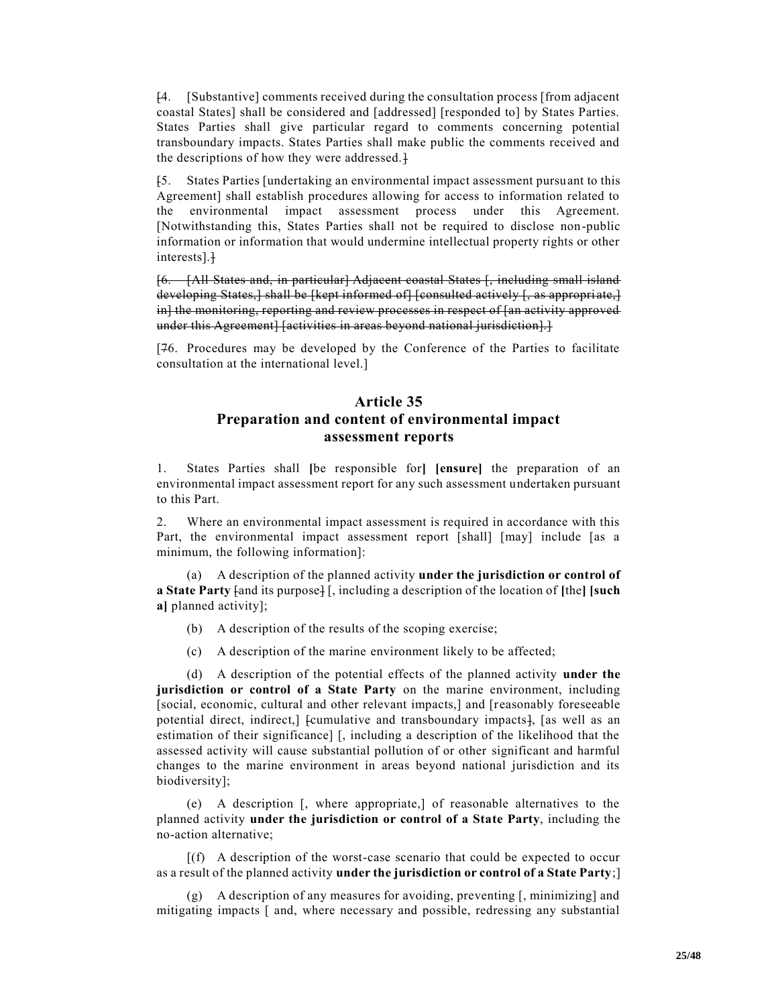[4. [Substantive] comments received during the consultation process [from adjacent coastal States] shall be considered and [addressed] [responded to] by States Parties. States Parties shall give particular regard to comments concerning potential transboundary impacts. States Parties shall make public the comments received and the descriptions of how they were addressed.

[5. States Parties [undertaking an environmental impact assessment pursuant to this Agreement] shall establish procedures allowing for access to information related to the environmental impact assessment process under this Agreement. [Notwithstanding this, States Parties shall not be required to disclose non-public information or information that would undermine intellectual property rights or other interests].]

[6. [All States and, in particular] Adjacent coastal States [, including small island developing States,] shall be [kept informed of] [consulted actively [, as appropriate,] in] the monitoring, reporting and review processes in respect of [an activity approved under this Agreement] [activities in areas beyond national jurisdiction].]

[76. Procedures may be developed by the Conference of the Parties to facilitate consultation at the international level.]

# **Article 35 Preparation and content of environmental impact assessment reports**

1. States Parties shall **[**be responsible for**] [ensure]** the preparation of an environmental impact assessment report for any such assessment undertaken pursuant to this Part.

2. Where an environmental impact assessment is required in accordance with this Part, the environmental impact assessment report [shall] [may] include [as a minimum, the following information]:

(a) A description of the planned activity **under the jurisdiction or control of a State Party** [and its purpose] [, including a description of the location of **[**the**] [such a]** planned activity];

- (b) A description of the results of the scoping exercise;
- (c) A description of the marine environment likely to be affected;

(d) A description of the potential effects of the planned activity **under the jurisdiction or control of a State Party** on the marine environment, including [social, economic, cultural and other relevant impacts,] and [reasonably foreseeable potential direct, indirect,] [cumulative and transboundary impacts], [as well as an estimation of their significance] [, including a description of the likelihood that the assessed activity will cause substantial pollution of or other significant and harmful changes to the marine environment in areas beyond national jurisdiction and its biodiversity];

(e) A description [, where appropriate,] of reasonable alternatives to the planned activity **under the jurisdiction or control of a State Party**, including the no-action alternative;

 $[(f)$  A description of the worst-case scenario that could be expected to occur as a result of the planned activity **under the jurisdiction or control of a State Party**;]

(g) A description of any measures for avoiding, preventing [, minimizing] and mitigating impacts [ and, where necessary and possible, redressing any substantial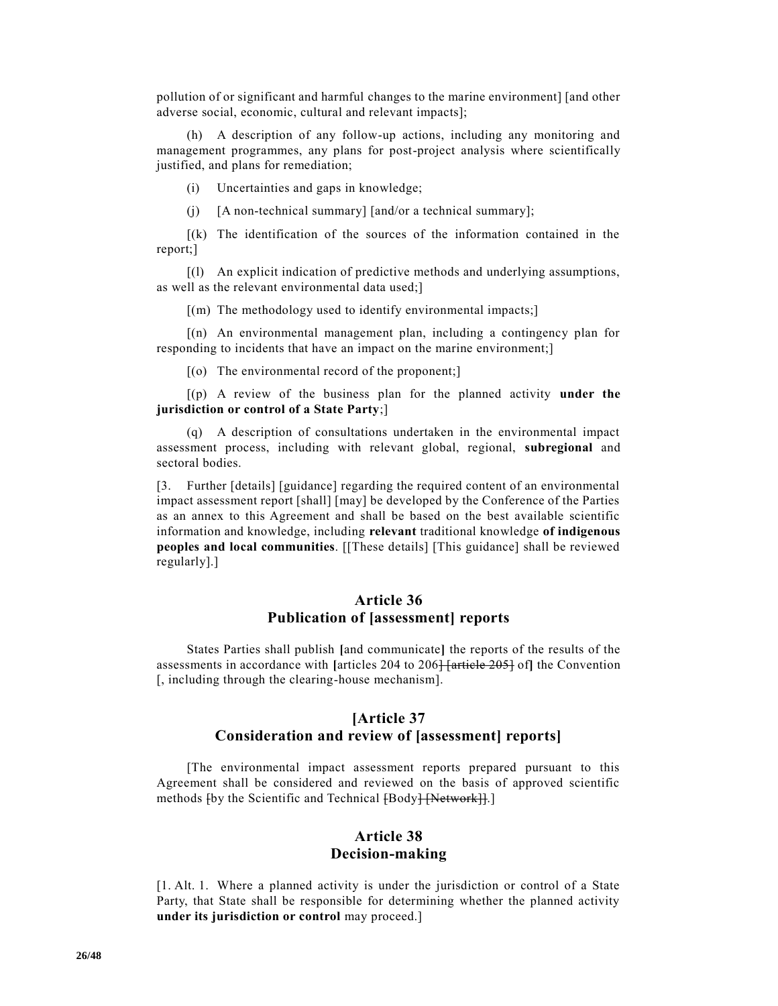pollution of or significant and harmful changes to the marine environment] [and other adverse social, economic, cultural and relevant impacts];

(h) A description of any follow-up actions, including any monitoring and management programmes, any plans for post-project analysis where scientifically justified, and plans for remediation;

(i) Uncertainties and gaps in knowledge;

(j) [A non-technical summary] [and/or a technical summary];

[(k) The identification of the sources of the information contained in the report;]

[(l) An explicit indication of predictive methods and underlying assumptions, as well as the relevant environmental data used;]

 $[(m)$  The methodology used to identify environmental impacts;

[(n) An environmental management plan, including a contingency plan for responding to incidents that have an impact on the marine environment;]

[(o) The environmental record of the proponent;]

[(p) A review of the business plan for the planned activity **under the jurisdiction or control of a State Party**;]

(q) A description of consultations undertaken in the environmental impact assessment process, including with relevant global, regional, **subregional** and sectoral bodies.

[3. Further [details] [guidance] regarding the required content of an environmental impact assessment report [shall] [may] be developed by the Conference of the Parties as an annex to this Agreement and shall be based on the best available scientific information and knowledge, including **relevant** traditional knowledge **of indigenous peoples and local communities**. [[These details] [This guidance] shall be reviewed regularly].]

#### **Article 36 Publication of [assessment] reports**

States Parties shall publish **[**and communicate**]** the reports of the results of the assessments in accordance with [articles 204 to 206<del>] [article 205]</del> of] the Convention [, including through the clearing-house mechanism].

## **[Article 37 Consideration and review of [assessment] reports]**

[The environmental impact assessment reports prepared pursuant to this Agreement shall be considered and reviewed on the basis of approved scientific methods  $\{by the Scientific and Technical  $\{Body\} \{Network\}$ .$ 

# **Article 38 Decision-making**

[1. Alt. 1. Where a planned activity is under the jurisdiction or control of a State Party, that State shall be responsible for determining whether the planned activity **under its jurisdiction or control** may proceed.]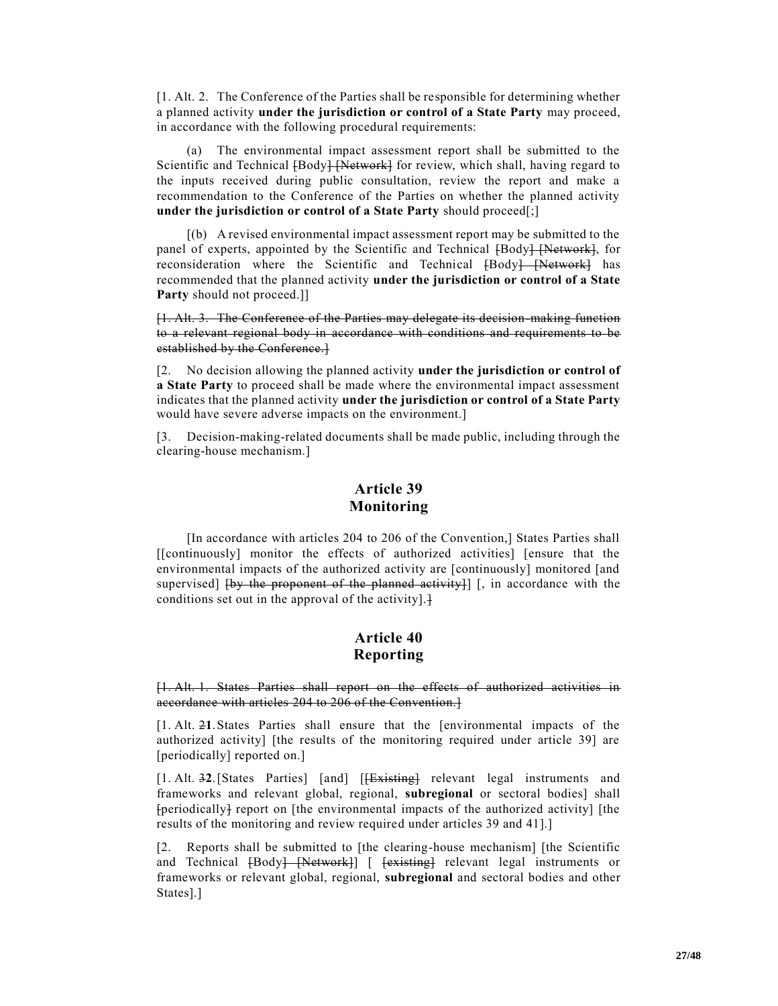[1. Alt. 2. The Conference of the Parties shall be responsible for determining whether a planned activity **under the jurisdiction or control of a State Party** may proceed, in accordance with the following procedural requirements:

(a) The environmental impact assessment report shall be submitted to the Scientific and Technical [Body] [Network] for review, which shall, having regard to the inputs received during public consultation, review the report and make a recommendation to the Conference of the Parties on whether the planned activity **under the jurisdiction or control of a State Party** should proceed[;]

[(b) A revised environmental impact assessment report may be submitted to the panel of experts, appointed by the Scientific and Technical  ${[\text{Body}]\over{\text{Network}}}$ , for reconsideration where the Scientific and Technical [Body] [Network] has recommended that the planned activity **under the jurisdiction or control of a State Party** should not proceed.]]

[1. Alt. 3. The Conference of the Parties may delegate its decision-making function to a relevant regional body in accordance with conditions and requirements to be established by the Conference.]

[2. No decision allowing the planned activity **under the jurisdiction or control of a State Party** to proceed shall be made where the environmental impact assessment indicates that the planned activity **under the jurisdiction or control of a State Party**  would have severe adverse impacts on the environment.]

[3. Decision-making-related documents shall be made public, including through the clearing-house mechanism.]

# **Article 39 Monitoring**

[In accordance with articles 204 to 206 of the Convention,] States Parties shall [[continuously] monitor the effects of authorized activities] [ensure that the environmental impacts of the authorized activity are [continuously] monitored [and supervised]  $\{by$  the proponent of the planned activity}]  $\}$ , in accordance with the conditions set out in the approval of the activity]. $\}$ 

# **Article 40 Reporting**

#### [1. Alt. 1. States Parties shall report on the effects of authorized activities in accordance with articles 204 to 206 of the Convention.]

[1. Alt. 2**1**.States Parties shall ensure that the [environmental impacts of the authorized activity] [the results of the monitoring required under article 39] are [periodically] reported on.]

[1. Alt. 3**2**.[States Parties] [and] [[Existing] relevant legal instruments and frameworks and relevant global, regional, **subregional** or sectoral bodies] shall [periodically] report on [the environmental impacts of the authorized activity] [the results of the monitoring and review required under articles 39 and 41].]

[2. Reports shall be submitted to [the clearing-house mechanism] [the Scientific and Technical [Body] [Network] [ [existing] relevant legal instruments or frameworks or relevant global, regional, **subregional** and sectoral bodies and other States].]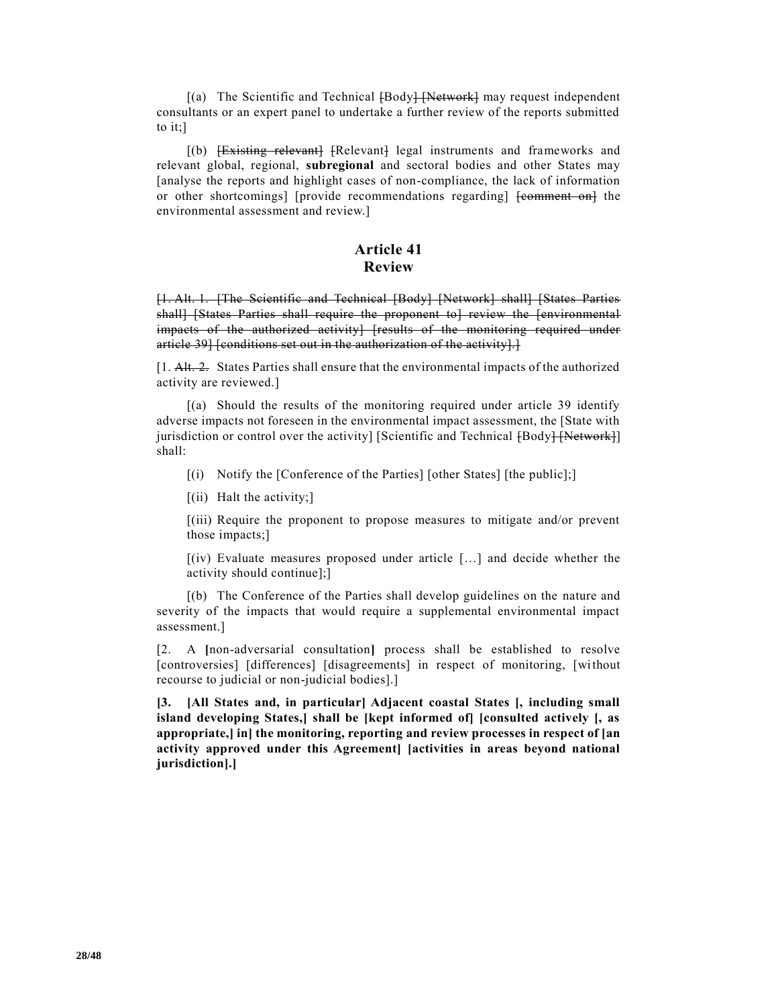$[(a)$  The Scientific and Technical  ${Body}$   $[Network]$  may request independent consultants or an expert panel to undertake a further review of the reports submitted to it;]

[(b) <del>[Existing relevant]</del> [Relevant] legal instruments and frameworks and relevant global, regional, **subregional** and sectoral bodies and other States may [analyse the reports and highlight cases of non-compliance, the lack of information or other shortcomings] [provide recommendations regarding] [comment on] the environmental assessment and review.]

### **Article 41 Review**

[1. Alt. 1. [The Scientific and Technical [Body] [Network] shall] [States Parties shall] [States Parties shall require the proponent to] review the [environmental impacts of the authorized activity] [results of the monitoring required under article 39] [conditions set out in the authorization of the activity].]

[1. Alt. 2. States Parties shall ensure that the environmental impacts of the authorized activity are reviewed.]

[(a) Should the results of the monitoring required under article 39 identify adverse impacts not foreseen in the environmental impact assessment, the [State with jurisdiction or control over the activity] [Scientific and Technical [Body] [Network]] shall:

[(i) Notify the [Conference of the Parties] [other States] [the public];]

 $[(ii)$  Halt the activity;

[(iii) Require the proponent to propose measures to mitigate and/or prevent those impacts;]

[(iv) Evaluate measures proposed under article […] and decide whether the activity should continue];]

[(b) The Conference of the Parties shall develop guidelines on the nature and severity of the impacts that would require a supplemental environmental impact assessment.]

[2. A **[**non-adversarial consultation**]** process shall be established to resolve [controversies] [differences] [disagreements] in respect of monitoring, [without recourse to judicial or non-judicial bodies].]

**[3. [All States and, in particular] Adjacent coastal States [, including small island developing States,] shall be [kept informed of] [consulted actively [, as appropriate,] in] the monitoring, reporting and review processes in respect of [an activity approved under this Agreement] [activities in areas beyond national jurisdiction].]**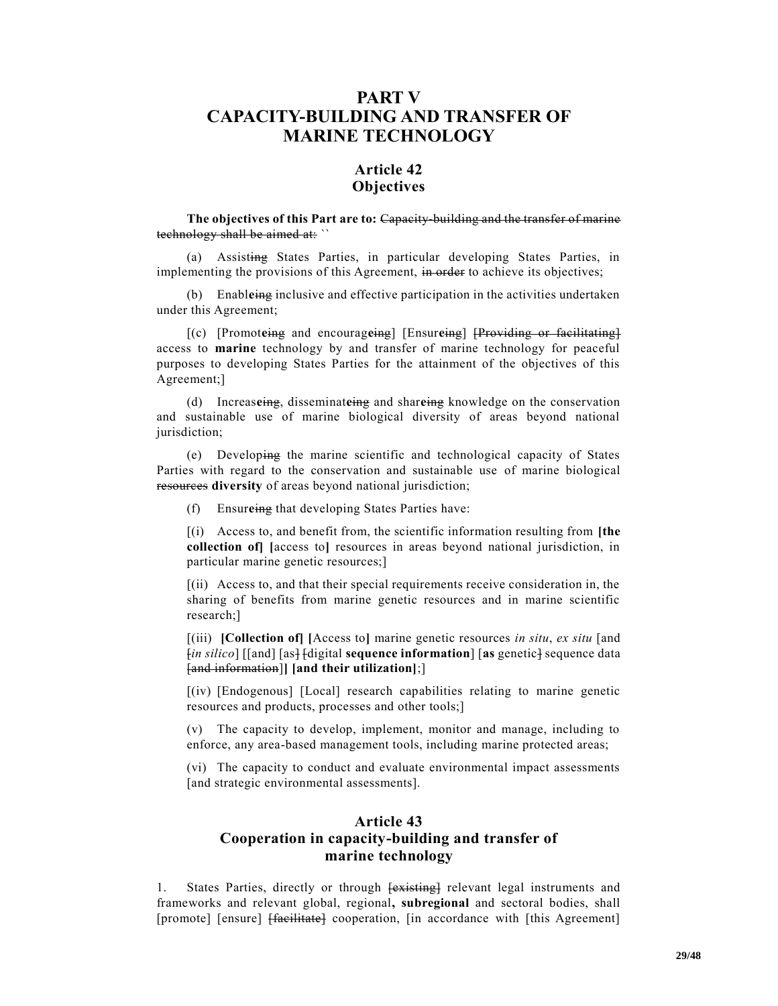# **PART V CAPACITY-BUILDING AND TRANSFER OF MARINE TECHNOLOGY**

# **Article 42 Objectives**

#### **The objectives of this Part are to:** Capacity-building and the transfer of marine technology shall be aimed at: ``

(a) Assisting States Parties, in particular developing States Parties, in implementing the provisions of this Agreement, in order to achieve its objectives;

(b) Enabl**e**ing inclusive and effective participation in the activities undertaken under this Agreement;

[(c) [Promot**e**ing and encourag**e**ing] [Ensur**e**ing] [Providing or facilitating] access to **marine** technology by and transfer of marine technology for peaceful purposes to developing States Parties for the attainment of the objectives of this Agreement;]

(d) Increas**e**ing, disseminat**e**ing and shar**e**ing knowledge on the conservation and sustainable use of marine biological diversity of areas beyond national jurisdiction;

(e) Developing the marine scientific and technological capacity of States Parties with regard to the conservation and sustainable use of marine biological resources diversity of areas beyond national jurisdiction;

(f) Ensur**e**ing that developing States Parties have:

[(i) Access to, and benefit from, the scientific information resulting from **[the collection of] [**access to**]** resources in areas beyond national jurisdiction, in particular marine genetic resources;]

[(ii) Access to, and that their special requirements receive consideration in, the sharing of benefits from marine genetic resources and in marine scientific research;]

[(iii) **[Collection of] [**Access to**]** marine genetic resources *in situ*, *ex situ* [and  $\lceil$ *in silico*] [[and] [as<sup>1</sup> [digital **sequence information**] [as genetic] sequence data [and information]**] [and their utilization]**;]

[(iv) [Endogenous] [Local] research capabilities relating to marine genetic resources and products, processes and other tools;]

(v) The capacity to develop, implement, monitor and manage, including to enforce, any area-based management tools, including marine protected areas;

(vi) The capacity to conduct and evaluate environmental impact assessments [and strategic environmental assessments].

## **Article 43 Cooperation in capacity-building and transfer of marine technology**

1. States Parties, directly or through  $\overline{\text{|\textbf{existing}|}}$  relevant legal instruments and frameworks and relevant global, regional**, subregional** and sectoral bodies, shall [promote] [ensure] <del>[facilitate]</del> cooperation, [in accordance with [this Agreement]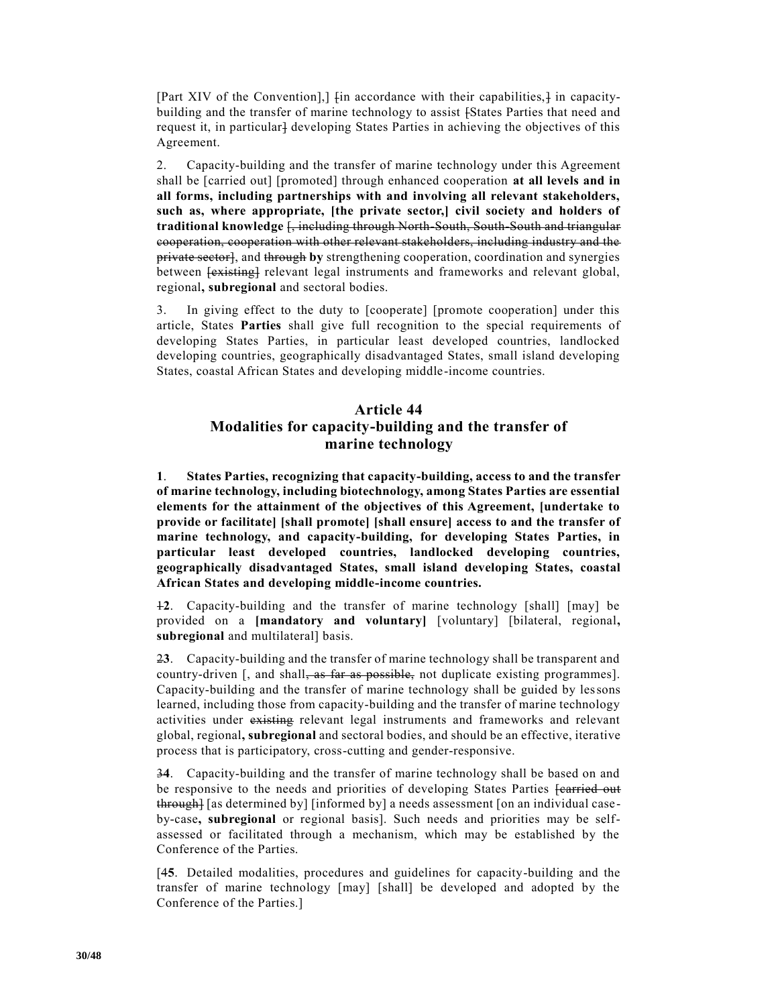[Part XIV of the Convention],]  $\lim$  accordance with their capabilities, $\frac{1}{\pi}$  in capacitybuilding and the transfer of marine technology to assist [States Parties that need and request it, in particular l developing States Parties in achieving the objectives of this Agreement.

2. Capacity-building and the transfer of marine technology under this Agreement shall be [carried out] [promoted] through enhanced cooperation **at all levels and in all forms, including partnerships with and involving all relevant stakeholders, such as, where appropriate, [the private sector,] civil society and holders of traditional knowledge** [, including through North-South, South-South and triangular cooperation, cooperation with other relevant stakeholders, including industry and the private sector], and through **by** strengthening cooperation, coordination and synergies between  $\overline{\text{lexical}}$  relevant legal instruments and frameworks and relevant global, regional**, subregional** and sectoral bodies.

3. In giving effect to the duty to [cooperate] [promote cooperation] under this article, States **Parties** shall give full recognition to the special requirements of developing States Parties, in particular least developed countries, landlocked developing countries, geographically disadvantaged States, small island developing States, coastal African States and developing middle-income countries.

# **Article 44 Modalities for capacity-building and the transfer of marine technology**

**1**. **States Parties, recognizing that capacity-building, access to and the transfer of marine technology, including biotechnology, among States Parties are essential elements for the attainment of the objectives of this Agreement, [undertake to provide or facilitate] [shall promote] [shall ensure] access to and the transfer of marine technology, and capacity-building, for developing States Parties, in particular least developed countries, landlocked developing countries, geographically disadvantaged States, small island developing States, coastal African States and developing middle-income countries.**

1**2**. Capacity-building and the transfer of marine technology [shall] [may] be provided on a **[mandatory and voluntary]** [voluntary] [bilateral, regional**, subregional** and multilateral] basis.

2**3**. Capacity-building and the transfer of marine technology shall be transparent and country-driven [, and shall, as far as possible, not duplicate existing programmes]. Capacity-building and the transfer of marine technology shall be guided by lessons learned, including those from capacity-building and the transfer of marine technology activities under existing relevant legal instruments and frameworks and relevant global, regional**, subregional** and sectoral bodies, and should be an effective, iterative process that is participatory, cross-cutting and gender-responsive.

3**4**. Capacity-building and the transfer of marine technology shall be based on and be responsive to the needs and priorities of developing States Parties **[carried out** through] [as determined by] [informed by] a needs assessment [on an individual caseby-case**, subregional** or regional basis]. Such needs and priorities may be selfassessed or facilitated through a mechanism, which may be established by the Conference of the Parties.

[4**5**. Detailed modalities, procedures and guidelines for capacity-building and the transfer of marine technology [may] [shall] be developed and adopted by the Conference of the Parties.]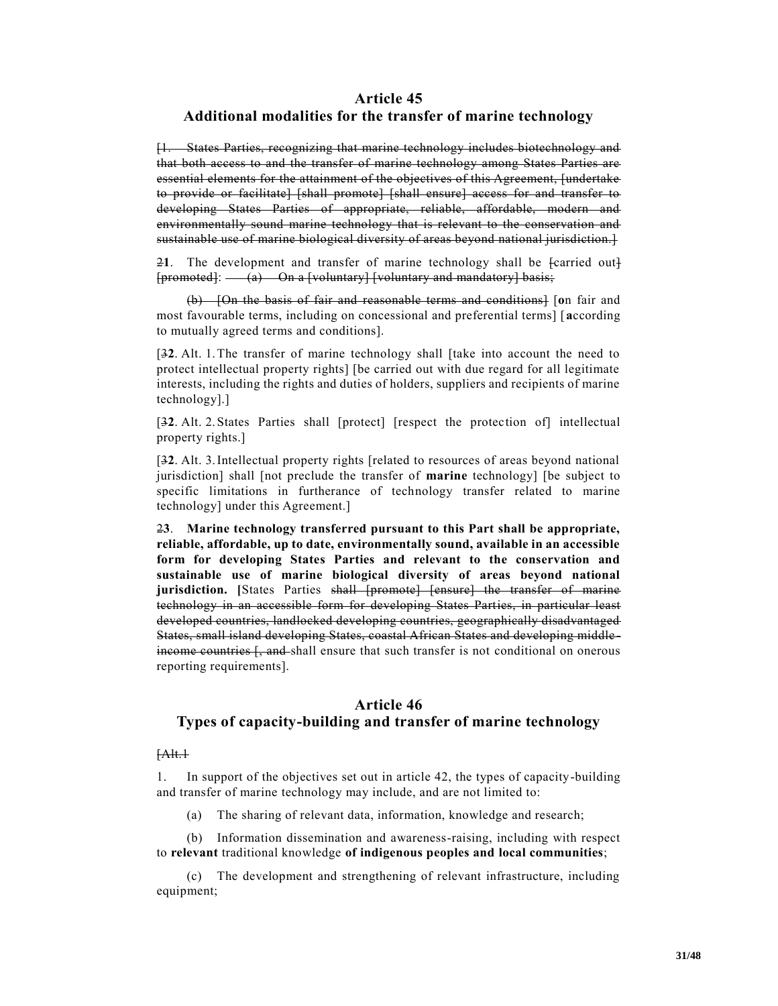#### **Article 45**

#### **Additional modalities for the transfer of marine technology**

[1. States Parties, recognizing that marine technology includes biotechnology and that both access to and the transfer of marine technology among States Parties are essential elements for the attainment of the objectives of this Agreement, [undertake to provide or facilitate] [shall promote] [shall ensure] access for and transfer to developing States Parties of appropriate, reliable, affordable, modern and environmentally sound marine technology that is relevant to the conservation and sustainable use of marine biological diversity of areas beyond national jurisdiction.]

2**1**. The development and transfer of marine technology shall be [carried out]  $[promoted]: — (a) On a [voluntary] [voluntary and mandatory] basis;$ 

(b) [On the basis of fair and reasonable terms and conditions] [**o**n fair and most favourable terms, including on concessional and preferential terms] [**a**ccording to mutually agreed terms and conditions].

[3**2**. Alt. 1.The transfer of marine technology shall [take into account the need to protect intellectual property rights] [be carried out with due regard for all legitimate interests, including the rights and duties of holders, suppliers and recipients of marine technology].]

[3**2**. Alt. 2.States Parties shall [protect] [respect the protection of] intellectual property rights.]

[3**2**. Alt. 3.Intellectual property rights [related to resources of areas beyond national jurisdiction] shall [not preclude the transfer of **marine** technology] [be subject to specific limitations in furtherance of technology transfer related to marine technology] under this Agreement.]

2**3**. **Marine technology transferred pursuant to this Part shall be appropriate, reliable, affordable, up to date, environmentally sound, available in an accessible form for developing States Parties and relevant to the conservation and sustainable use of marine biological diversity of areas beyond national**  jurisdiction. [States Parties shall [promote] [ensure] the transfer of marine technology in an accessible form for developing States Parties, in particular least developed countries, landlocked developing countries, geographically disadvantaged States, small island developing States, coastal African States and developing middle income countries [, and shall ensure that such transfer is not conditional on onerous reporting requirements].

### **Article 46 Types of capacity-building and transfer of marine technology**

#### $[AAt.1]$

1. In support of the objectives set out in article 42, the types of capacity-building and transfer of marine technology may include, and are not limited to:

(a) The sharing of relevant data, information, knowledge and research;

(b) Information dissemination and awareness-raising, including with respect to **relevant** traditional knowledge **of indigenous peoples and local communities**;

(c) The development and strengthening of relevant infrastructure, including equipment;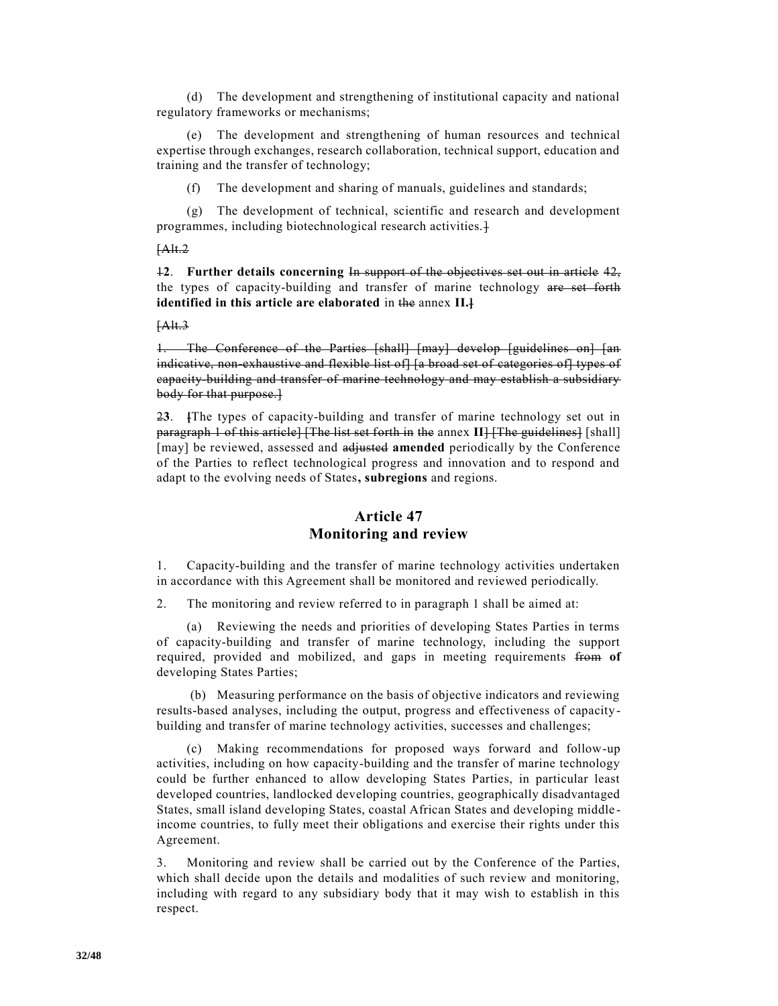(d) The development and strengthening of institutional capacity and national regulatory frameworks or mechanisms;

(e) The development and strengthening of human resources and technical expertise through exchanges, research collaboration, technical support, education and training and the transfer of technology;

(f) The development and sharing of manuals, guidelines and standards;

(g) The development of technical, scientific and research and development programmes, including biotechnological research activities.]

#### [Alt.2

1**2**. **Further details concerning** In support of the objectives set out in article 42, the types of capacity-building and transfer of marine technology are set forth **identified in this article are elaborated** in the annex **II.]**

#### $[Alt.3]$

1. The Conference of the Parties [shall] [may] develop [guidelines on] [an indicative, non-exhaustive and flexible list of [a broad set of categories of] types of capacity-building and transfer of marine technology and may establish a subsidiary body for that purpose.]

2**3**. **[**The types of capacity-building and transfer of marine technology set out in paragraph 1 of this article] [The list set forth in the annex II] [The guidelines] [shall] [may] be reviewed, assessed and adjusted **amended** periodically by the Conference of the Parties to reflect technological progress and innovation and to respond and adapt to the evolving needs of States**, subregions** and regions.

## **Article 47 Monitoring and review**

1. Capacity-building and the transfer of marine technology activities undertaken in accordance with this Agreement shall be monitored and reviewed periodically.

2. The monitoring and review referred to in paragraph 1 shall be aimed at:

(a) Reviewing the needs and priorities of developing States Parties in terms of capacity-building and transfer of marine technology, including the support required, provided and mobilized, and gaps in meeting requirements from **of**  developing States Parties;

(b) Measuring performance on the basis of objective indicators and reviewing results-based analyses, including the output, progress and effectiveness of capacitybuilding and transfer of marine technology activities, successes and challenges;

(c) Making recommendations for proposed ways forward and follow-up activities, including on how capacity-building and the transfer of marine technology could be further enhanced to allow developing States Parties, in particular least developed countries, landlocked developing countries, geographically disadvantaged States, small island developing States, coastal African States and developing middle income countries, to fully meet their obligations and exercise their rights under this Agreement.

3. Monitoring and review shall be carried out by the Conference of the Parties, which shall decide upon the details and modalities of such review and monitoring, including with regard to any subsidiary body that it may wish to establish in this respect.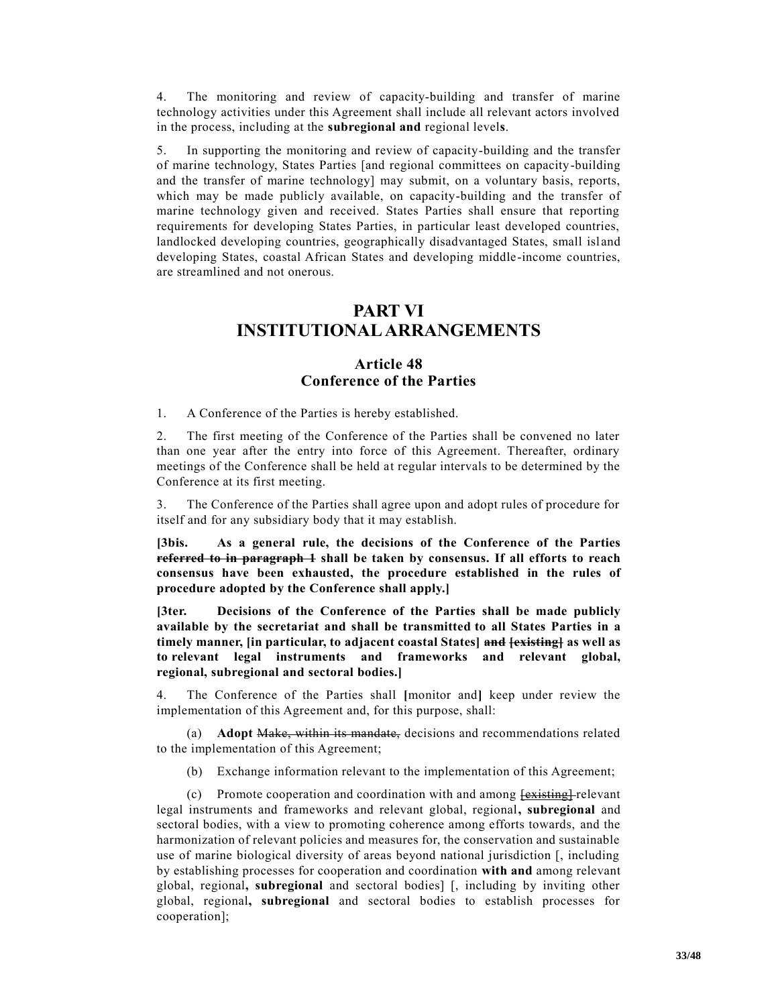4. The monitoring and review of capacity-building and transfer of marine technology activities under this Agreement shall include all relevant actors involved in the process, including at the **subregional and** regional level**s**.

5. In supporting the monitoring and review of capacity-building and the transfer of marine technology, States Parties [and regional committees on capacity-building and the transfer of marine technology] may submit, on a voluntary basis, reports, which may be made publicly available, on capacity-building and the transfer of marine technology given and received. States Parties shall ensure that reporting requirements for developing States Parties, in particular least developed countries, landlocked developing countries, geographically disadvantaged States, small island developing States, coastal African States and developing middle-income countries, are streamlined and not onerous.

# **PART VI INSTITUTIONAL ARRANGEMENTS**

### **Article 48 Conference of the Parties**

1. A Conference of the Parties is hereby established.

2. The first meeting of the Conference of the Parties shall be convened no later than one year after the entry into force of this Agreement. Thereafter, ordinary meetings of the Conference shall be held at regular intervals to be determined by the Conference at its first meeting.

3. The Conference of the Parties shall agree upon and adopt rules of procedure for itself and for any subsidiary body that it may establish.

**[3bis. As a general rule, the decisions of the Conference of the Parties referred to in paragraph 1 shall be taken by consensus. If all efforts to reach consensus have been exhausted, the procedure established in the rules of procedure adopted by the Conference shall apply.]**

**[3ter. Decisions of the Conference of the Parties shall be made publicly available by the secretariat and shall be transmitted to all States Parties in a timely manner, [in particular, to adjacent coastal States] and [existing] as well as to relevant legal instruments and frameworks and relevant global, regional, subregional and sectoral bodies.]**

4. The Conference of the Parties shall **[**monitor and**]** keep under review the implementation of this Agreement and, for this purpose, shall:

(a) **Adopt** Make, within its mandate, decisions and recommendations related to the implementation of this Agreement;

(b) Exchange information relevant to the implementation of this Agreement;

(c) Promote cooperation and coordination with and among  $\overline{f}$  existing  $\overline{f}$  relevant legal instruments and frameworks and relevant global, regional**, subregional** and sectoral bodies, with a view to promoting coherence among efforts towards, and the harmonization of relevant policies and measures for, the conservation and sustainable use of marine biological diversity of areas beyond national jurisdiction [, including by establishing processes for cooperation and coordination **with and** among relevant global, regional**, subregional** and sectoral bodies] [, including by inviting other global, regional**, subregional** and sectoral bodies to establish processes for cooperation];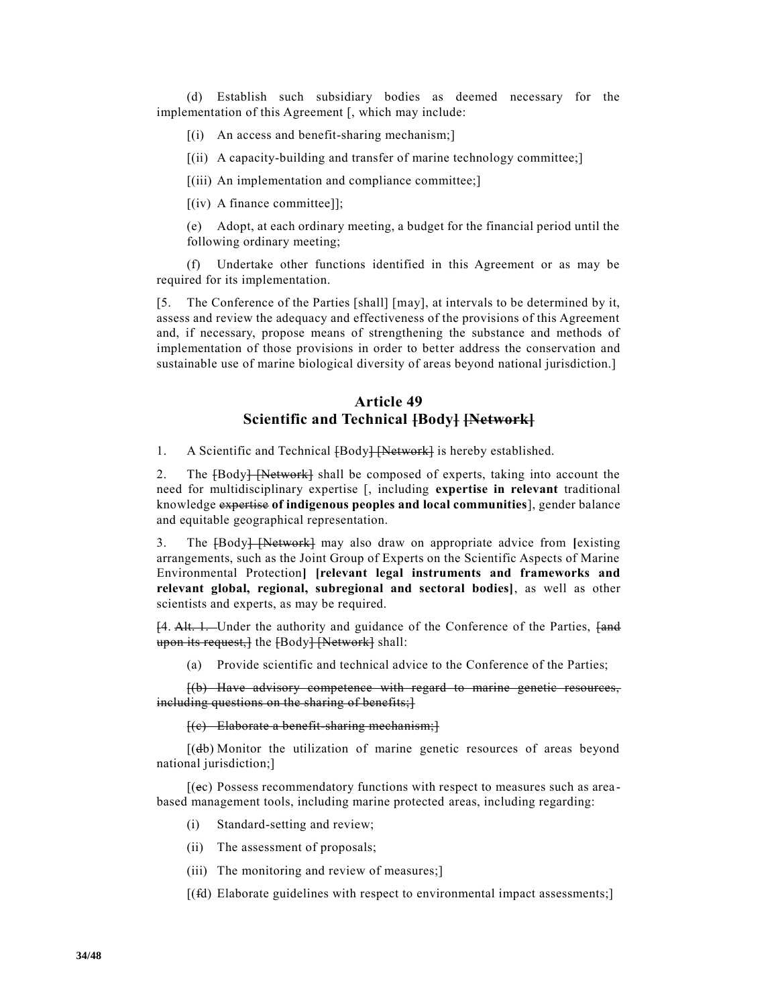(d) Establish such subsidiary bodies as deemed necessary for the implementation of this Agreement [, which may include:

- $[(i)$  An access and benefit-sharing mechanism;
- [(ii) A capacity-building and transfer of marine technology committee;]

[(iii) An implementation and compliance committee;]

[(iv) A finance committee]];

(e) Adopt, at each ordinary meeting, a budget for the financial period until the following ordinary meeting;

(f) Undertake other functions identified in this Agreement or as may be required for its implementation.

[5. The Conference of the Parties [shall] [may], at intervals to be determined by it, assess and review the adequacy and effectiveness of the provisions of this Agreement and, if necessary, propose means of strengthening the substance and methods of implementation of those provisions in order to better address the conservation and sustainable use of marine biological diversity of areas beyond national jurisdiction.]

## **Article 49 Scientific and Technical [Body] [Network]**

1. A Scientific and Technical [Body] [Network] is hereby established.

2. The [Body] [Network] shall be composed of experts, taking into account the need for multidisciplinary expertise [, including **expertise in relevant** traditional knowledge expertise **of indigenous peoples and local communities**], gender balance and equitable geographical representation.

3. The [Body] [Network] may also draw on appropriate advice from **[**existing arrangements, such as the Joint Group of Experts on the Scientific Aspects of Marine Environmental Protection**] [relevant legal instruments and frameworks and relevant global, regional, subregional and sectoral bodies]**, as well as other scientists and experts, as may be required.

[4. Alt. 1. Under the authority and guidance of the Conference of the Parties, [and upon its request, { the {Body} { Network } shall:

(a) Provide scientific and technical advice to the Conference of the Parties;

[(b) Have advisory competence with regard to marine genetic resources, including questions on the sharing of benefits;}

[(c) Elaborate a benefit-sharing mechanism;]

[(db) Monitor the utilization of marine genetic resources of areas beyond national jurisdiction;]

[(ec) Possess recommendatory functions with respect to measures such as area based management tools, including marine protected areas, including regarding:

- (i) Standard-setting and review;
- (ii) The assessment of proposals;
- (iii) The monitoring and review of measures;
- [(fd) Elaborate guidelines with respect to environmental impact assessments;]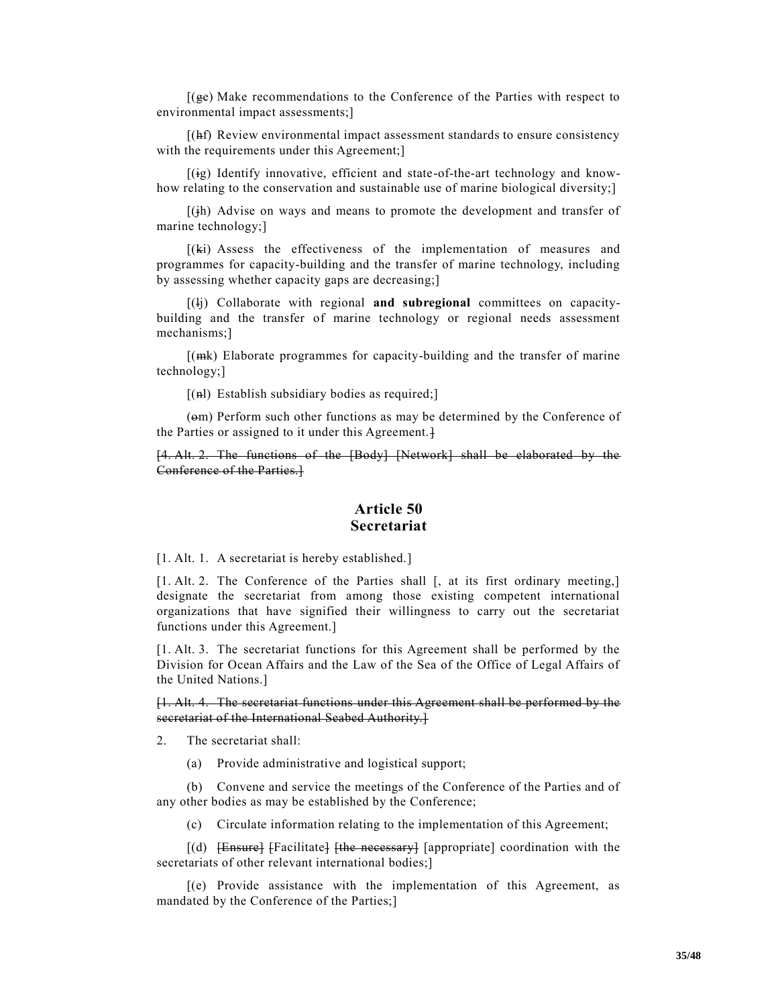[(ge) Make recommendations to the Conference of the Parties with respect to environmental impact assessments;]

[(hf) Review environmental impact assessment standards to ensure consistency with the requirements under this Agreement;

[(ig) Identify innovative, efficient and state-of-the-art technology and knowhow relating to the conservation and sustainable use of marine biological diversity;]

 $[(i)$  Advise on ways and means to promote the development and transfer of marine technology;]

[(ki) Assess the effectiveness of the implementation of measures and programmes for capacity-building and the transfer of marine technology, including by assessing whether capacity gaps are decreasing;]

[(lj) Collaborate with regional **and subregional** committees on capacitybuilding and the transfer of marine technology or regional needs assessment mechanisms;]

[(mk) Elaborate programmes for capacity-building and the transfer of marine technology;]

 $[(\text{h})$  Establish subsidiary bodies as required;

(om) Perform such other functions as may be determined by the Conference of the Parties or assigned to it under this Agreement.<sup>1</sup>

[4. Alt. 2. The functions of the [Body] [Network] shall be elaborated by the Conference of the Parties.]

#### **Article 50 Secretariat**

[1. Alt. 1. A secretariat is hereby established.]

[1. Alt. 2. The Conference of the Parties shall [, at its first ordinary meeting,] designate the secretariat from among those existing competent international organizations that have signified their willingness to carry out the secretariat functions under this Agreement.]

[1. Alt. 3. The secretariat functions for this Agreement shall be performed by the Division for Ocean Affairs and the Law of the Sea of the Office of Legal Affairs of the United Nations.]

[1. Alt. 4. The secretariat functions under this Agreement shall be performed by the secretariat of the International Seabed Authority.]

2. The secretariat shall:

(a) Provide administrative and logistical support;

(b) Convene and service the meetings of the Conference of the Parties and of any other bodies as may be established by the Conference;

(c) Circulate information relating to the implementation of this Agreement;

 $[(d)$  [Ensure] [Facilitate]  $[the$  necessary] [appropriate] coordination with the secretariats of other relevant international bodies;]

[(e) Provide assistance with the implementation of this Agreement, as mandated by the Conference of the Parties;]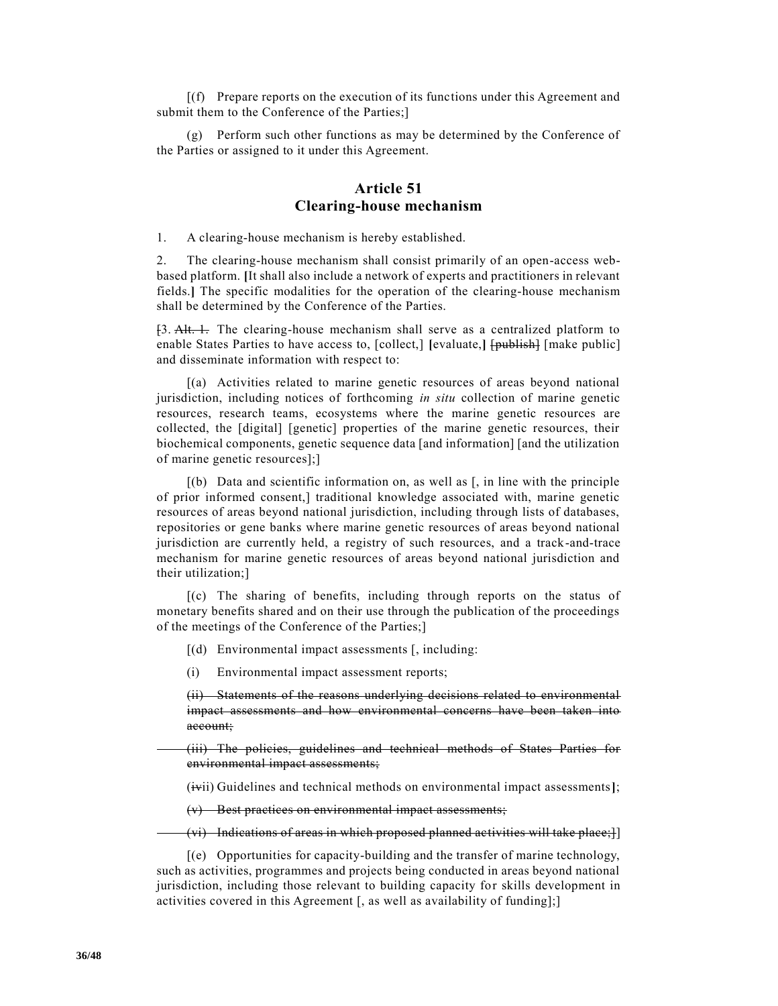[(f) Prepare reports on the execution of its functions under this Agreement and submit them to the Conference of the Parties;]

(g) Perform such other functions as may be determined by the Conference of the Parties or assigned to it under this Agreement.

## **Article 51 Clearing-house mechanism**

1. A clearing-house mechanism is hereby established.

2. The clearing-house mechanism shall consist primarily of an open-access webbased platform. **[**It shall also include a network of experts and practitioners in relevant fields.**]** The specific modalities for the operation of the clearing-house mechanism shall be determined by the Conference of the Parties.

[3. Alt. 1. The clearing-house mechanism shall serve as a centralized platform to enable States Parties to have access to, [collect,] [evaluate,] [publish] [make public] and disseminate information with respect to:

[(a) Activities related to marine genetic resources of areas beyond national jurisdiction, including notices of forthcoming *in situ* collection of marine genetic resources, research teams, ecosystems where the marine genetic resources are collected, the [digital] [genetic] properties of the marine genetic resources, their biochemical components, genetic sequence data [and information] [and the utilization of marine genetic resources];]

 $[(b)$  Data and scientific information on, as well as  $[$ , in line with the principle of prior informed consent,] traditional knowledge associated with, marine genetic resources of areas beyond national jurisdiction, including through lists of databases, repositories or gene banks where marine genetic resources of areas beyond national jurisdiction are currently held, a registry of such resources, and a track-and-trace mechanism for marine genetic resources of areas beyond national jurisdiction and their utilization;]

[(c) The sharing of benefits, including through reports on the status of monetary benefits shared and on their use through the publication of the proceedings of the meetings of the Conference of the Parties;]

- [(d) Environmental impact assessments [, including:
- (i) Environmental impact assessment reports;

(ii) Statements of the reasons underlying decisions related to environmental impact assessments and how environmental concerns have been taken into account;

(iii) The policies, guidelines and technical methods of States Parties for environmental impact assessments;

(ivii) Guidelines and technical methods on environmental impact assessments**]**;

(v) Best practices on environmental impact assessments;

(vi) Indications of areas in which proposed planned activities will take place;]]

[(e) Opportunities for capacity-building and the transfer of marine technology, such as activities, programmes and projects being conducted in areas beyond national jurisdiction, including those relevant to building capacity for skills development in activities covered in this Agreement [, as well as availability of funding];]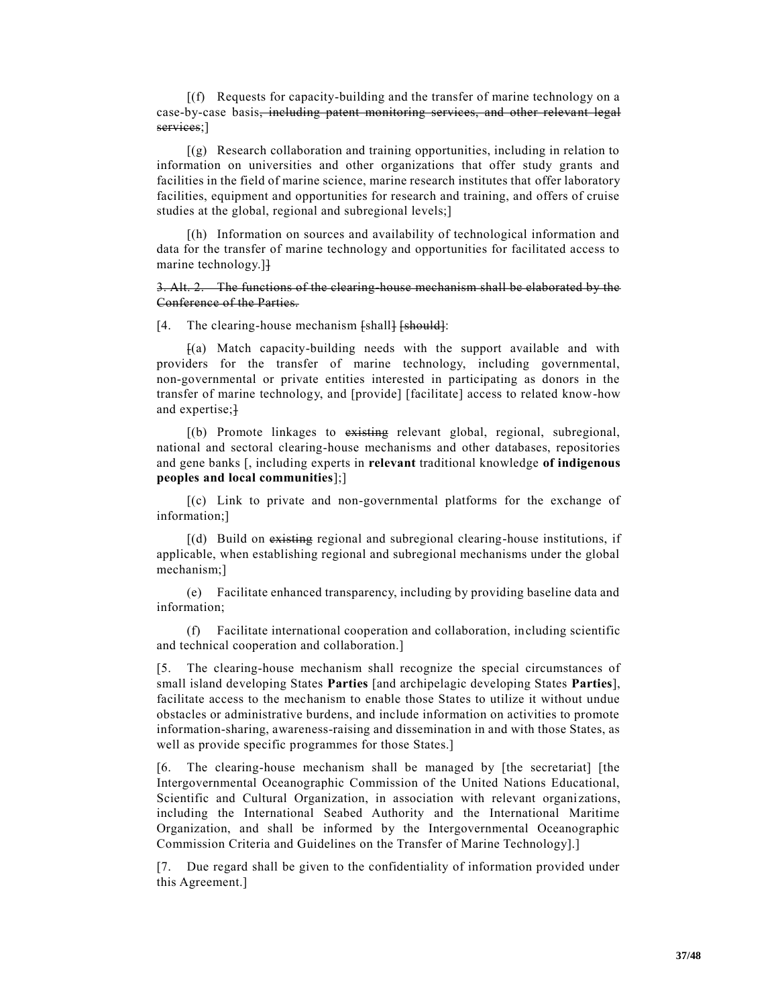[(f) Requests for capacity-building and the transfer of marine technology on a case-by-case basis, including patent monitoring services, and other relevant legal services;]

[(g) Research collaboration and training opportunities, including in relation to information on universities and other organizations that offer study grants and facilities in the field of marine science, marine research institutes that offer laboratory facilities, equipment and opportunities for research and training, and offers of cruise studies at the global, regional and subregional levels;]

[(h) Information on sources and availability of technological information and data for the transfer of marine technology and opportunities for facilitated access to marine technology.]]

3. Alt. 2. The functions of the clearing-house mechanism shall be elaborated by the Conference of the Parties.

[4. The clearing-house mechanism [shall] [should]:

[(a) Match capacity-building needs with the support available and with providers for the transfer of marine technology, including governmental, non-governmental or private entities interested in participating as donors in the transfer of marine technology, and [provide] [facilitate] access to related know-how and expertise;<sup>1</sup>

[(b) Promote linkages to existing relevant global, regional, subregional, national and sectoral clearing-house mechanisms and other databases, repositories and gene banks [, including experts in **relevant** traditional knowledge **of indigenous peoples and local communities**];]

[(c) Link to private and non-governmental platforms for the exchange of information;]

[(d) Build on existing regional and subregional clearing-house institutions, if applicable, when establishing regional and subregional mechanisms under the global mechanism;]

(e) Facilitate enhanced transparency, including by providing baseline data and information;

(f) Facilitate international cooperation and collaboration, including scientific and technical cooperation and collaboration.]

[5. The clearing-house mechanism shall recognize the special circumstances of small island developing States **Parties** [and archipelagic developing States **Parties**], facilitate access to the mechanism to enable those States to utilize it without undue obstacles or administrative burdens, and include information on activities to promote information-sharing, awareness-raising and dissemination in and with those States, as well as provide specific programmes for those States.]

[6. The clearing-house mechanism shall be managed by [the secretariat] [the Intergovernmental Oceanographic Commission of the United Nations Educational, Scientific and Cultural Organization, in association with relevant organizations, including the International Seabed Authority and the International Maritime Organization, and shall be informed by the Intergovernmental Oceanographic Commission Criteria and Guidelines on the Transfer of Marine Technology].]

[7. Due regard shall be given to the confidentiality of information provided under this Agreement.]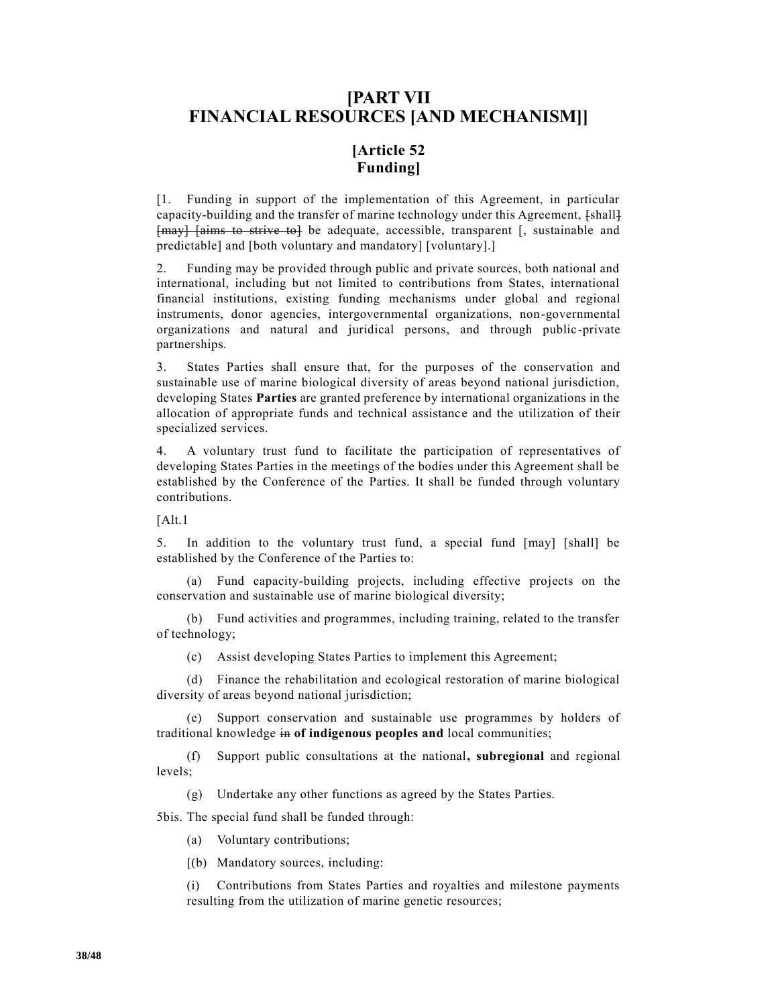# **[PART VII FINANCIAL RESOURCES [AND MECHANISM]]**

# **[Article 52 Funding]**

[1. Funding in support of the implementation of this Agreement, in particular capacity-building and the transfer of marine technology under this Agreement, [shall] [may] [aims to strive to] be adequate, accessible, transparent [, sustainable and predictable] and [both voluntary and mandatory] [voluntary].]

2. Funding may be provided through public and private sources, both national and international, including but not limited to contributions from States, international financial institutions, existing funding mechanisms under global and regional instruments, donor agencies, intergovernmental organizations, non-governmental organizations and natural and juridical persons, and through public -private partnerships.

3. States Parties shall ensure that, for the purposes of the conservation and sustainable use of marine biological diversity of areas beyond national jurisdiction, developing States **Parties** are granted preference by international organizations in the allocation of appropriate funds and technical assistance and the utilization of their specialized services.

4. A voluntary trust fund to facilitate the participation of representatives of developing States Parties in the meetings of the bodies under this Agreement shall be established by the Conference of the Parties. It shall be funded through voluntary contributions.

[Alt.1

5. In addition to the voluntary trust fund, a special fund [may] [shall] be established by the Conference of the Parties to:

(a) Fund capacity-building projects, including effective projects on the conservation and sustainable use of marine biological diversity;

(b) Fund activities and programmes, including training, related to the transfer of technology;

(c) Assist developing States Parties to implement this Agreement;

(d) Finance the rehabilitation and ecological restoration of marine biological diversity of areas beyond national jurisdiction;

(e) Support conservation and sustainable use programmes by holders of traditional knowledge in **of indigenous peoples and** local communities;

(f) Support public consultations at the national**, subregional** and regional levels;

(g) Undertake any other functions as agreed by the States Parties.

5bis. The special fund shall be funded through:

(a) Voluntary contributions;

[(b) Mandatory sources, including:

(i) Contributions from States Parties and royalties and milestone payments resulting from the utilization of marine genetic resources;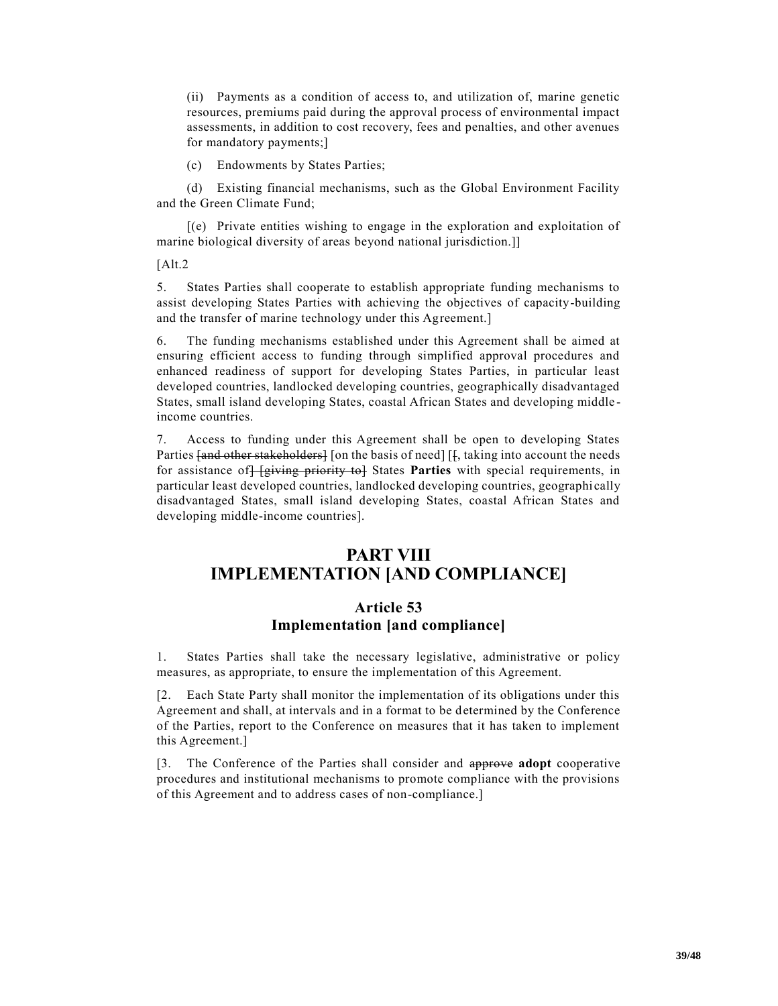(ii) Payments as a condition of access to, and utilization of, marine genetic resources, premiums paid during the approval process of environmental impact assessments, in addition to cost recovery, fees and penalties, and other avenues for mandatory payments;]

(c) Endowments by States Parties;

(d) Existing financial mechanisms, such as the Global Environment Facility and the Green Climate Fund;

[(e) Private entities wishing to engage in the exploration and exploitation of marine biological diversity of areas beyond national jurisdiction.]]

 $[Alt.2]$ 

5. States Parties shall cooperate to establish appropriate funding mechanisms to assist developing States Parties with achieving the objectives of capacity-building and the transfer of marine technology under this Agreement.]

6. The funding mechanisms established under this Agreement shall be aimed at ensuring efficient access to funding through simplified approval procedures and enhanced readiness of support for developing States Parties, in particular least developed countries, landlocked developing countries, geographically disadvantaged States, small island developing States, coastal African States and developing middle income countries.

7. Access to funding under this Agreement shall be open to developing States Parties <del>[and other stakeholders]</del> [on the basis of need] [*f*, taking into account the needs for assistance of [giving priority to] States **Parties** with special requirements, in particular least developed countries, landlocked developing countries, geographi cally disadvantaged States, small island developing States, coastal African States and developing middle-income countries].

# **PART VIII IMPLEMENTATION [AND COMPLIANCE]**

## **Article 53 Implementation [and compliance]**

1. States Parties shall take the necessary legislative, administrative or policy measures, as appropriate, to ensure the implementation of this Agreement.

[2. Each State Party shall monitor the implementation of its obligations under this Agreement and shall, at intervals and in a format to be determined by the Conference of the Parties, report to the Conference on measures that it has taken to implement this Agreement.]

[3. The Conference of the Parties shall consider and approve **adopt** cooperative procedures and institutional mechanisms to promote compliance with the provisions of this Agreement and to address cases of non-compliance.]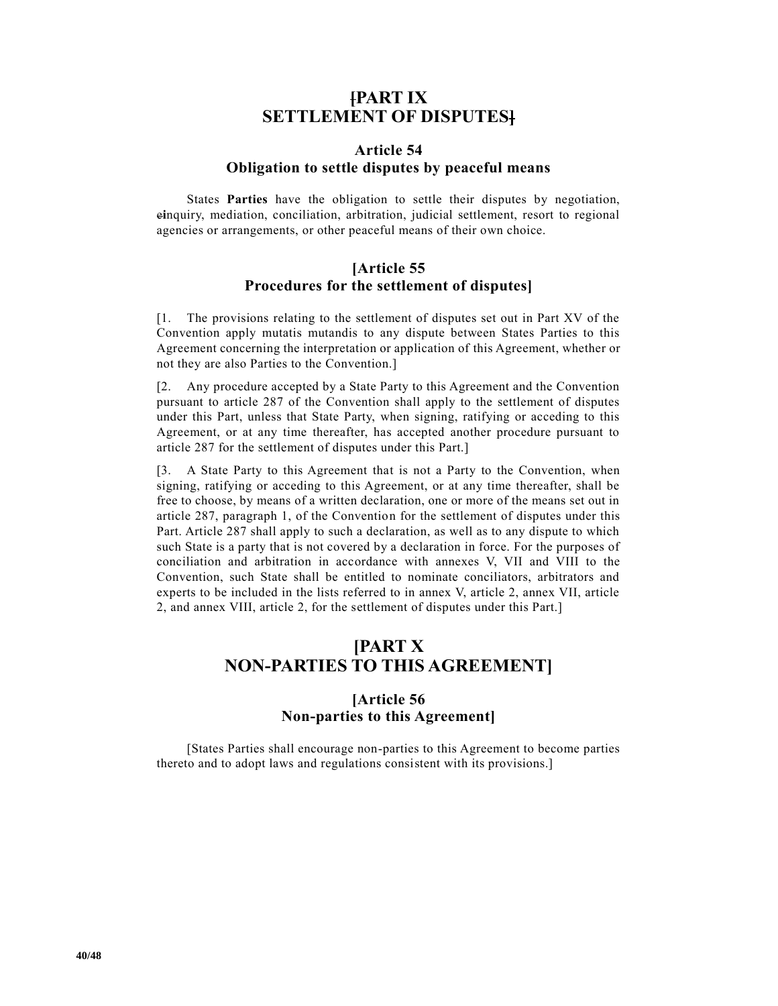# **[PART IX SETTLEMENT OF DISPUTES]**

## **Article 54 Obligation to settle disputes by peaceful means**

States **Parties** have the obligation to settle their disputes by negotiation, e**i**nquiry, mediation, conciliation, arbitration, judicial settlement, resort to regional agencies or arrangements, or other peaceful means of their own choice.

# **[Article 55 Procedures for the settlement of disputes]**

[1. The provisions relating to the settlement of disputes set out in Part XV of the Convention apply mutatis mutandis to any dispute between States Parties to this Agreement concerning the interpretation or application of this Agreement, whether or not they are also Parties to the Convention.]

[2. Any procedure accepted by a State Party to this Agreement and the Convention pursuant to article 287 of the Convention shall apply to the settlement of disputes under this Part, unless that State Party, when signing, ratifying or acceding to this Agreement, or at any time thereafter, has accepted another procedure pursuant to article 287 for the settlement of disputes under this Part.]

[3. A State Party to this Agreement that is not a Party to the Convention, when signing, ratifying or acceding to this Agreement, or at any time thereafter, shall be free to choose, by means of a written declaration, one or more of the means set out in article 287, paragraph 1, of the Convention for the settlement of disputes under this Part. Article 287 shall apply to such a declaration, as well as to any dispute to which such State is a party that is not covered by a declaration in force. For the purposes of conciliation and arbitration in accordance with annexes V, VII and VIII to the Convention, such State shall be entitled to nominate conciliators, arbitrators and experts to be included in the lists referred to in annex V, article 2, annex VII, article 2, and annex VIII, article 2, for the settlement of disputes under this Part.]

# **[PART X NON-PARTIES TO THIS AGREEMENT]**

# **[Article 56 Non-parties to this Agreement]**

[States Parties shall encourage non-parties to this Agreement to become parties thereto and to adopt laws and regulations consistent with its provisions.]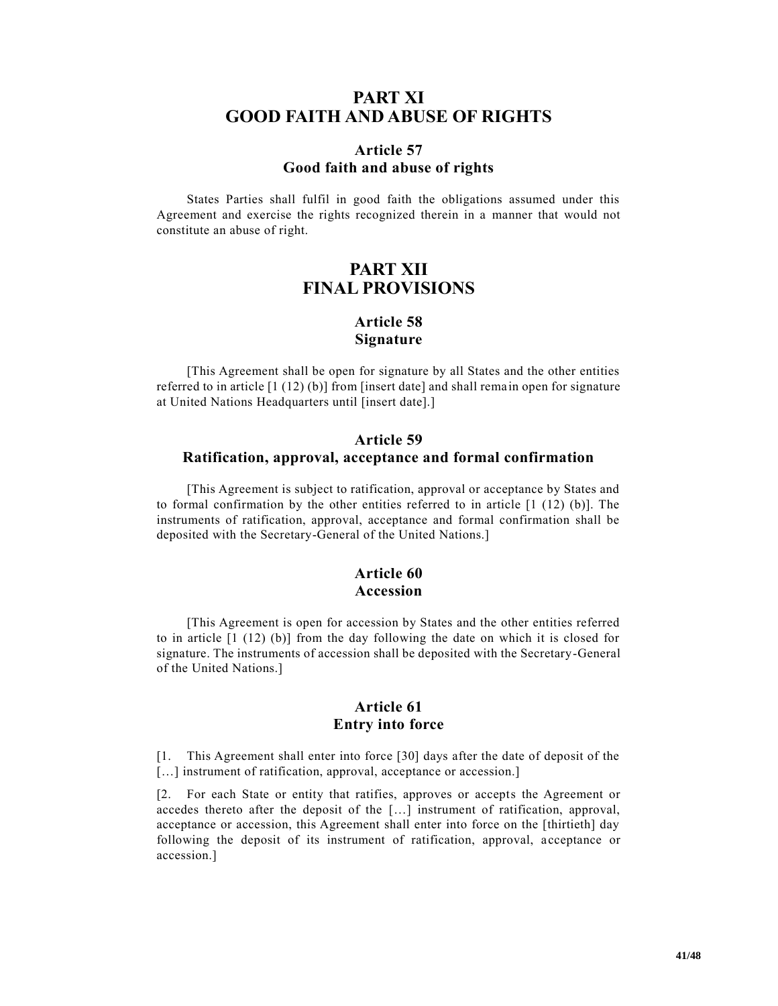# **PART XI GOOD FAITH AND ABUSE OF RIGHTS**

#### **Article 57 Good faith and abuse of rights**

States Parties shall fulfil in good faith the obligations assumed under this Agreement and exercise the rights recognized therein in a manner that would not constitute an abuse of right.

# **PART XII FINAL PROVISIONS**

# **Article 58 Signature**

[This Agreement shall be open for signature by all States and the other entities referred to in article [1 (12) (b)] from [insert date] and shall rema in open for signature at United Nations Headquarters until [insert date].]

## **Article 59 Ratification, approval, acceptance and formal confirmation**

[This Agreement is subject to ratification, approval or acceptance by States and to formal confirmation by the other entities referred to in article  $[1 (12) (b)]$ . The instruments of ratification, approval, acceptance and formal confirmation shall be deposited with the Secretary-General of the United Nations.]

# **Article 60 Accession**

[This Agreement is open for accession by States and the other entities referred to in article [1 (12) (b)] from the day following the date on which it is closed for signature. The instruments of accession shall be deposited with the Secretary-General of the United Nations.]

## **Article 61 Entry into force**

[1. This Agreement shall enter into force [30] days after the date of deposit of the [...] instrument of ratification, approval, acceptance or accession.]

[2. For each State or entity that ratifies, approves or accepts the Agreement or accedes thereto after the deposit of the […] instrument of ratification, approval, acceptance or accession, this Agreement shall enter into force on the [thirtieth] day following the deposit of its instrument of ratification, approval, acceptance or accession.]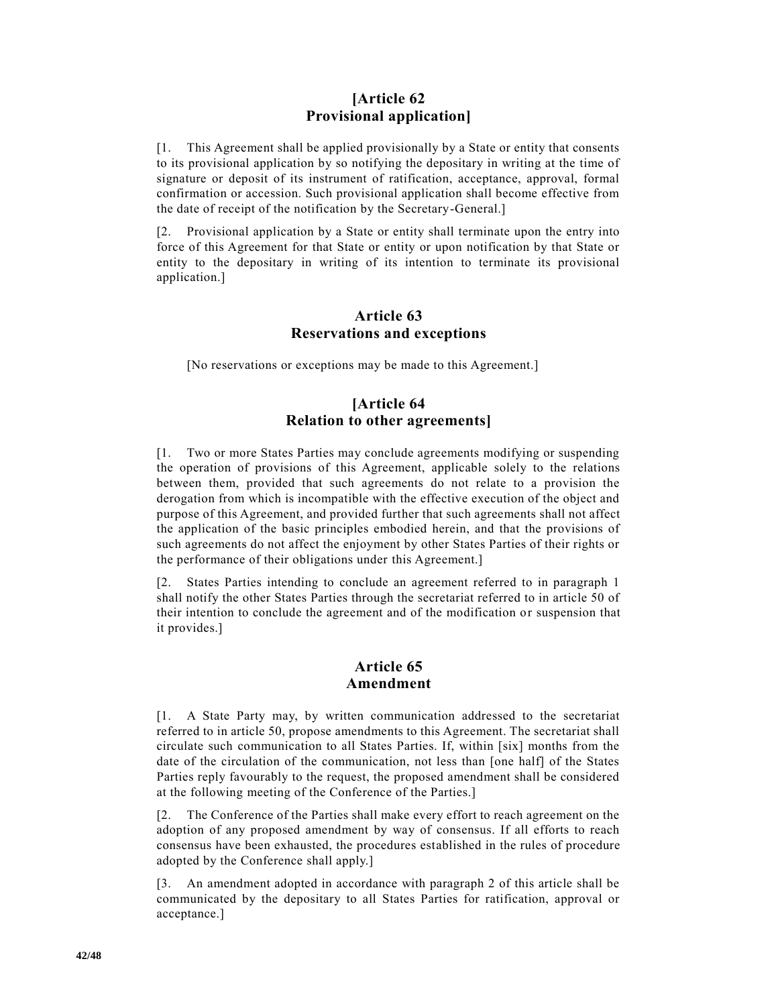## **[Article 62 Provisional application]**

[1. This Agreement shall be applied provisionally by a State or entity that consents to its provisional application by so notifying the depositary in writing at the time of signature or deposit of its instrument of ratification, acceptance, approval, formal confirmation or accession. Such provisional application shall become effective from the date of receipt of the notification by the Secretary-General.]

[2. Provisional application by a State or entity shall terminate upon the entry into force of this Agreement for that State or entity or upon notification by that State or entity to the depositary in writing of its intention to terminate its provisional application.]

#### **Article 63 Reservations and exceptions**

[No reservations or exceptions may be made to this Agreement.]

# **[Article 64 Relation to other agreements]**

[1. Two or more States Parties may conclude agreements modifying or suspending the operation of provisions of this Agreement, applicable solely to the relations between them, provided that such agreements do not relate to a provision the derogation from which is incompatible with the effective execution of the object and purpose of this Agreement, and provided further that such agreements shall not affect the application of the basic principles embodied herein, and that the provisions of such agreements do not affect the enjoyment by other States Parties of their rights or the performance of their obligations under this Agreement.]

[2. States Parties intending to conclude an agreement referred to in paragraph 1 shall notify the other States Parties through the secretariat referred to in article 50 of their intention to conclude the agreement and of the modification or suspension that it provides.]

## **Article 65 Amendment**

[1. A State Party may, by written communication addressed to the secretariat referred to in article 50, propose amendments to this Agreement. The secretariat shall circulate such communication to all States Parties. If, within [six] months from the date of the circulation of the communication, not less than [one half] of the States Parties reply favourably to the request, the proposed amendment shall be considered at the following meeting of the Conference of the Parties.]

[2. The Conference of the Parties shall make every effort to reach agreement on the adoption of any proposed amendment by way of consensus. If all efforts to reach consensus have been exhausted, the procedures established in the rules of procedure adopted by the Conference shall apply.]

[3. An amendment adopted in accordance with paragraph 2 of this article shall be communicated by the depositary to all States Parties for ratification, approval or acceptance.]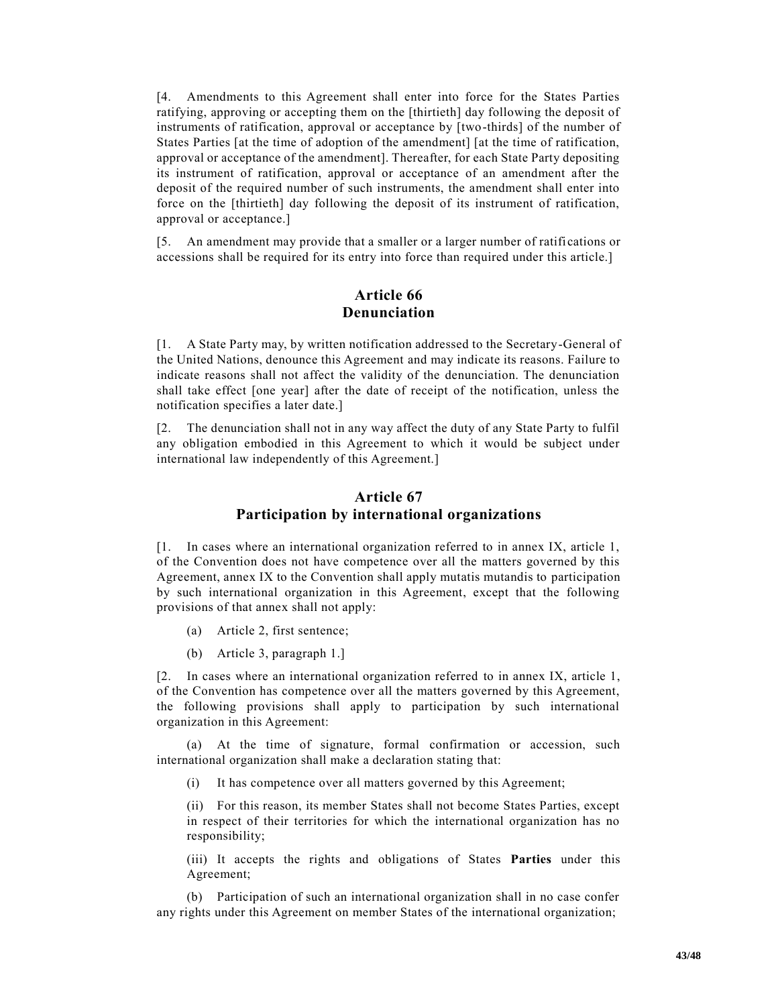[4. Amendments to this Agreement shall enter into force for the States Parties ratifying, approving or accepting them on the [thirtieth] day following the deposit of instruments of ratification, approval or acceptance by [two-thirds] of the number of States Parties [at the time of adoption of the amendment] [at the time of ratification, approval or acceptance of the amendment]. Thereafter, for each State Party depositing its instrument of ratification, approval or acceptance of an amendment after the deposit of the required number of such instruments, the amendment shall enter into force on the [thirtieth] day following the deposit of its instrument of ratification, approval or acceptance.]

[5. An amendment may provide that a smaller or a larger number of ratifi cations or accessions shall be required for its entry into force than required under this article.]

## **Article 66 Denunciation**

[1. A State Party may, by written notification addressed to the Secretary-General of the United Nations, denounce this Agreement and may indicate its reasons. Failure to indicate reasons shall not affect the validity of the denunciation. The denunciation shall take effect [one year] after the date of receipt of the notification, unless the notification specifies a later date.]

[2. The denunciation shall not in any way affect the duty of any State Party to fulfil any obligation embodied in this Agreement to which it would be subject under international law independently of this Agreement.]

# **Article 67 Participation by international organizations**

[1. In cases where an international organization referred to in annex IX, article 1, of the Convention does not have competence over all the matters governed by this Agreement, annex IX to the Convention shall apply mutatis mutandis to participation by such international organization in this Agreement, except that the following provisions of that annex shall not apply:

- (a) Article 2, first sentence;
- (b) Article 3, paragraph 1.]

[2. In cases where an international organization referred to in annex IX, article 1, of the Convention has competence over all the matters governed by this Agreement, the following provisions shall apply to participation by such international organization in this Agreement:

(a) At the time of signature, formal confirmation or accession, such international organization shall make a declaration stating that:

(i) It has competence over all matters governed by this Agreement;

(ii) For this reason, its member States shall not become States Parties, except in respect of their territories for which the international organization has no responsibility;

(iii) It accepts the rights and obligations of States **Parties** under this Agreement;

(b) Participation of such an international organization shall in no case confer any rights under this Agreement on member States of the international organization;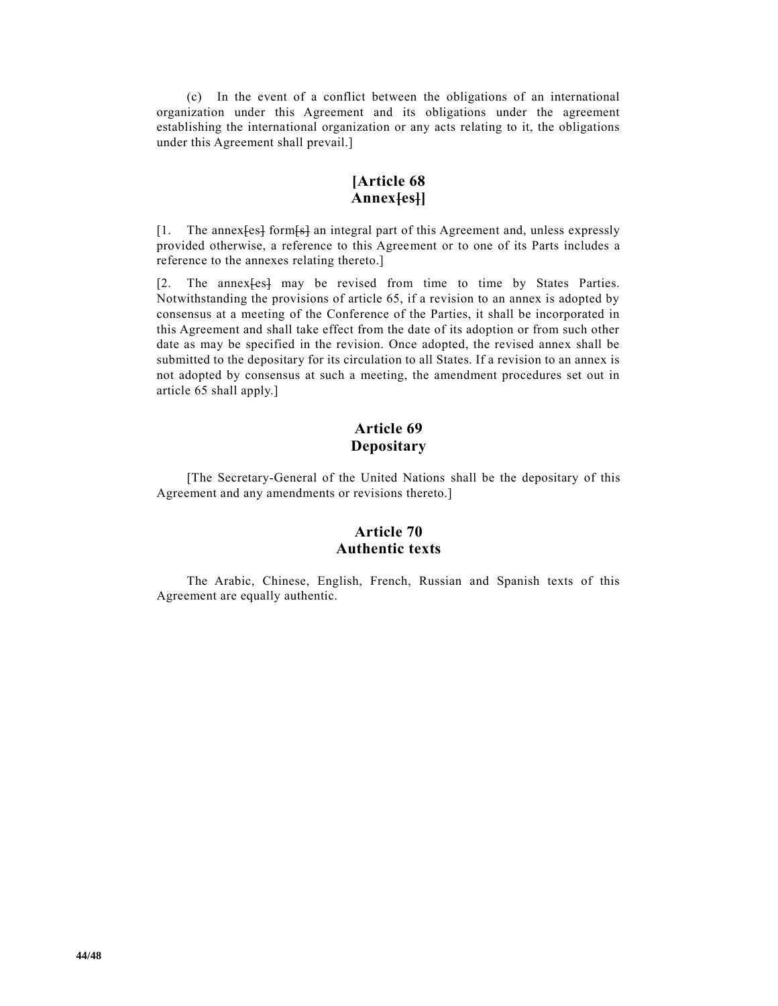(c) In the event of a conflict between the obligations of an international organization under this Agreement and its obligations under the agreement establishing the international organization or any acts relating to it, the obligations under this Agreement shall prevail.]

# **[Article 68 Annex[es]]**

[1. The annex [est form [st ] an integral part of this Agreement and, unless expressly provided otherwise, a reference to this Agreement or to one of its Parts includes a reference to the annexes relating thereto.]

[2. The annex[es] may be revised from time to time by States Parties. Notwithstanding the provisions of article 65, if a revision to an annex is adopted by consensus at a meeting of the Conference of the Parties, it shall be incorporated in this Agreement and shall take effect from the date of its adoption or from such other date as may be specified in the revision. Once adopted, the revised annex shall be submitted to the depositary for its circulation to all States. If a revision to an annex is not adopted by consensus at such a meeting, the amendment procedures set out in article 65 shall apply.]

# **Article 69 Depositary**

[The Secretary-General of the United Nations shall be the depositary of this Agreement and any amendments or revisions thereto.]

## **Article 70 Authentic texts**

The Arabic, Chinese, English, French, Russian and Spanish texts of this Agreement are equally authentic.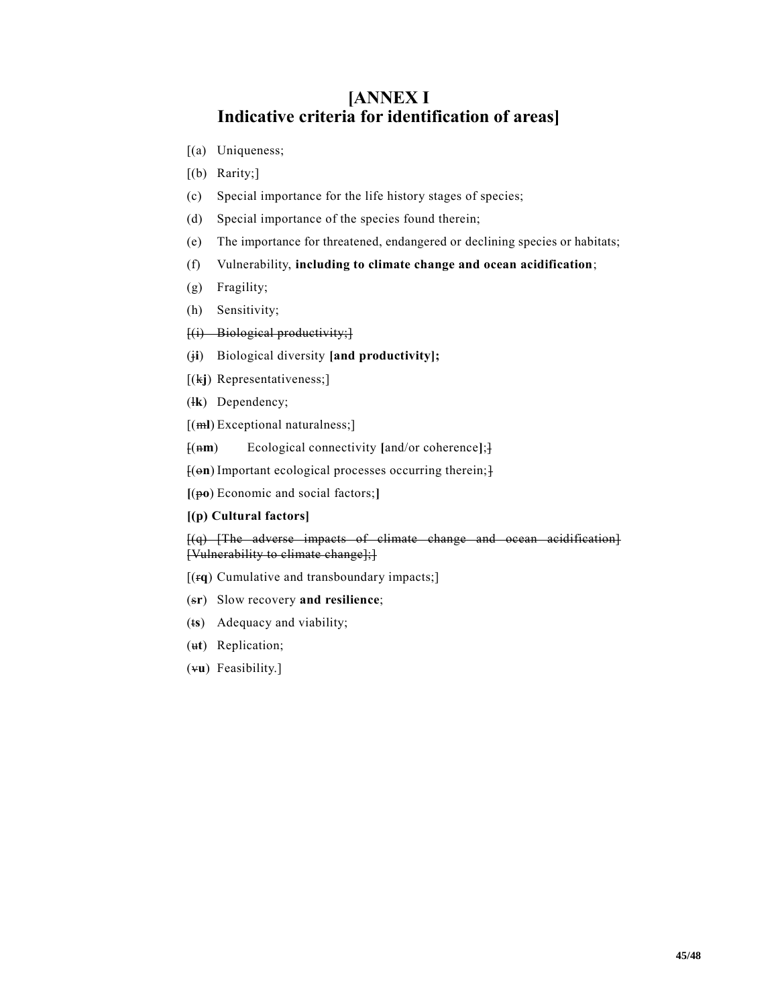# **[ANNEX I Indicative criteria for identification of areas]**

- [(a) Uniqueness;
- [(b) Rarity;]
- (c) Special importance for the life history stages of species;
- (d) Special importance of the species found therein;
- (e) The importance for threatened, endangered or declining species or habitats;
- (f) Vulnerability, **including to climate change and ocean acidification**;
- (g) Fragility;
- (h) Sensitivity;
- $[(i)$  Biological productivity;
- (j**i**) Biological diversity **[and productivity];**
- [(k**j**) Representativeness;]
- (l**k**) Dependency;
- [(m**l**) Exceptional naturalness;]
- [(n**m**) Ecological connectivity **[**and/or coherence**]**;]

[(o**n**) Important ecological processes occurring therein;]

**[**(p**o**) Economic and social factors;**]**

#### **[(p) Cultural factors]**

[(q) [The adverse impacts of climate change and ocean acidification] [Vulnerability to climate change];]

- [(r**q**) Cumulative and transboundary impacts;]
- (s**r**) Slow recovery **and resilience**;
- (t**s**) Adequacy and viability;
- (u**t**) Replication;
- (v**u**) Feasibility.]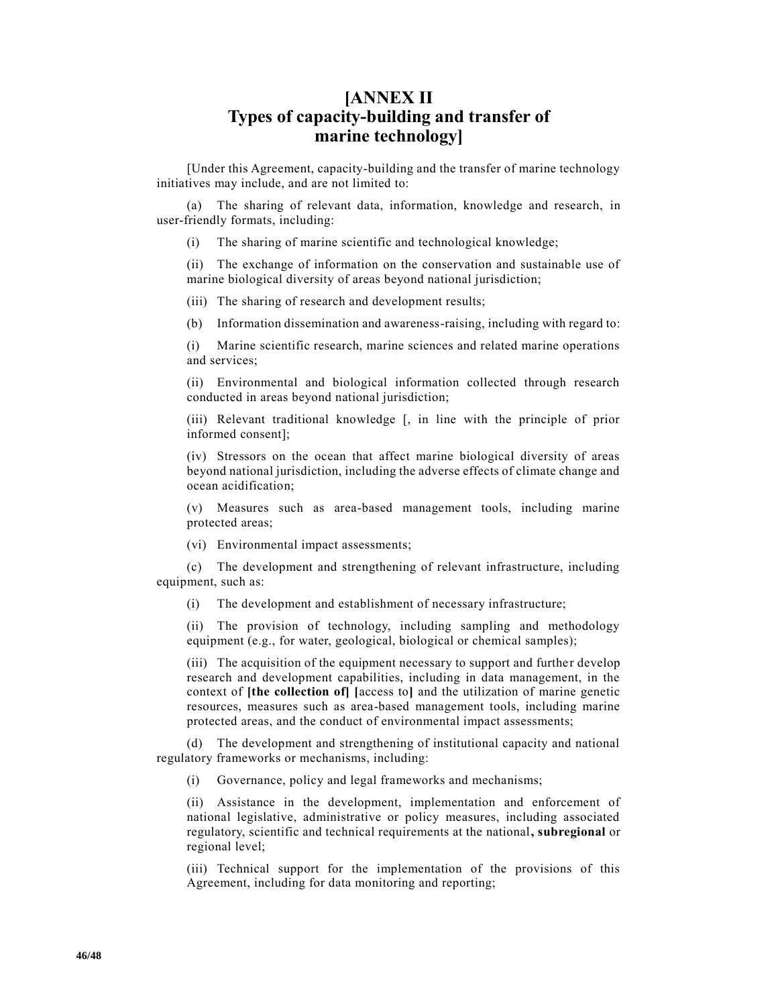# **[ANNEX II Types of capacity-building and transfer of marine technology]**

[Under this Agreement, capacity-building and the transfer of marine technology initiatives may include, and are not limited to:

(a) The sharing of relevant data, information, knowledge and research, in user-friendly formats, including:

(i) The sharing of marine scientific and technological knowledge;

(ii) The exchange of information on the conservation and sustainable use of marine biological diversity of areas beyond national jurisdiction;

(iii) The sharing of research and development results;

(b) Information dissemination and awareness-raising, including with regard to:

(i) Marine scientific research, marine sciences and related marine operations and services;

(ii) Environmental and biological information collected through research conducted in areas beyond national jurisdiction;

(iii) Relevant traditional knowledge [, in line with the principle of prior informed consent];

(iv) Stressors on the ocean that affect marine biological diversity of areas beyond national jurisdiction, including the adverse effects of climate change and ocean acidification;

(v) Measures such as area-based management tools, including marine protected areas;

(vi) Environmental impact assessments;

(c) The development and strengthening of relevant infrastructure, including equipment, such as:

(i) The development and establishment of necessary infrastructure;

(ii) The provision of technology, including sampling and methodology equipment (e.g., for water, geological, biological or chemical samples);

(iii) The acquisition of the equipment necessary to support and further develop research and development capabilities, including in data management, in the context of **[the collection of] [**access to**]** and the utilization of marine genetic resources, measures such as area-based management tools, including marine protected areas, and the conduct of environmental impact assessments;

(d) The development and strengthening of institutional capacity and national regulatory frameworks or mechanisms, including:

(i) Governance, policy and legal frameworks and mechanisms;

(ii) Assistance in the development, implementation and enforcement of national legislative, administrative or policy measures, including associated regulatory, scientific and technical requirements at the national**, subregional** or regional level;

(iii) Technical support for the implementation of the provisions of this Agreement, including for data monitoring and reporting;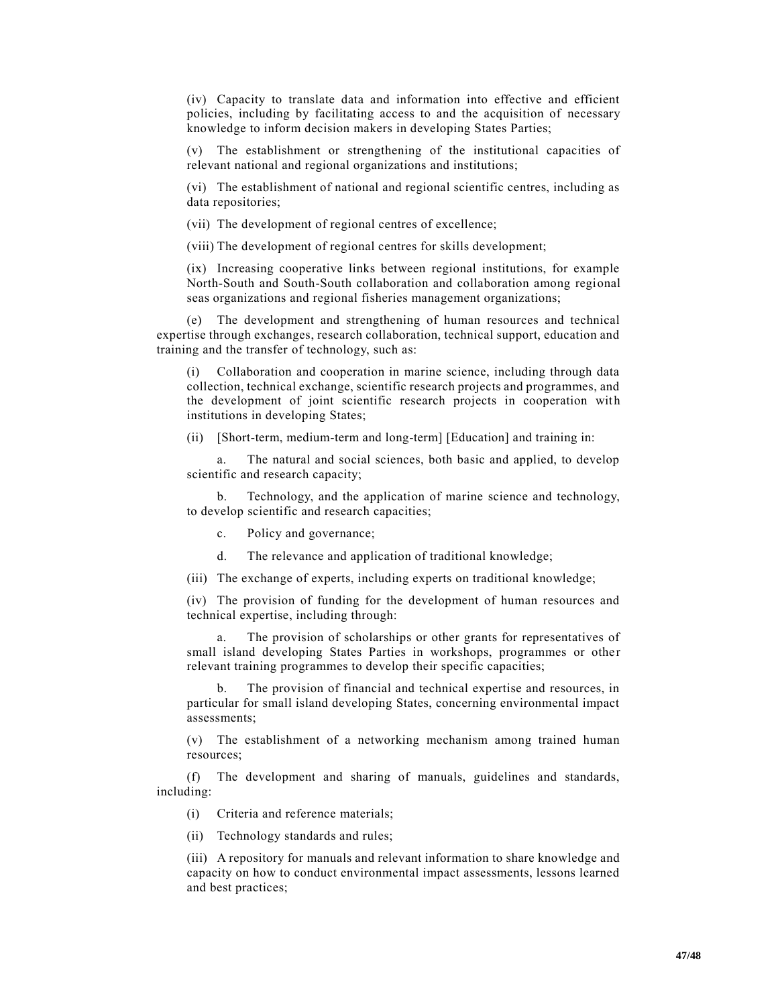(iv) Capacity to translate data and information into effective and efficient policies, including by facilitating access to and the acquisition of necessary knowledge to inform decision makers in developing States Parties;

(v) The establishment or strengthening of the institutional capacities of relevant national and regional organizations and institutions;

(vi) The establishment of national and regional scientific centres, including as data repositories;

(vii) The development of regional centres of excellence;

(viii) The development of regional centres for skills development;

(ix) Increasing cooperative links between regional institutions, for example North-South and South-South collaboration and collaboration among regional seas organizations and regional fisheries management organizations;

(e) The development and strengthening of human resources and technical expertise through exchanges, research collaboration, technical support, education and training and the transfer of technology, such as:

Collaboration and cooperation in marine science, including through data collection, technical exchange, scientific research projects and programmes, and the development of joint scientific research projects in cooperation with institutions in developing States;

(ii) [Short-term, medium-term and long-term] [Education] and training in:

a. The natural and social sciences, both basic and applied, to develop scientific and research capacity;

b. Technology, and the application of marine science and technology, to develop scientific and research capacities;

c. Policy and governance;

d. The relevance and application of traditional knowledge;

(iii) The exchange of experts, including experts on traditional knowledge;

(iv) The provision of funding for the development of human resources and technical expertise, including through:

a. The provision of scholarships or other grants for representatives of small island developing States Parties in workshops, programmes or other relevant training programmes to develop their specific capacities;

b. The provision of financial and technical expertise and resources, in particular for small island developing States, concerning environmental impact assessments;

(v) The establishment of a networking mechanism among trained human resources;

(f) The development and sharing of manuals, guidelines and standards, including:

(i) Criteria and reference materials;

(ii) Technology standards and rules;

(iii) A repository for manuals and relevant information to share knowledge and capacity on how to conduct environmental impact assessments, lessons learned and best practices;